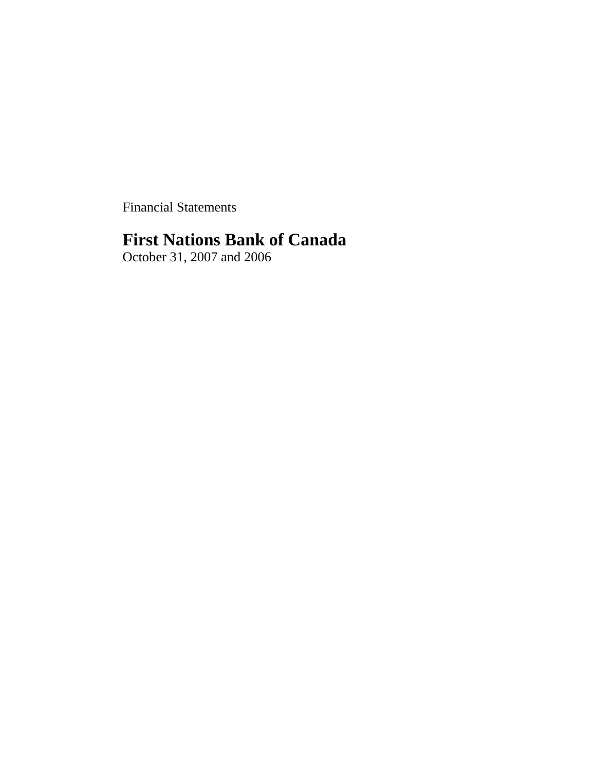Financial Statements

# **First Nations Bank of Canada**

October 31, 2007 and 2006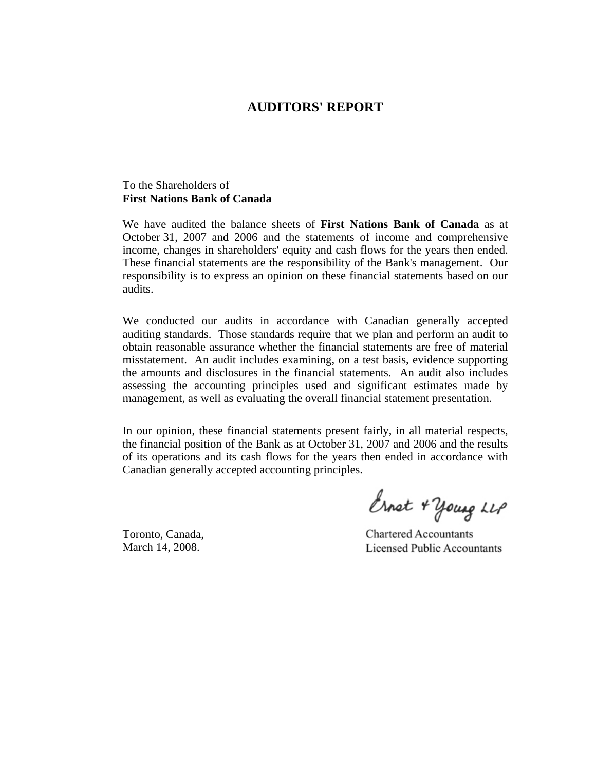# **AUDITORS' REPORT**

## To the Shareholders of **First Nations Bank of Canada**

We have audited the balance sheets of **First Nations Bank of Canada** as at October 31, 2007 and 2006 and the statements of income and comprehensive income, changes in shareholders' equity and cash flows for the years then ended. These financial statements are the responsibility of the Bank's management. Our responsibility is to express an opinion on these financial statements based on our audits.

We conducted our audits in accordance with Canadian generally accepted auditing standards. Those standards require that we plan and perform an audit to obtain reasonable assurance whether the financial statements are free of material misstatement. An audit includes examining, on a test basis, evidence supporting the amounts and disclosures in the financial statements. An audit also includes assessing the accounting principles used and significant estimates made by management, as well as evaluating the overall financial statement presentation.

In our opinion, these financial statements present fairly, in all material respects, the financial position of the Bank as at October 31, 2007 and 2006 and the results of its operations and its cash flows for the years then ended in accordance with Canadian generally accepted accounting principles.

Ernet + young LLP

Toronto, Canada, March 14, 2008.

**Chartered Accountants Licensed Public Accountants**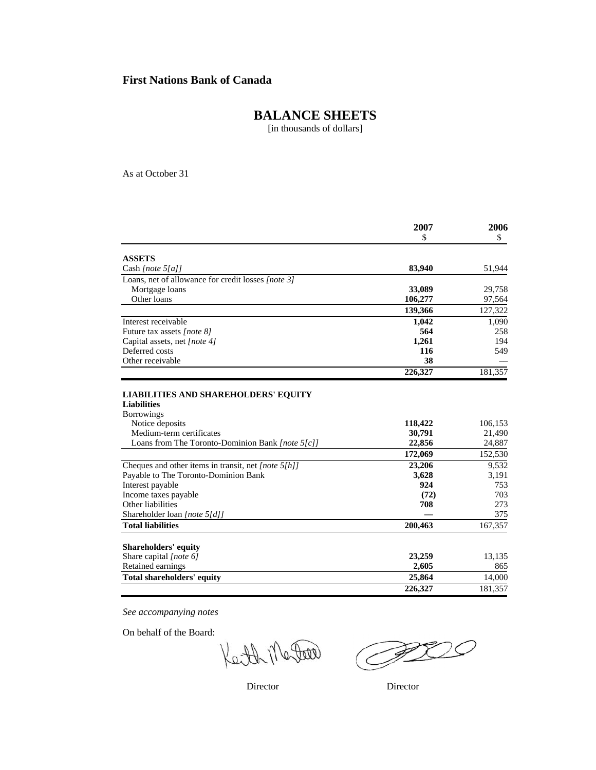# **BALANCE SHEETS**

[in thousands of dollars]

As at October 31

|                                                                   | 2007    | 2006    |
|-------------------------------------------------------------------|---------|---------|
|                                                                   | \$      | \$      |
| <b>ASSETS</b>                                                     |         |         |
| Cash [note $5[a]$ ]                                               | 83,940  | 51,944  |
| Loans, net of allowance for credit losses [note 3]                |         |         |
| Mortgage loans                                                    | 33,089  | 29,758  |
| Other loans                                                       | 106,277 | 97,564  |
|                                                                   | 139,366 | 127,322 |
| Interest receivable                                               | 1.042   | 1,090   |
| Future tax assets [note 8]                                        | 564     | 258     |
| Capital assets, net [note 4]                                      | 1,261   | 194     |
| Deferred costs                                                    | 116     | 549     |
| Other receivable                                                  | 38      |         |
|                                                                   | 226,327 | 181,357 |
| <b>LIABILITIES AND SHAREHOLDERS' EQUITY</b><br><b>Liabilities</b> |         |         |
| <b>Borrowings</b>                                                 |         |         |
| Notice deposits                                                   | 118,422 | 106,153 |
| Medium-term certificates                                          | 30,791  | 21,490  |
| Loans from The Toronto-Dominion Bank [note 5[c]]                  | 22,856  | 24,887  |
|                                                                   | 172,069 | 152,530 |
| Cheques and other items in transit, net [note 5[h]]               | 23,206  | 9,532   |
| Payable to The Toronto-Dominion Bank                              | 3,628   | 3,191   |
| Interest payable                                                  | 924     | 753     |
| Income taxes payable                                              | (72)    | 703     |
| Other liabilities                                                 | 708     | 273     |
| Shareholder loan [note 5[d]]                                      |         | 375     |
| <b>Total liabilities</b>                                          | 200,463 | 167,357 |
| Shareholders' equity                                              |         |         |
| Share capital [note 6]                                            | 23,259  | 13,135  |
| Retained earnings                                                 | 2,605   | 865     |
| <b>Total shareholders' equity</b>                                 | 25,864  | 14,000  |
|                                                                   | 226,327 | 181.357 |

*See accompanying notes*

On behalf of the Board:

Leith Mater

 $\overline{\mathcal{O}}$ 

Director Director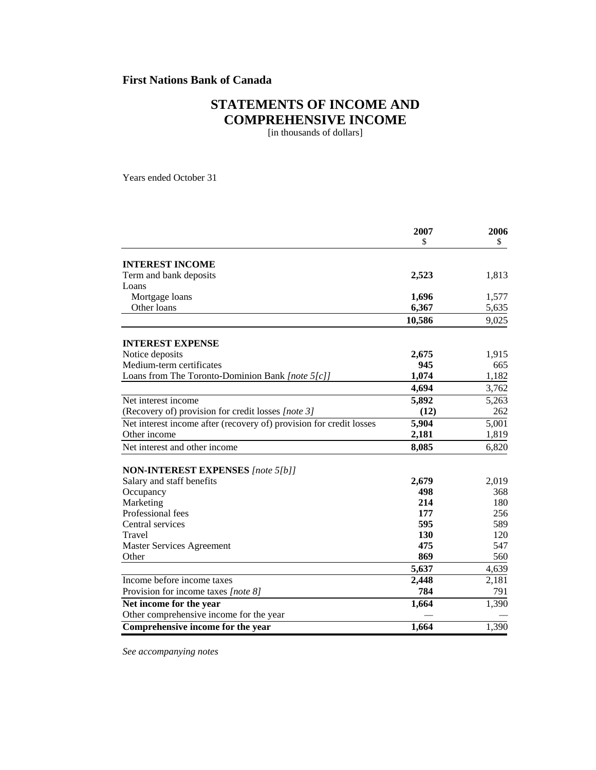# **STATEMENTS OF INCOME AND COMPREHENSIVE INCOME**

[in thousands of dollars]

Years ended October 31

|                                                                     | 2007<br>\$ | 2006<br>\$ |
|---------------------------------------------------------------------|------------|------------|
| <b>INTEREST INCOME</b>                                              |            |            |
| Term and bank deposits                                              | 2,523      | 1,813      |
| Loans                                                               |            |            |
| Mortgage loans                                                      | 1,696      | 1,577      |
| Other loans                                                         | 6,367      | 5,635      |
|                                                                     | 10,586     | 9,025      |
|                                                                     |            |            |
| <b>INTEREST EXPENSE</b>                                             |            |            |
| Notice deposits                                                     | 2,675      | 1,915      |
| Medium-term certificates                                            | 945        | 665        |
| Loans from The Toronto-Dominion Bank [note 5[c]]                    | 1,074      | 1,182      |
|                                                                     | 4,694      | 3,762      |
| Net interest income                                                 | 5,892      | 5,263      |
| (Recovery of) provision for credit losses [note 3]                  | (12)       | 262        |
| Net interest income after (recovery of) provision for credit losses | 5,904      | 5,001      |
| Other income                                                        | 2,181      | 1,819      |
| Net interest and other income                                       | 8,085      | 6,820      |
|                                                                     |            |            |
| <b>NON-INTEREST EXPENSES</b> [note 5[b]]                            |            |            |
| Salary and staff benefits                                           | 2,679      | 2,019      |
| Occupancy                                                           | 498        | 368        |
| Marketing                                                           | 214        | 180        |
| Professional fees                                                   | 177        | 256        |
| Central services                                                    | 595        | 589        |
| Travel                                                              | 130        | 120        |
| Master Services Agreement                                           | 475        | 547        |
| Other                                                               | 869        | 560        |
|                                                                     | 5,637      | 4,639      |
| Income before income taxes                                          | 2,448      | 2,181      |
| Provision for income taxes [note 8]                                 | 784        | 791        |
| Net income for the year                                             | 1,664      | 1,390      |
| Other comprehensive income for the year                             |            |            |
| Comprehensive income for the year                                   | 1,664      | 1,390      |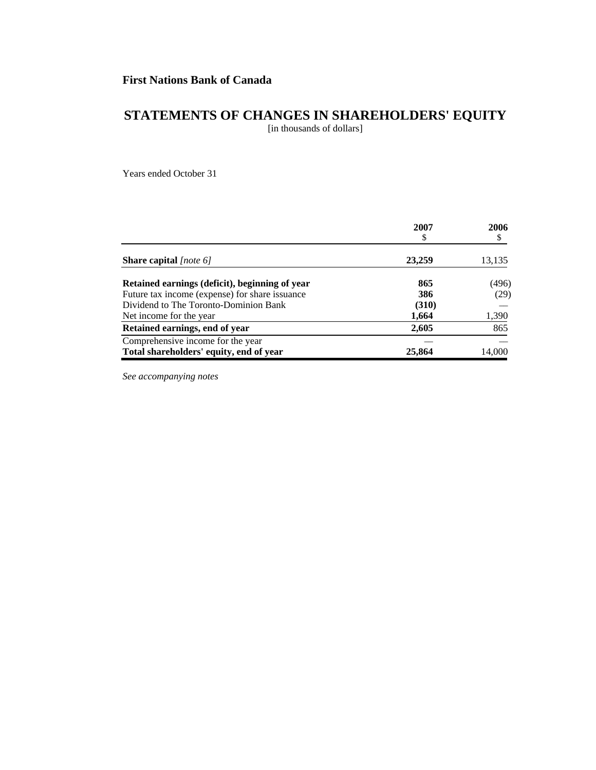# **STATEMENTS OF CHANGES IN SHAREHOLDERS' EQUITY**

[in thousands of dollars]

Years ended October 31

|                                                | 2007<br>S | 2006   |
|------------------------------------------------|-----------|--------|
| <b>Share capital</b> [note 6]                  | 23,259    | 13,135 |
| Retained earnings (deficit), beginning of year | 865       | (496)  |
| Future tax income (expense) for share issuance | 386       | (29)   |
| Dividend to The Toronto-Dominion Bank          | (310)     |        |
| Net income for the year.                       | 1,664     | 1,390  |
| Retained earnings, end of year                 | 2,605     | 865    |
| Comprehensive income for the year              |           |        |
| Total shareholders' equity, end of year        | 25,864    | 14,000 |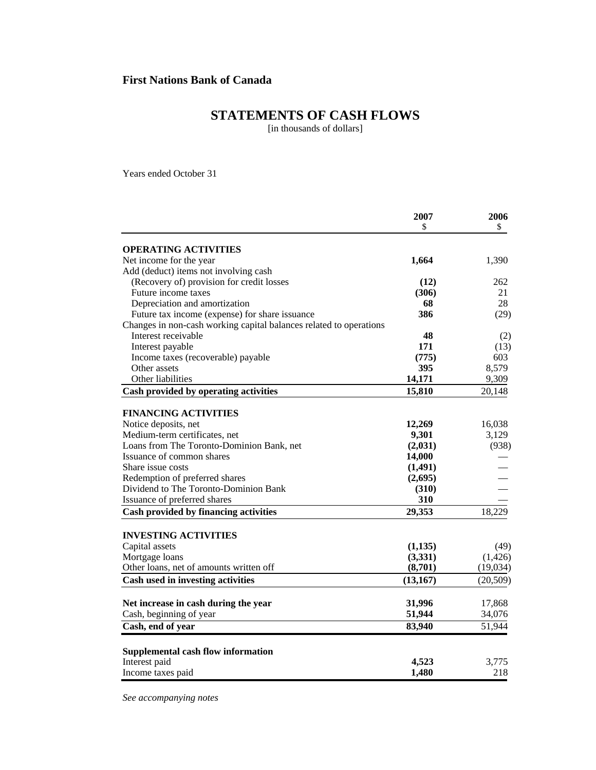# **STATEMENTS OF CASH FLOWS**

[in thousands of dollars]

Years ended October 31

|                                                                    | 2007      | 2006      |
|--------------------------------------------------------------------|-----------|-----------|
|                                                                    | \$        | \$        |
| <b>OPERATING ACTIVITIES</b>                                        |           |           |
| Net income for the year                                            | 1,664     | 1,390     |
| Add (deduct) items not involving cash                              |           |           |
| (Recovery of) provision for credit losses                          | (12)      | 262       |
| Future income taxes                                                | (306)     | 21        |
| Depreciation and amortization                                      | 68        | 28        |
| Future tax income (expense) for share issuance                     | 386       | (29)      |
| Changes in non-cash working capital balances related to operations |           |           |
| Interest receivable                                                | 48        | (2)       |
| Interest payable                                                   | 171       | (13)      |
| Income taxes (recoverable) payable                                 | (775)     | 603       |
| Other assets                                                       | 395       | 8,579     |
| Other liabilities                                                  | 14,171    | 9,309     |
| Cash provided by operating activities                              | 15,810    | 20,148    |
|                                                                    |           |           |
| <b>FINANCING ACTIVITIES</b>                                        |           |           |
| Notice deposits, net                                               | 12,269    | 16,038    |
| Medium-term certificates, net                                      | 9,301     | 3,129     |
| Loans from The Toronto-Dominion Bank, net                          | (2,031)   | (938)     |
| Issuance of common shares                                          | 14,000    |           |
| Share issue costs                                                  | (1,491)   |           |
| Redemption of preferred shares                                     | (2,695)   |           |
| Dividend to The Toronto-Dominion Bank                              | (310)     |           |
| Issuance of preferred shares                                       | 310       |           |
| Cash provided by financing activities                              | 29,353    | 18,229    |
|                                                                    |           |           |
| <b>INVESTING ACTIVITIES</b>                                        |           |           |
| Capital assets                                                     | (1,135)   | (49)      |
| Mortgage loans                                                     | (3,331)   | (1,426)   |
| Other loans, net of amounts written off                            | (8,701)   | (19,034)  |
| Cash used in investing activities                                  | (13, 167) | (20, 509) |
|                                                                    |           |           |
| Net increase in cash during the year                               | 31,996    | 17,868    |
| Cash, beginning of year                                            | 51,944    | 34,076    |
| Cash, end of year                                                  | 83,940    | 51,944    |
|                                                                    |           |           |
| <b>Supplemental cash flow information</b><br>Interest paid         | 4,523     | 3,775     |
| Income taxes paid                                                  | 1,480     | 218       |
|                                                                    |           |           |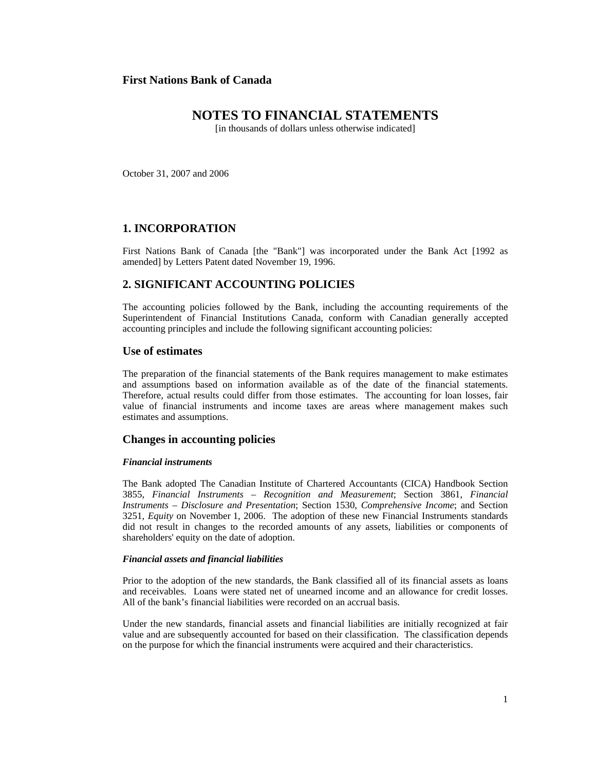# **NOTES TO FINANCIAL STATEMENTS**

[in thousands of dollars unless otherwise indicated]

October 31, 2007 and 2006

## **1. INCORPORATION**

First Nations Bank of Canada [the "Bank"] was incorporated under the Bank Act [1992 as amended] by Letters Patent dated November 19, 1996.

## **2. SIGNIFICANT ACCOUNTING POLICIES**

The accounting policies followed by the Bank, including the accounting requirements of the Superintendent of Financial Institutions Canada, conform with Canadian generally accepted accounting principles and include the following significant accounting policies:

### **Use of estimates**

The preparation of the financial statements of the Bank requires management to make estimates and assumptions based on information available as of the date of the financial statements. Therefore, actual results could differ from those estimates. The accounting for loan losses, fair value of financial instruments and income taxes are areas where management makes such estimates and assumptions.

## **Changes in accounting policies**

#### *Financial instruments*

The Bank adopted The Canadian Institute of Chartered Accountants (CICA) Handbook Section 3855, *Financial Instruments – Recognition and Measurement*; Section 3861, *Financial Instruments – Disclosure and Presentation*; Section 1530, *Comprehensive Income*; and Section 3251, *Equity* on November 1, 2006. The adoption of these new Financial Instruments standards did not result in changes to the recorded amounts of any assets, liabilities or components of shareholders' equity on the date of adoption.

#### *Financial assets and financial liabilities*

Prior to the adoption of the new standards, the Bank classified all of its financial assets as loans and receivables. Loans were stated net of unearned income and an allowance for credit losses. All of the bank's financial liabilities were recorded on an accrual basis.

Under the new standards, financial assets and financial liabilities are initially recognized at fair value and are subsequently accounted for based on their classification. The classification depends on the purpose for which the financial instruments were acquired and their characteristics.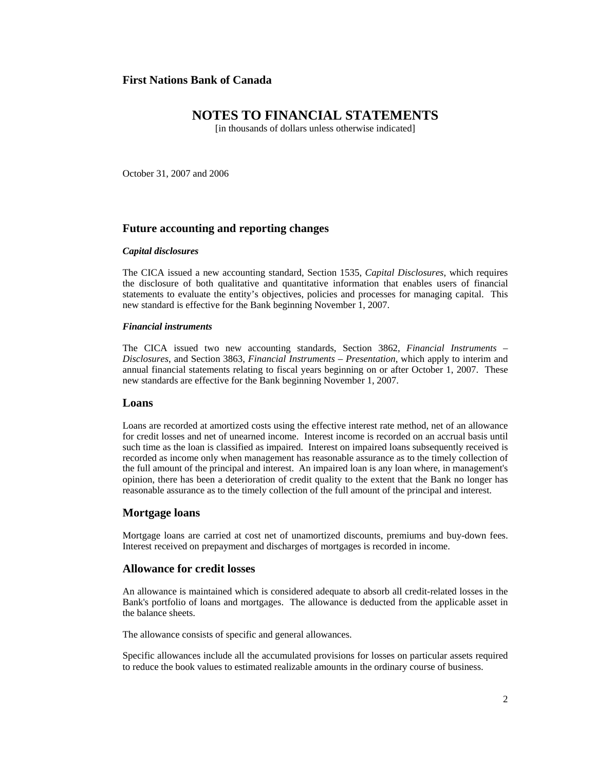## **NOTES TO FINANCIAL STATEMENTS**

[in thousands of dollars unless otherwise indicated]

October 31, 2007 and 2006

## **Future accounting and reporting changes**

#### *Capital disclosures*

The CICA issued a new accounting standard, Section 1535, *Capital Disclosures*, which requires the disclosure of both qualitative and quantitative information that enables users of financial statements to evaluate the entity's objectives, policies and processes for managing capital. This new standard is effective for the Bank beginning November 1, 2007.

#### *Financial instruments*

The CICA issued two new accounting standards, Section 3862, *Financial Instruments – Disclosures*, and Section 3863, *Financial Instruments – Presentation*, which apply to interim and annual financial statements relating to fiscal years beginning on or after October 1, 2007. These new standards are effective for the Bank beginning November 1, 2007.

#### **Loans**

Loans are recorded at amortized costs using the effective interest rate method, net of an allowance for credit losses and net of unearned income. Interest income is recorded on an accrual basis until such time as the loan is classified as impaired. Interest on impaired loans subsequently received is recorded as income only when management has reasonable assurance as to the timely collection of the full amount of the principal and interest. An impaired loan is any loan where, in management's opinion, there has been a deterioration of credit quality to the extent that the Bank no longer has reasonable assurance as to the timely collection of the full amount of the principal and interest.

## **Mortgage loans**

Mortgage loans are carried at cost net of unamortized discounts, premiums and buy-down fees. Interest received on prepayment and discharges of mortgages is recorded in income.

#### **Allowance for credit losses**

An allowance is maintained which is considered adequate to absorb all credit-related losses in the Bank's portfolio of loans and mortgages. The allowance is deducted from the applicable asset in the balance sheets.

The allowance consists of specific and general allowances.

Specific allowances include all the accumulated provisions for losses on particular assets required to reduce the book values to estimated realizable amounts in the ordinary course of business.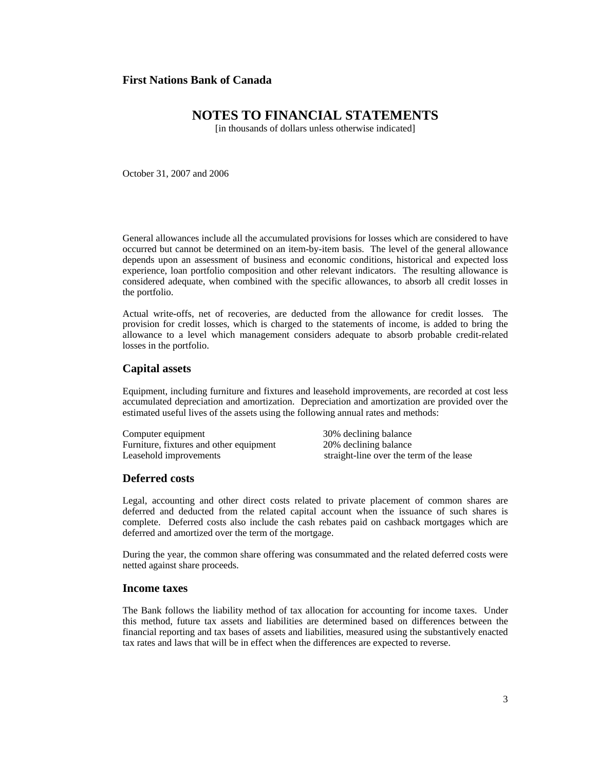# **NOTES TO FINANCIAL STATEMENTS**

[in thousands of dollars unless otherwise indicated]

October 31, 2007 and 2006

General allowances include all the accumulated provisions for losses which are considered to have occurred but cannot be determined on an item-by-item basis. The level of the general allowance depends upon an assessment of business and economic conditions, historical and expected loss experience, loan portfolio composition and other relevant indicators. The resulting allowance is considered adequate, when combined with the specific allowances, to absorb all credit losses in the portfolio.

Actual write-offs, net of recoveries, are deducted from the allowance for credit losses. The provision for credit losses, which is charged to the statements of income, is added to bring the allowance to a level which management considers adequate to absorb probable credit-related losses in the portfolio.

### **Capital assets**

Equipment, including furniture and fixtures and leasehold improvements, are recorded at cost less accumulated depreciation and amortization. Depreciation and amortization are provided over the estimated useful lives of the assets using the following annual rates and methods:

Computer equipment 30% declining balance Furniture, fixtures and other equipment 20% declining balance<br>Leasehold improvements straight-line over the te straight-line over the term of the lease

## **Deferred costs**

Legal, accounting and other direct costs related to private placement of common shares are deferred and deducted from the related capital account when the issuance of such shares is complete. Deferred costs also include the cash rebates paid on cashback mortgages which are deferred and amortized over the term of the mortgage.

During the year, the common share offering was consummated and the related deferred costs were netted against share proceeds.

#### **Income taxes**

The Bank follows the liability method of tax allocation for accounting for income taxes. Under this method, future tax assets and liabilities are determined based on differences between the financial reporting and tax bases of assets and liabilities, measured using the substantively enacted tax rates and laws that will be in effect when the differences are expected to reverse.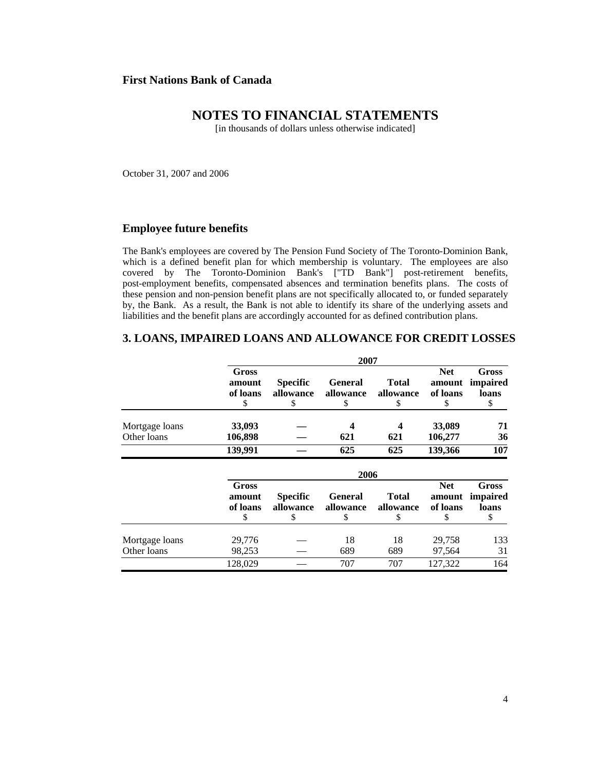# **NOTES TO FINANCIAL STATEMENTS**

[in thousands of dollars unless otherwise indicated]

October 31, 2007 and 2006

#### **Employee future benefits**

The Bank's employees are covered by The Pension Fund Society of The Toronto-Dominion Bank, which is a defined benefit plan for which membership is voluntary. The employees are also covered by The Toronto-Dominion Bank's ["TD Bank"] post-retirement benefits, post-employment benefits, compensated absences and termination benefits plans. The costs of these pension and non-pension benefit plans are not specifically allocated to, or funded separately by, the Bank. As a result, the Bank is not able to identify its share of the underlying assets and liabilities and the benefit plans are accordingly accounted for as defined contribution plans.

## **3. LOANS, IMPAIRED LOANS AND ALLOWANCE FOR CREDIT LOSSES**

|                               |                                   |                                    | 2007                              |                                 |                                        |                                         |
|-------------------------------|-----------------------------------|------------------------------------|-----------------------------------|---------------------------------|----------------------------------------|-----------------------------------------|
|                               | Gross<br>amount<br>of loans<br>\$ | <b>Specific</b><br>allowance<br>\$ | <b>General</b><br>allowance<br>\$ | Total<br>allowance<br>\$        | <b>Net</b><br>amount<br>of loans<br>\$ | <b>Gross</b><br>impaired<br>loans<br>\$ |
| Mortgage loans                | 33,093                            |                                    | 4                                 |                                 | 33,089                                 | 71                                      |
| Other loans                   | 106,898                           |                                    | 621                               | 621                             | 106,277                                | 36                                      |
|                               | 139,991                           |                                    | 625                               | 625                             | 139,366                                | 107                                     |
|                               |                                   |                                    | 2006                              |                                 |                                        |                                         |
|                               | Gross<br>amount<br>of loans<br>\$ | <b>Specific</b><br>allowance<br>\$ | <b>General</b><br>allowance<br>\$ | <b>Total</b><br>allowance<br>\$ | <b>Net</b><br>amount<br>of loans<br>\$ | <b>Gross</b><br>impaired<br>loans<br>\$ |
| Mortgage loans<br>Other loans | 29,776<br>98,253                  |                                    | 18<br>689                         | 18<br>689                       | 29,758<br>97,564                       | 133<br>31                               |
|                               | 128,029                           |                                    | 707                               | 707                             | 127,322                                | 164                                     |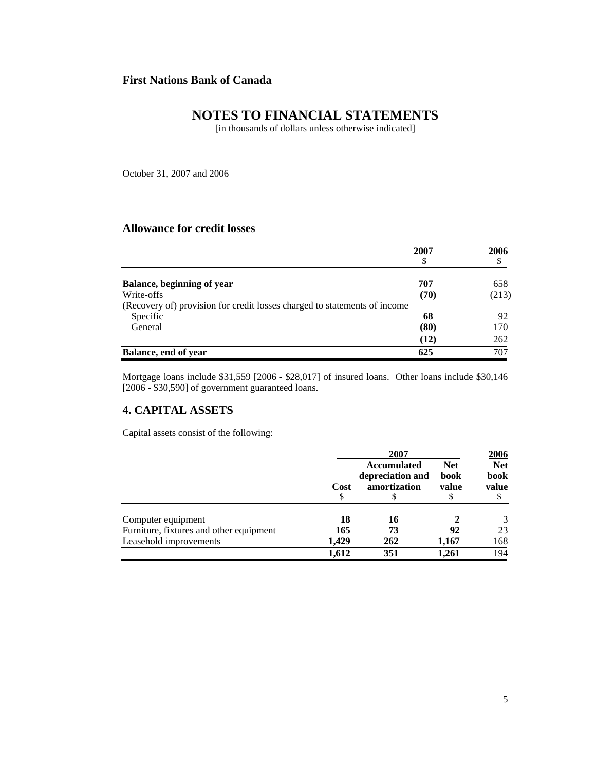# **NOTES TO FINANCIAL STATEMENTS**

[in thousands of dollars unless otherwise indicated]

October 31, 2007 and 2006

## **Allowance for credit losses**

|                                                                           | 2007 | 2006  |
|---------------------------------------------------------------------------|------|-------|
|                                                                           |      |       |
| Balance, beginning of year                                                | 707  | 658   |
| Write-offs                                                                | (70) | (213) |
| (Recovery of) provision for credit losses charged to statements of income |      |       |
| Specific                                                                  | 68   | 92    |
| General                                                                   | (80) | 170   |
|                                                                           | (12) | 262   |
| Balance, end of year                                                      | 625  | 707   |

Mortgage loans include \$31,559 [2006 - \$28,017] of insured loans. Other loans include \$30,146 [2006 - \$30,590] of government guaranteed loans.

# **4. CAPITAL ASSETS**

Capital assets consist of the following:

|                                         | 2007       |                                                        | 2006                        |                             |
|-----------------------------------------|------------|--------------------------------------------------------|-----------------------------|-----------------------------|
|                                         | Cost<br>\$ | <b>Accumulated</b><br>depreciation and<br>amortization | <b>Net</b><br>book<br>value | <b>Net</b><br>book<br>value |
| Computer equipment                      | 18         | 16                                                     |                             | 3                           |
| Furniture, fixtures and other equipment | 165        | 73                                                     | 92                          | 23                          |
| Leasehold improvements                  | 1.429      | 262                                                    | 1,167                       | 168                         |
|                                         | 1,612      | 351                                                    | 1,261                       | 194                         |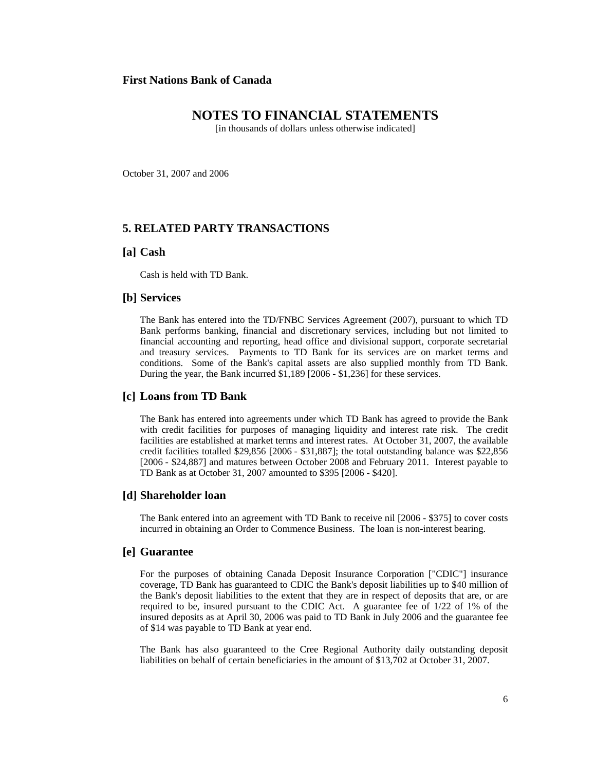## **NOTES TO FINANCIAL STATEMENTS**

[in thousands of dollars unless otherwise indicated]

October 31, 2007 and 2006

## **5. RELATED PARTY TRANSACTIONS**

#### **[a] Cash**

Cash is held with TD Bank.

#### **[b] Services**

The Bank has entered into the TD/FNBC Services Agreement (2007), pursuant to which TD Bank performs banking, financial and discretionary services, including but not limited to financial accounting and reporting, head office and divisional support, corporate secretarial and treasury services. Payments to TD Bank for its services are on market terms and conditions. Some of the Bank's capital assets are also supplied monthly from TD Bank. During the year, the Bank incurred \$1,189 [2006 - \$1,236] for these services.

#### **[c] Loans from TD Bank**

The Bank has entered into agreements under which TD Bank has agreed to provide the Bank with credit facilities for purposes of managing liquidity and interest rate risk. The credit facilities are established at market terms and interest rates. At October 31, 2007, the available credit facilities totalled \$29,856 [2006 - \$31,887]; the total outstanding balance was \$22,856 [2006 - \$24,887] and matures between October 2008 and February 2011. Interest payable to TD Bank as at October 31, 2007 amounted to \$395 [2006 - \$420].

#### **[d] Shareholder loan**

The Bank entered into an agreement with TD Bank to receive nil [2006 - \$375] to cover costs incurred in obtaining an Order to Commence Business. The loan is non-interest bearing.

### **[e] Guarantee**

For the purposes of obtaining Canada Deposit Insurance Corporation ["CDIC"] insurance coverage, TD Bank has guaranteed to CDIC the Bank's deposit liabilities up to \$40 million of the Bank's deposit liabilities to the extent that they are in respect of deposits that are, or are required to be, insured pursuant to the CDIC Act. A guarantee fee of 1/22 of 1% of the insured deposits as at April 30, 2006 was paid to TD Bank in July 2006 and the guarantee fee of \$14 was payable to TD Bank at year end.

The Bank has also guaranteed to the Cree Regional Authority daily outstanding deposit liabilities on behalf of certain beneficiaries in the amount of \$13,702 at October 31, 2007.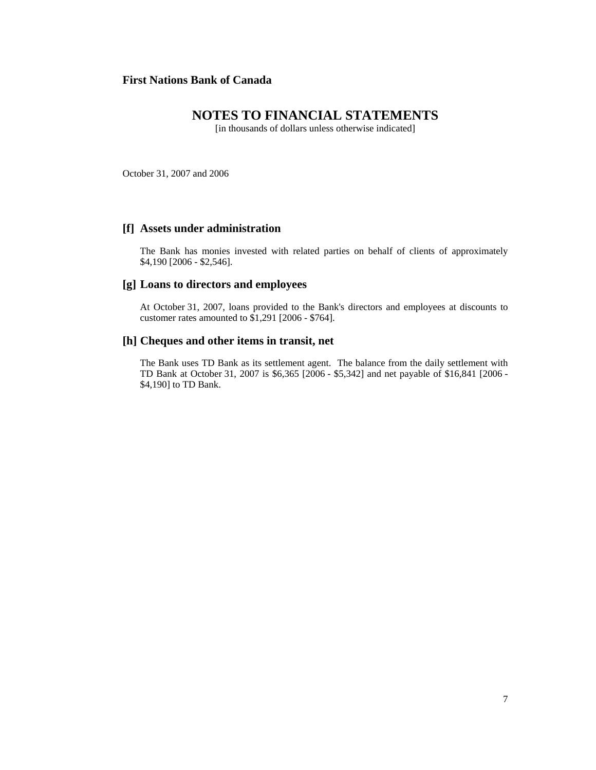# **NOTES TO FINANCIAL STATEMENTS**

[in thousands of dollars unless otherwise indicated]

October 31, 2007 and 2006

### **[f] Assets under administration**

The Bank has monies invested with related parties on behalf of clients of approximately \$4,190 [2006 - \$2,546].

### **[g] Loans to directors and employees**

At October 31, 2007, loans provided to the Bank's directors and employees at discounts to customer rates amounted to \$1,291 [2006 - \$764].

### **[h] Cheques and other items in transit, net**

The Bank uses TD Bank as its settlement agent. The balance from the daily settlement with TD Bank at October 31, 2007 is \$6,365 [2006 - \$5,342] and net payable of \$16,841 [2006 - \$4,190] to TD Bank.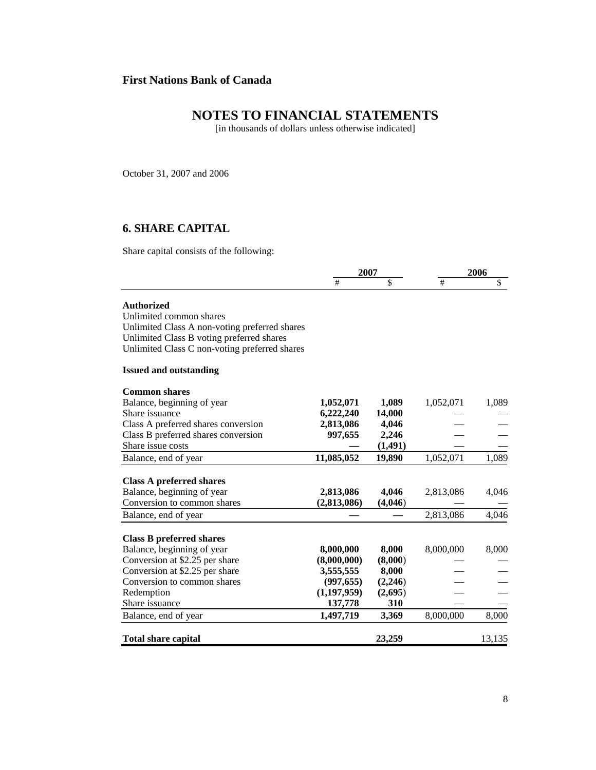# **NOTES TO FINANCIAL STATEMENTS**

[in thousands of dollars unless otherwise indicated]

October 31, 2007 and 2006

# **6. SHARE CAPITAL**

Share capital consists of the following:

|                                               | 2007          |          | 2006      |        |
|-----------------------------------------------|---------------|----------|-----------|--------|
|                                               | #             | \$       | #         | \$     |
| <b>Authorized</b>                             |               |          |           |        |
| Unlimited common shares                       |               |          |           |        |
| Unlimited Class A non-voting preferred shares |               |          |           |        |
| Unlimited Class B voting preferred shares     |               |          |           |        |
| Unlimited Class C non-voting preferred shares |               |          |           |        |
| <b>Issued and outstanding</b>                 |               |          |           |        |
| <b>Common shares</b>                          |               |          |           |        |
| Balance, beginning of year                    | 1,052,071     | 1,089    | 1,052,071 | 1,089  |
| Share issuance                                | 6,222,240     | 14,000   |           |        |
| Class A preferred shares conversion           | 2,813,086     | 4,046    |           |        |
| Class B preferred shares conversion           | 997,655       | 2,246    |           |        |
| Share issue costs                             |               | (1, 491) |           |        |
| Balance, end of year                          | 11,085,052    | 19,890   | 1,052,071 | 1,089  |
| <b>Class A preferred shares</b>               |               |          |           |        |
| Balance, beginning of year                    | 2,813,086     | 4,046    | 2,813,086 | 4,046  |
| Conversion to common shares                   | (2,813,086)   | (4,046)  |           |        |
| Balance, end of year                          |               |          | 2,813,086 | 4,046  |
| <b>Class B preferred shares</b>               |               |          |           |        |
| Balance, beginning of year                    | 8,000,000     | 8,000    | 8,000,000 | 8,000  |
| Conversion at \$2.25 per share                | (8,000,000)   | (8,000)  |           |        |
| Conversion at \$2.25 per share                | 3,555,555     | 8,000    |           |        |
| Conversion to common shares                   | (997, 655)    | (2,246)  |           |        |
| Redemption                                    | (1, 197, 959) | (2,695)  |           |        |
| Share issuance                                | 137,778       | 310      |           |        |
| Balance, end of year                          | 1,497,719     | 3,369    | 8,000,000 | 8,000  |
| <b>Total share capital</b>                    |               | 23,259   |           | 13,135 |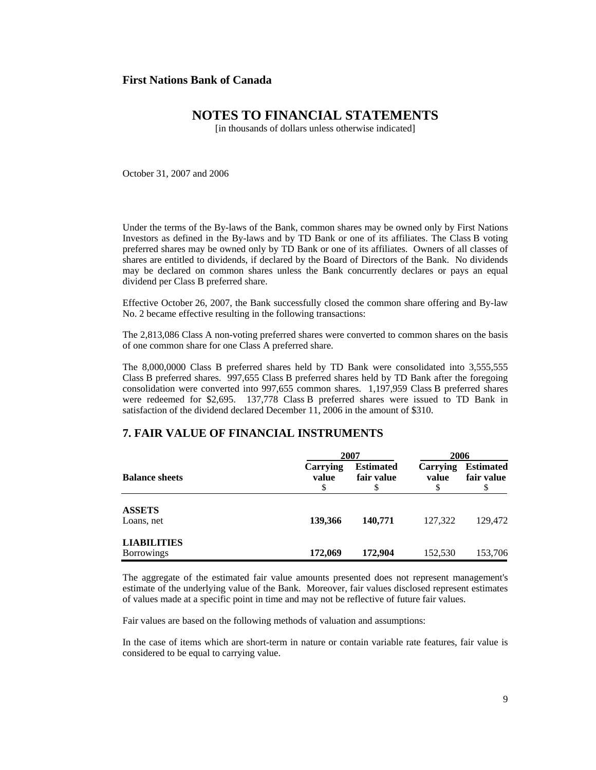# **NOTES TO FINANCIAL STATEMENTS**

[in thousands of dollars unless otherwise indicated]

October 31, 2007 and 2006

Under the terms of the By-laws of the Bank, common shares may be owned only by First Nations Investors as defined in the By-laws and by TD Bank or one of its affiliates. The Class B voting preferred shares may be owned only by TD Bank or one of its affiliates. Owners of all classes of shares are entitled to dividends, if declared by the Board of Directors of the Bank. No dividends may be declared on common shares unless the Bank concurrently declares or pays an equal dividend per Class B preferred share.

Effective October 26, 2007, the Bank successfully closed the common share offering and By-law No. 2 became effective resulting in the following transactions:

The 2,813,086 Class A non-voting preferred shares were converted to common shares on the basis of one common share for one Class A preferred share.

The 8,000,0000 Class B preferred shares held by TD Bank were consolidated into 3,555,555 Class B preferred shares. 997,655 Class B preferred shares held by TD Bank after the foregoing consolidation were converted into 997,655 common shares. 1,197,959 Class B preferred shares were redeemed for \$2,695. 137,778 Class B preferred shares were issued to TD Bank in satisfaction of the dividend declared December 11, 2006 in the amount of \$310.

## **7. FAIR VALUE OF FINANCIAL INSTRUMENTS**

|                                         |                         | 2007                           |                        |                                      |
|-----------------------------------------|-------------------------|--------------------------------|------------------------|--------------------------------------|
| <b>Balance sheets</b>                   | Carrying<br>value<br>\$ | <b>Estimated</b><br>fair value | Carrying<br>value<br>S | <b>Estimated</b><br>fair value<br>\$ |
| <b>ASSETS</b><br>Loans, net             | 139,366                 | 140,771                        | 127,322                | 129,472                              |
| <b>LIABILITIES</b><br><b>Borrowings</b> | 172,069                 | 172,904                        | 152,530                | 153,706                              |

The aggregate of the estimated fair value amounts presented does not represent management's estimate of the underlying value of the Bank. Moreover, fair values disclosed represent estimates of values made at a specific point in time and may not be reflective of future fair values.

Fair values are based on the following methods of valuation and assumptions:

In the case of items which are short-term in nature or contain variable rate features, fair value is considered to be equal to carrying value.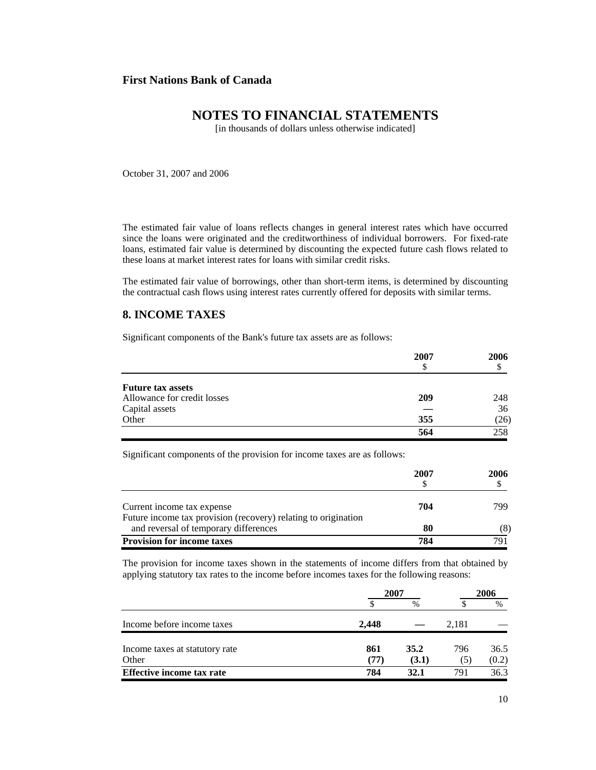# **NOTES TO FINANCIAL STATEMENTS**

[in thousands of dollars unless otherwise indicated]

October 31, 2007 and 2006

The estimated fair value of loans reflects changes in general interest rates which have occurred since the loans were originated and the creditworthiness of individual borrowers. For fixed-rate loans, estimated fair value is determined by discounting the expected future cash flows related to these loans at market interest rates for loans with similar credit risks.

The estimated fair value of borrowings, other than short-term items, is determined by discounting the contractual cash flows using interest rates currently offered for deposits with similar terms.

## **8. INCOME TAXES**

Significant components of the Bank's future tax assets are as follows:

|                             | 2007 | 2006 |
|-----------------------------|------|------|
|                             | S    |      |
| <b>Future tax assets</b>    |      |      |
| Allowance for credit losses | 209  | 248  |
| Capital assets              |      | 36   |
| Other                       | 355  | (26) |
|                             | 564  | 258  |

Significant components of the provision for income taxes are as follows:

|                                                                                                         | 2007 | 2006 |
|---------------------------------------------------------------------------------------------------------|------|------|
| Current income tax expense                                                                              | 704  | 799  |
| Future income tax provision (recovery) relating to origination<br>and reversal of temporary differences | 80   | (8)  |
| <b>Provision for income taxes</b>                                                                       | 784  | 791  |

The provision for income taxes shown in the statements of income differs from that obtained by applying statutory tax rates to the income before incomes taxes for the following reasons:

|                                  | 2007  |               | 2006  |               |
|----------------------------------|-------|---------------|-------|---------------|
|                                  |       | $\frac{0}{0}$ |       | $\frac{0}{0}$ |
| Income before income taxes       | 2.448 |               | 2,181 |               |
| Income taxes at statutory rate   | 861   | 35.2          | 796   | 36.5          |
| Other                            | (77)  | (3.1)         | (5)   | (0.2)         |
| <b>Effective income tax rate</b> | 784   | 32.1          | 791   | 36.3          |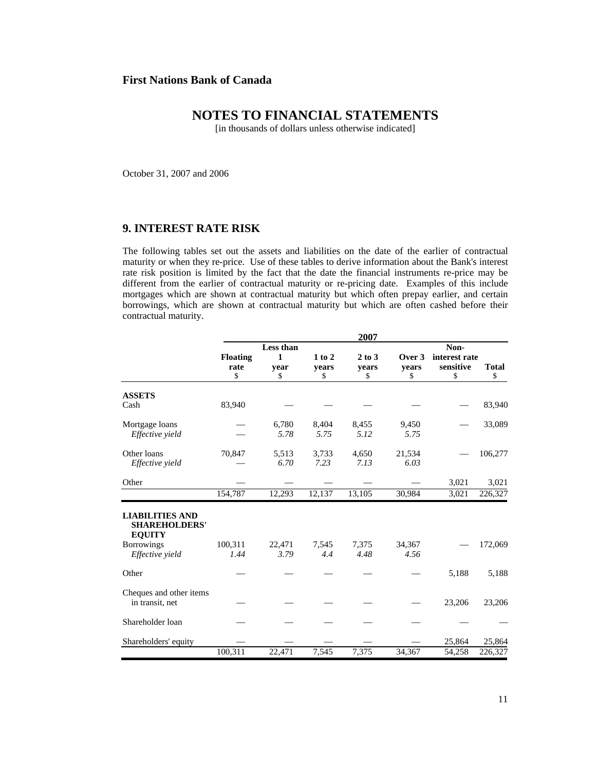# **NOTES TO FINANCIAL STATEMENTS**

[in thousands of dollars unless otherwise indicated]

October 31, 2007 and 2006

## **9. INTEREST RATE RISK**

The following tables set out the assets and liabilities on the date of the earlier of contractual maturity or when they re-price. Use of these tables to derive information about the Bank's interest rate risk position is limited by the fact that the date the financial instruments re-price may be different from the earlier of contractual maturity or re-pricing date. Examples of this include mortgages which are shown at contractual maturity but which often prepay earlier, and certain borrowings, which are shown at contractual maturity but which are often cashed before their contractual maturity.

|                                                                 | 2007            |                |              |               |                |               |              |
|-----------------------------------------------------------------|-----------------|----------------|--------------|---------------|----------------|---------------|--------------|
|                                                                 |                 | Less than      |              | Non-          |                |               |              |
|                                                                 | <b>Floating</b> | $\mathbf{1}$   | $1$ to $2$   | $2$ to $3$    | Over 3         | interest rate |              |
|                                                                 | rate            | vear           | years        | years         | vears          | sensitive     | <b>Total</b> |
|                                                                 | \$              | \$             | \$           | \$            | \$             | \$            | \$           |
| <b>ASSETS</b>                                                   |                 |                |              |               |                |               |              |
| Cash                                                            | 83,940          |                |              |               |                |               | 83,940       |
| Mortgage loans                                                  |                 | 6,780          | 8,404        | 8,455         | 9,450          |               | 33,089       |
| Effective vield                                                 |                 | 5.78           | 5.75         | 5.12          | 5.75           |               |              |
| Other loans                                                     | 70,847          | 5,513          | 3,733        | 4,650         | 21,534         |               | 106,277      |
| Effective yield                                                 |                 | 6.70           | 7.23         | 7.13          | 6.03           |               |              |
| Other                                                           |                 |                |              |               |                | 3,021         | 3,021        |
|                                                                 | 154,787         | 12,293         | 12,137       | 13,105        | 30,984         | 3,021         | 226,327      |
| <b>LIABILITIES AND</b><br><b>SHAREHOLDERS'</b><br><b>EQUITY</b> |                 |                |              |               |                |               |              |
| <b>Borrowings</b><br>Effective yield                            | 100,311<br>1.44 | 22,471<br>3.79 | 7.545<br>4.4 | 7,375<br>4.48 | 34,367<br>4.56 |               | 172,069      |
| Other                                                           |                 |                |              |               |                | 5,188         | 5,188        |
| Cheques and other items<br>in transit, net                      |                 |                |              |               |                | 23,206        | 23,206       |
| Shareholder loan                                                |                 |                |              |               |                |               |              |
| Shareholders' equity                                            |                 |                |              |               |                | 25,864        | 25,864       |
|                                                                 | 100,311         | 22,471         | 7,545        | 7,375         | 34,367         | 54,258        | 226,327      |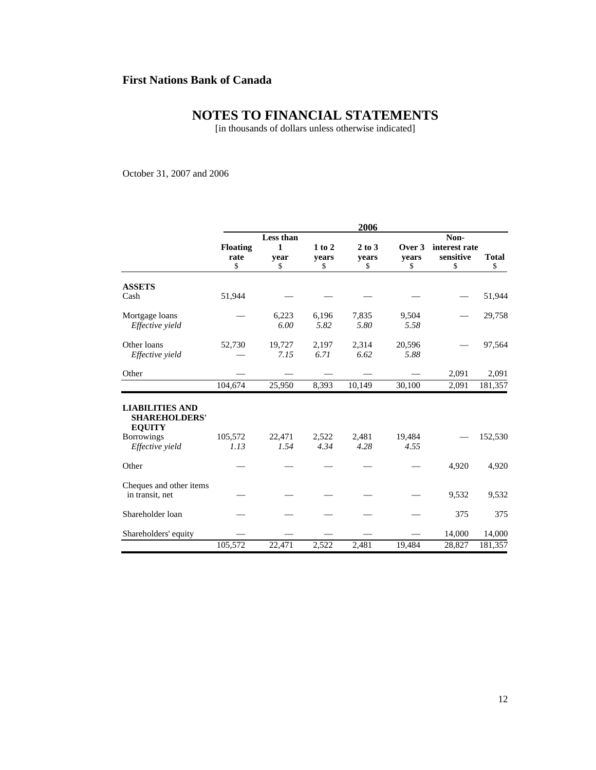# **NOTES TO FINANCIAL STATEMENTS**

[in thousands of dollars unless otherwise indicated]

October 31, 2007 and 2006

|                                                                 | 2006            |                |               |               |                |               |              |
|-----------------------------------------------------------------|-----------------|----------------|---------------|---------------|----------------|---------------|--------------|
|                                                                 | Less than       |                |               | Non-          |                |               |              |
|                                                                 | <b>Floating</b> | 1              | $1$ to $2$    | $2$ to $3$    | Over 3         | interest rate |              |
|                                                                 | rate            | year           | years         | years         | vears          | sensitive     | <b>Total</b> |
|                                                                 | \$              | \$             | \$            | \$            | \$             | \$            | \$           |
| <b>ASSETS</b>                                                   |                 |                |               |               |                |               |              |
| Cash                                                            | 51,944          |                |               |               |                |               | 51,944       |
| Mortgage loans                                                  |                 | 6,223          | 6,196         | 7,835         | 9,504          |               | 29,758       |
| Effective yield                                                 |                 | 6.00           | 5.82          | 5.80          | 5.58           |               |              |
| Other loans                                                     | 52,730          | 19,727         | 2,197         | 2,314         | 20,596         |               | 97,564       |
| Effective yield                                                 |                 | 7.15           | 6.71          | 6.62          | 5.88           |               |              |
| Other                                                           |                 |                |               |               |                | 2,091         | 2,091        |
|                                                                 | 104,674         | 25,950         | 8,393         | 10,149        | 30,100         | 2,091         | 181,357      |
| <b>LIABILITIES AND</b><br><b>SHAREHOLDERS'</b><br><b>EQUITY</b> |                 |                |               |               |                |               |              |
| <b>Borrowings</b><br>Effective yield                            | 105,572<br>1.13 | 22,471<br>1.54 | 2,522<br>4.34 | 2,481<br>4.28 | 19,484<br>4.55 |               | 152,530      |
| Other                                                           |                 |                |               |               |                | 4,920         | 4,920        |
| Cheques and other items<br>in transit, net                      |                 |                |               |               |                | 9,532         | 9,532        |
| Shareholder loan                                                |                 |                |               |               |                | 375           | 375          |
| Shareholders' equity                                            |                 |                |               |               |                | 14,000        | 14,000       |
|                                                                 | 105,572         | 22,471         | 2,522         | 2,481         | 19,484         | 28,827        | 181,357      |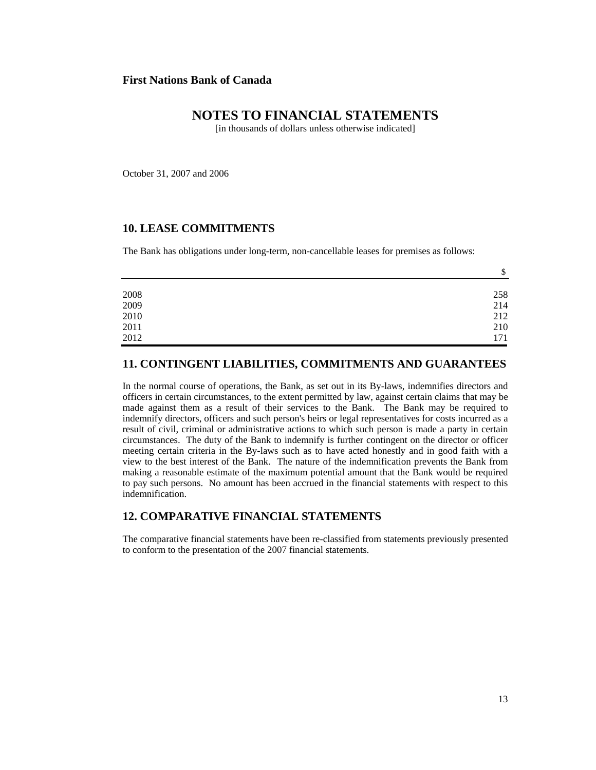## **NOTES TO FINANCIAL STATEMENTS**

[in thousands of dollars unless otherwise indicated]

October 31, 2007 and 2006

### **10. LEASE COMMITMENTS**

The Bank has obligations under long-term, non-cancellable leases for premises as follows:

|                                                     | \$  |
|-----------------------------------------------------|-----|
|                                                     |     |
|                                                     | 258 |
|                                                     | 214 |
| $\begin{array}{c} 2008 \\ 2009 \\ 2010 \end{array}$ | 212 |
| 2011                                                | 210 |
| 2012                                                | 171 |

## **11. CONTINGENT LIABILITIES, COMMITMENTS AND GUARANTEES**

In the normal course of operations, the Bank, as set out in its By-laws, indemnifies directors and officers in certain circumstances, to the extent permitted by law, against certain claims that may be made against them as a result of their services to the Bank. The Bank may be required to indemnify directors, officers and such person's heirs or legal representatives for costs incurred as a result of civil, criminal or administrative actions to which such person is made a party in certain circumstances. The duty of the Bank to indemnify is further contingent on the director or officer meeting certain criteria in the By-laws such as to have acted honestly and in good faith with a view to the best interest of the Bank. The nature of the indemnification prevents the Bank from making a reasonable estimate of the maximum potential amount that the Bank would be required to pay such persons. No amount has been accrued in the financial statements with respect to this indemnification.

## **12. COMPARATIVE FINANCIAL STATEMENTS**

The comparative financial statements have been re-classified from statements previously presented to conform to the presentation of the 2007 financial statements.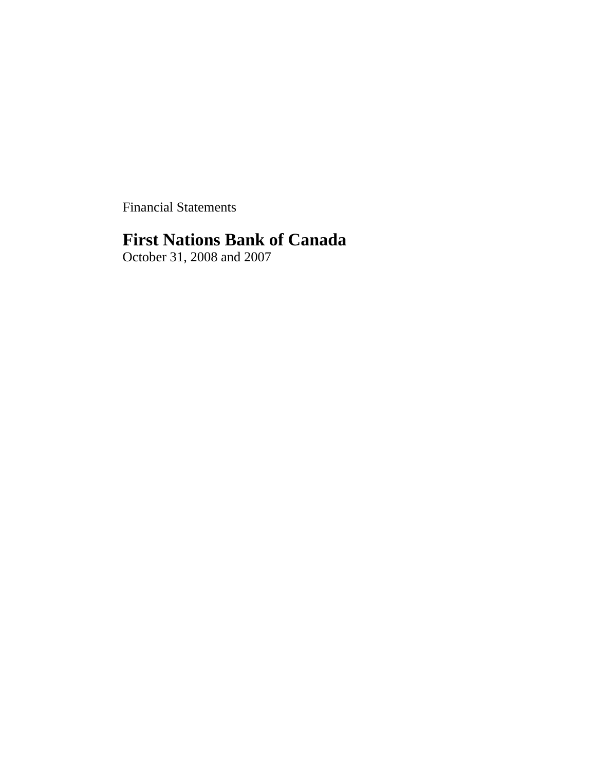Financial Statements

# **First Nations Bank of Canada**

October 31, 2008 and 2007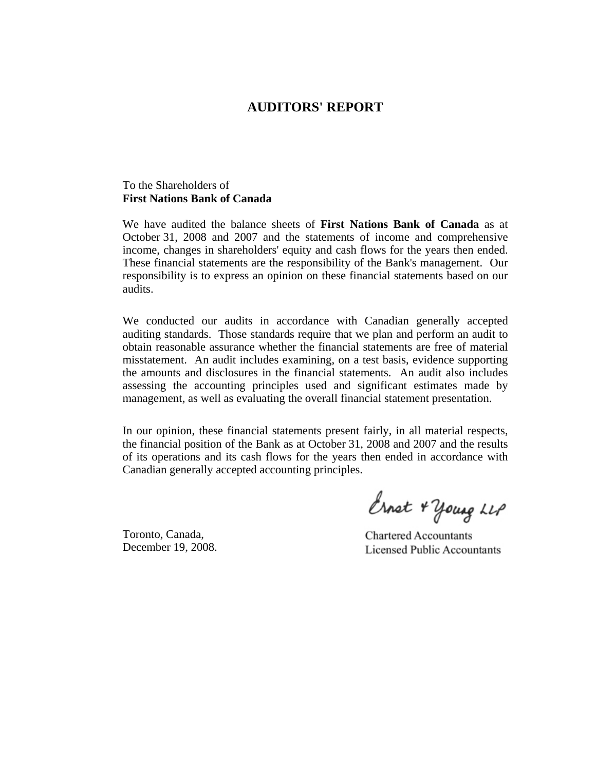# **AUDITORS' REPORT**

## To the Shareholders of **First Nations Bank of Canada**

We have audited the balance sheets of **First Nations Bank of Canada** as at October 31, 2008 and 2007 and the statements of income and comprehensive income, changes in shareholders' equity and cash flows for the years then ended. These financial statements are the responsibility of the Bank's management. Our responsibility is to express an opinion on these financial statements based on our audits.

We conducted our audits in accordance with Canadian generally accepted auditing standards. Those standards require that we plan and perform an audit to obtain reasonable assurance whether the financial statements are free of material misstatement. An audit includes examining, on a test basis, evidence supporting the amounts and disclosures in the financial statements. An audit also includes assessing the accounting principles used and significant estimates made by management, as well as evaluating the overall financial statement presentation.

In our opinion, these financial statements present fairly, in all material respects, the financial position of the Bank as at October 31, 2008 and 2007 and the results of its operations and its cash flows for the years then ended in accordance with Canadian generally accepted accounting principles.

Toronto, Canada, December 19, 2008.

Ernet + young LLP

**Chartered Accountants Licensed Public Accountants**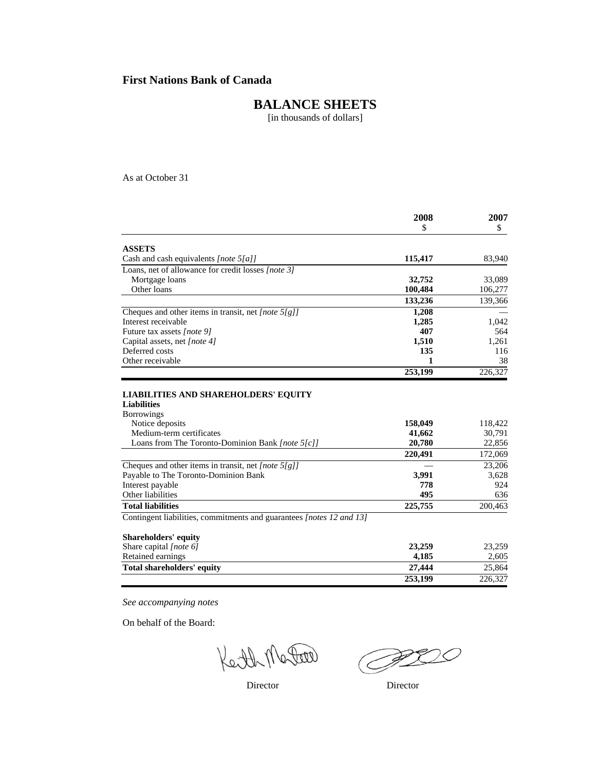# **BALANCE SHEETS**

[in thousands of dollars]

As at October 31

|                                                                      | 2008    | 2007    |  |
|----------------------------------------------------------------------|---------|---------|--|
|                                                                      | \$      | \$      |  |
| <b>ASSETS</b>                                                        |         |         |  |
| Cash and cash equivalents [note 5[a]]                                | 115,417 | 83,940  |  |
| Loans, net of allowance for credit losses [note 3]                   |         |         |  |
| Mortgage loans                                                       | 32,752  | 33,089  |  |
| Other loans                                                          | 100,484 | 106,277 |  |
|                                                                      | 133,236 | 139,366 |  |
| Cheques and other items in transit, net [note $5/g$ ]                | 1,208   |         |  |
| Interest receivable                                                  | 1,285   | 1,042   |  |
| Future tax assets [note 9]                                           | 407     | 564     |  |
| Capital assets, net [note 4]                                         | 1,510   | 1,261   |  |
| Deferred costs                                                       | 135     | 116     |  |
| Other receivable                                                     | 1       | 38      |  |
|                                                                      | 253,199 | 226,327 |  |
| <b>Liabilities</b><br><b>Borrowings</b>                              |         |         |  |
|                                                                      |         |         |  |
| Notice deposits                                                      | 158,049 | 118,422 |  |
| Medium-term certificates                                             | 41,662  | 30,791  |  |
| Loans from The Toronto-Dominion Bank [note 5[c]]                     | 20,780  | 22,856  |  |
|                                                                      | 220,491 | 172,069 |  |
| Cheques and other items in transit, net [note 5[g]]                  |         | 23,206  |  |
| Payable to The Toronto-Dominion Bank                                 | 3,991   | 3,628   |  |
| Interest payable                                                     | 778     | 924     |  |
| Other liabilities                                                    | 495     | 636     |  |
| <b>Total liabilities</b>                                             | 225,755 | 200,463 |  |
| Contingent liabilities, commitments and guarantees [notes 12 and 13] |         |         |  |
| <b>Shareholders' equity</b>                                          |         |         |  |
| Share capital [note 6]                                               | 23,259  | 23,259  |  |
| Retained earnings                                                    | 4,185   | 2,605   |  |
| <b>Total shareholders' equity</b>                                    | 27,444  | 25.864  |  |

 **253,199** 226,327

*See accompanying notes*

On behalf of the Board:

Ceth Mater

**PROC** II.

Director Director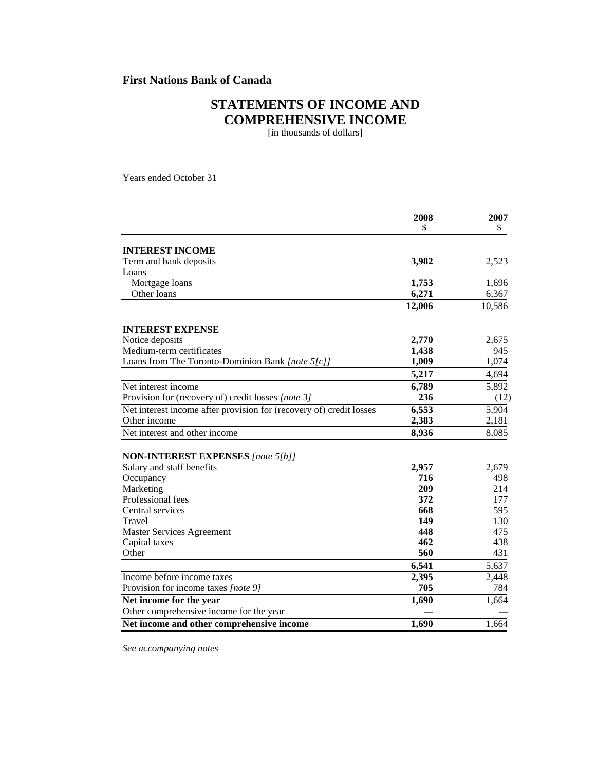# **STATEMENTS OF INCOME AND COMPREHENSIVE INCOME**

[in thousands of dollars]

Years ended October 31

|                                                                     | 2008   | 2007   |
|---------------------------------------------------------------------|--------|--------|
|                                                                     | \$     | \$     |
| <b>INTEREST INCOME</b>                                              |        |        |
| Term and bank deposits                                              | 3,982  | 2,523  |
| Loans                                                               |        |        |
| Mortgage loans                                                      | 1,753  | 1,696  |
| Other loans                                                         | 6,271  | 6,367  |
|                                                                     | 12,006 | 10,586 |
| <b>INTEREST EXPENSE</b>                                             |        |        |
| Notice deposits                                                     | 2,770  | 2,675  |
| Medium-term certificates                                            | 1,438  | 945    |
| Loans from The Toronto-Dominion Bank [note 5[c]]                    | 1,009  | 1,074  |
|                                                                     | 5,217  | 4,694  |
| Net interest income                                                 | 6,789  | 5,892  |
| Provision for (recovery of) credit losses [note 3]                  | 236    | (12)   |
| Net interest income after provision for (recovery of) credit losses | 6,553  | 5,904  |
| Other income                                                        | 2,383  | 2,181  |
| Net interest and other income                                       | 8,936  | 8,085  |
|                                                                     |        |        |
| <b>NON-INTEREST EXPENSES</b> [note 5[b]]                            |        |        |
| Salary and staff benefits                                           | 2,957  | 2,679  |
| Occupancy                                                           | 716    | 498    |
| Marketing                                                           | 209    | 214    |
| Professional fees                                                   | 372    | 177    |
| Central services                                                    | 668    | 595    |
| Travel                                                              | 149    | 130    |
| <b>Master Services Agreement</b>                                    | 448    | 475    |
| Capital taxes                                                       | 462    | 438    |
| Other                                                               | 560    | 431    |
|                                                                     | 6,541  | 5,637  |
| Income before income taxes                                          | 2,395  | 2,448  |
| Provision for income taxes [note 9]                                 | 705    | 784    |
| Net income for the year                                             | 1,690  | 1,664  |
| Other comprehensive income for the year                             |        |        |
| Net income and other comprehensive income                           | 1,690  | 1,664  |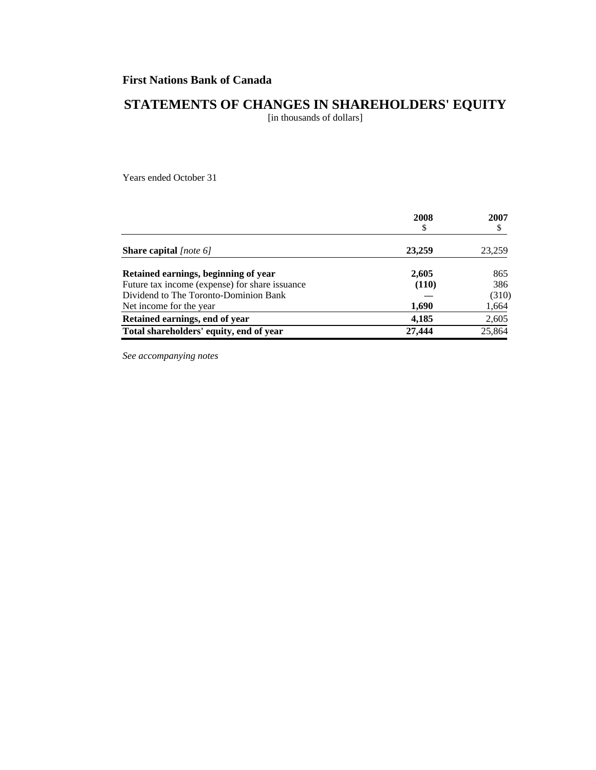# **STATEMENTS OF CHANGES IN SHAREHOLDERS' EQUITY**

[in thousands of dollars]

Years ended October 31

|                                                | 2008<br>\$ | 2007<br>\$ |
|------------------------------------------------|------------|------------|
| <b>Share capital</b> [note 6]                  | 23,259     | 23,259     |
| Retained earnings, beginning of year           | 2,605      | 865        |
| Future tax income (expense) for share issuance | (110)      | 386        |
| Dividend to The Toronto-Dominion Bank          |            | (310)      |
| Net income for the year.                       | 1,690      | 1,664      |
| Retained earnings, end of year                 | 4,185      | 2,605      |
| Total shareholders' equity, end of year        | 27,444     | 25,864     |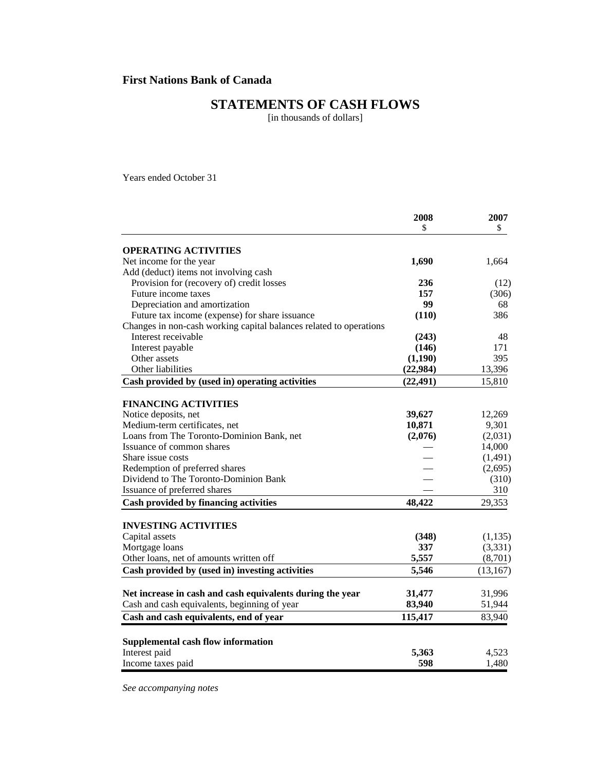# **STATEMENTS OF CASH FLOWS**

[in thousands of dollars]

Years ended October 31

|                                                                         | 2008      | 2007      |
|-------------------------------------------------------------------------|-----------|-----------|
|                                                                         | \$        | \$        |
| <b>OPERATING ACTIVITIES</b>                                             |           |           |
| Net income for the year                                                 | 1,690     | 1,664     |
| Add (deduct) items not involving cash                                   |           |           |
| Provision for (recovery of) credit losses                               | 236       | (12)      |
| Future income taxes                                                     | 157       | (306)     |
| Depreciation and amortization                                           | 99        | 68        |
| Future tax income (expense) for share issuance                          | (110)     | 386       |
| Changes in non-cash working capital balances related to operations      |           |           |
| Interest receivable                                                     | (243)     | 48        |
| Interest payable                                                        | (146)     | 171       |
| Other assets                                                            | (1,190)   | 395       |
| Other liabilities                                                       | (22, 984) | 13,396    |
| Cash provided by (used in) operating activities                         | (22, 491) | 15,810    |
|                                                                         |           |           |
| <b>FINANCING ACTIVITIES</b>                                             |           |           |
| Notice deposits, net                                                    | 39,627    | 12,269    |
| Medium-term certificates, net                                           | 10,871    | 9,301     |
| Loans from The Toronto-Dominion Bank, net                               | (2,076)   | (2,031)   |
| Issuance of common shares                                               |           | 14,000    |
| Share issue costs                                                       |           | (1,491)   |
| Redemption of preferred shares<br>Dividend to The Toronto-Dominion Bank |           | (2,695)   |
|                                                                         |           | (310)     |
| Issuance of preferred shares                                            |           | 310       |
| Cash provided by financing activities                                   | 48,422    | 29,353    |
| <b>INVESTING ACTIVITIES</b>                                             |           |           |
| Capital assets                                                          | (348)     | (1, 135)  |
| Mortgage loans                                                          | 337       | (3,331)   |
| Other loans, net of amounts written off                                 | 5,557     | (8,701)   |
| Cash provided by (used in) investing activities                         | 5,546     | (13, 167) |
|                                                                         |           |           |
| Net increase in cash and cash equivalents during the year               | 31,477    | 31,996    |
| Cash and cash equivalents, beginning of year                            | 83,940    | 51,944    |
| Cash and cash equivalents, end of year                                  | 115,417   | 83,940    |
| Supplemental cash flow information                                      |           |           |
| Interest paid                                                           | 5,363     | 4,523     |
| Income taxes paid                                                       | 598       | 1,480     |
|                                                                         |           |           |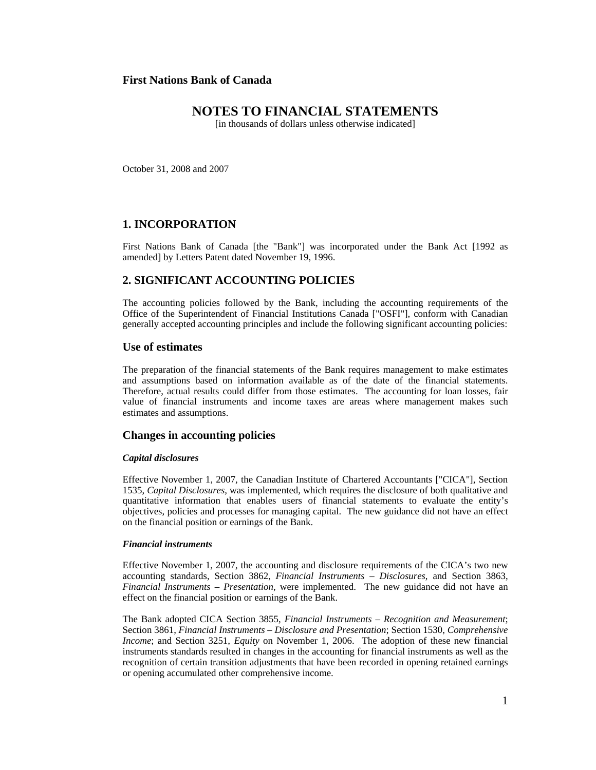# **NOTES TO FINANCIAL STATEMENTS**

[in thousands of dollars unless otherwise indicated]

October 31, 2008 and 2007

## **1. INCORPORATION**

First Nations Bank of Canada [the "Bank"] was incorporated under the Bank Act [1992 as amended] by Letters Patent dated November 19, 1996.

## **2. SIGNIFICANT ACCOUNTING POLICIES**

The accounting policies followed by the Bank, including the accounting requirements of the Office of the Superintendent of Financial Institutions Canada ["OSFI"], conform with Canadian generally accepted accounting principles and include the following significant accounting policies:

## **Use of estimates**

The preparation of the financial statements of the Bank requires management to make estimates and assumptions based on information available as of the date of the financial statements. Therefore, actual results could differ from those estimates. The accounting for loan losses, fair value of financial instruments and income taxes are areas where management makes such estimates and assumptions.

## **Changes in accounting policies**

#### *Capital disclosures*

Effective November 1, 2007, the Canadian Institute of Chartered Accountants ["CICA"], Section 1535, *Capital Disclosures,* was implemented*,* which requires the disclosure of both qualitative and quantitative information that enables users of financial statements to evaluate the entity's objectives, policies and processes for managing capital. The new guidance did not have an effect on the financial position or earnings of the Bank.

#### *Financial instruments*

Effective November 1, 2007, the accounting and disclosure requirements of the CICA's two new accounting standards, Section 3862, *Financial Instruments – Disclosures*, and Section 3863, *Financial Instruments – Presentation*, were implemented. The new guidance did not have an effect on the financial position or earnings of the Bank.

The Bank adopted CICA Section 3855, *Financial Instruments – Recognition and Measurement*; Section 3861, *Financial Instruments – Disclosure and Presentation*; Section 1530, *Comprehensive Income*; and Section 3251, *Equity* on November 1, 2006. The adoption of these new financial instruments standards resulted in changes in the accounting for financial instruments as well as the recognition of certain transition adjustments that have been recorded in opening retained earnings or opening accumulated other comprehensive income.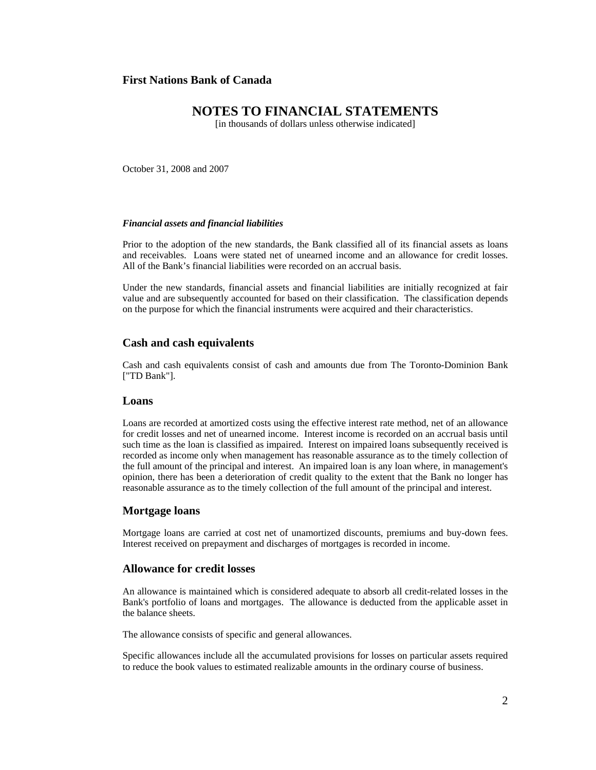# **NOTES TO FINANCIAL STATEMENTS**

[in thousands of dollars unless otherwise indicated]

October 31, 2008 and 2007

#### *Financial assets and financial liabilities*

Prior to the adoption of the new standards, the Bank classified all of its financial assets as loans and receivables. Loans were stated net of unearned income and an allowance for credit losses. All of the Bank's financial liabilities were recorded on an accrual basis.

Under the new standards, financial assets and financial liabilities are initially recognized at fair value and are subsequently accounted for based on their classification. The classification depends on the purpose for which the financial instruments were acquired and their characteristics.

### **Cash and cash equivalents**

Cash and cash equivalents consist of cash and amounts due from The Toronto-Dominion Bank ["TD Bank"].

## **Loans**

Loans are recorded at amortized costs using the effective interest rate method, net of an allowance for credit losses and net of unearned income. Interest income is recorded on an accrual basis until such time as the loan is classified as impaired. Interest on impaired loans subsequently received is recorded as income only when management has reasonable assurance as to the timely collection of the full amount of the principal and interest. An impaired loan is any loan where, in management's opinion, there has been a deterioration of credit quality to the extent that the Bank no longer has reasonable assurance as to the timely collection of the full amount of the principal and interest.

### **Mortgage loans**

Mortgage loans are carried at cost net of unamortized discounts, premiums and buy-down fees. Interest received on prepayment and discharges of mortgages is recorded in income.

## **Allowance for credit losses**

An allowance is maintained which is considered adequate to absorb all credit-related losses in the Bank's portfolio of loans and mortgages. The allowance is deducted from the applicable asset in the balance sheets.

The allowance consists of specific and general allowances.

Specific allowances include all the accumulated provisions for losses on particular assets required to reduce the book values to estimated realizable amounts in the ordinary course of business.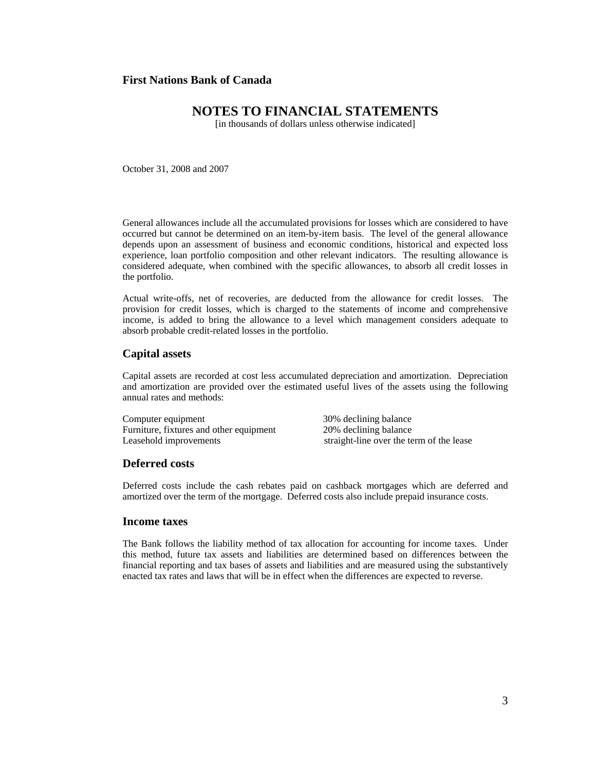# **NOTES TO FINANCIAL STATEMENTS**

[in thousands of dollars unless otherwise indicated]

October 31, 2008 and 2007

General allowances include all the accumulated provisions for losses which are considered to have occurred but cannot be determined on an item-by-item basis. The level of the general allowance depends upon an assessment of business and economic conditions, historical and expected loss experience, loan portfolio composition and other relevant indicators. The resulting allowance is considered adequate, when combined with the specific allowances, to absorb all credit losses in the portfolio.

Actual write-offs, net of recoveries, are deducted from the allowance for credit losses. The provision for credit losses, which is charged to the statements of income and comprehensive income, is added to bring the allowance to a level which management considers adequate to absorb probable credit-related losses in the portfolio.

### **Capital assets**

Capital assets are recorded at cost less accumulated depreciation and amortization. Depreciation and amortization are provided over the estimated useful lives of the assets using the following annual rates and methods:

Computer equipment 30% declining balance Furniture, fixtures and other equipment 20% declining balance Leasehold improvements straight-line over the term of the lease

#### **Deferred costs**

Deferred costs include the cash rebates paid on cashback mortgages which are deferred and amortized over the term of the mortgage. Deferred costs also include prepaid insurance costs.

### **Income taxes**

The Bank follows the liability method of tax allocation for accounting for income taxes. Under this method, future tax assets and liabilities are determined based on differences between the financial reporting and tax bases of assets and liabilities and are measured using the substantively enacted tax rates and laws that will be in effect when the differences are expected to reverse.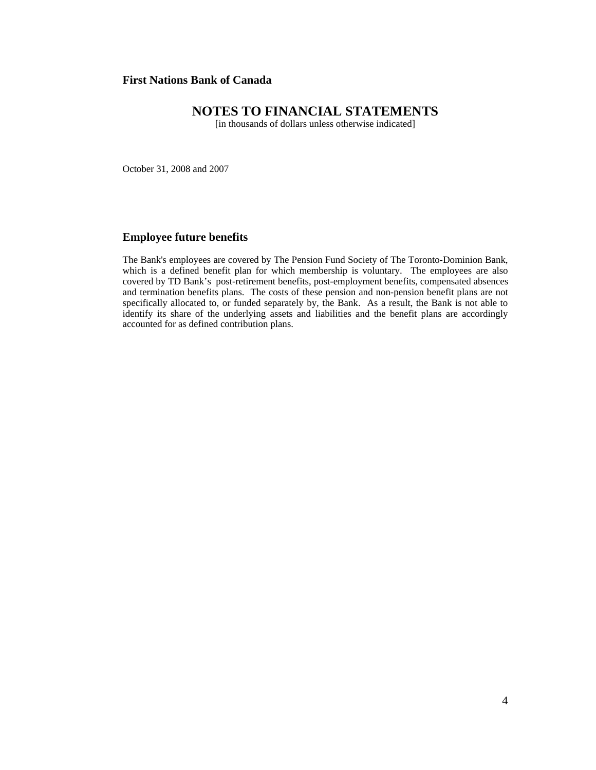# **NOTES TO FINANCIAL STATEMENTS**

[in thousands of dollars unless otherwise indicated]

October 31, 2008 and 2007

# **Employee future benefits**

The Bank's employees are covered by The Pension Fund Society of The Toronto-Dominion Bank, which is a defined benefit plan for which membership is voluntary. The employees are also covered by TD Bank's post-retirement benefits, post-employment benefits, compensated absences and termination benefits plans. The costs of these pension and non-pension benefit plans are not specifically allocated to, or funded separately by, the Bank. As a result, the Bank is not able to identify its share of the underlying assets and liabilities and the benefit plans are accordingly accounted for as defined contribution plans.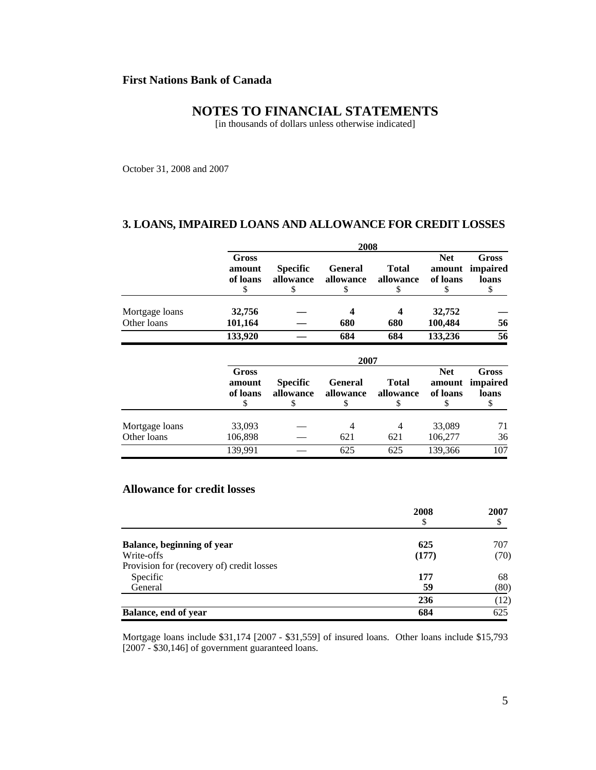# **NOTES TO FINANCIAL STATEMENTS**

[in thousands of dollars unless otherwise indicated]

October 31, 2008 and 2007

## **3. LOANS, IMPAIRED LOANS AND ALLOWANCE FOR CREDIT LOSSES**

|                               | 2008                              |                                   |                                   |                                 |                                       |                                        |  |
|-------------------------------|-----------------------------------|-----------------------------------|-----------------------------------|---------------------------------|---------------------------------------|----------------------------------------|--|
|                               | Gross<br>amount<br>of loans<br>\$ | <b>Specific</b><br>allowance<br>S | <b>General</b><br>allowance<br>\$ | <b>Total</b><br>allowance<br>\$ | <b>Net</b><br>amount<br>of loans<br>S | <b>Gross</b><br>impaired<br>loans<br>S |  |
| Mortgage loans<br>Other loans | 32,756<br>101,164                 |                                   | 680                               | 4<br>680                        | 32,752<br>100,484                     | 56                                     |  |
|                               | 133,920                           |                                   | 684                               | 684                             | 133,236                               | 56                                     |  |
|                               |                                   |                                   | 2007                              |                                 |                                       |                                        |  |
|                               | Gross<br>amount<br>of loans<br>\$ | <b>Specific</b><br>allowance<br>S | <b>General</b><br>allowance<br>S  | <b>Total</b><br>allowance<br>\$ | <b>Net</b><br>amount<br>of loans<br>S | <b>Gross</b><br>impaired<br>loans<br>S |  |
| Mortgage loans<br>Other loans | 33,093<br>106,898                 |                                   | 4<br>621                          | 4<br>621                        | 33,089<br>106,277                     | 71<br>36                               |  |
|                               | 139,991                           |                                   | 625                               | 625                             | 139,366                               | 107                                    |  |

# **Allowance for credit losses**

|                                           | 2008  | 2007 |  |
|-------------------------------------------|-------|------|--|
|                                           | \$    | \$   |  |
| <b>Balance, beginning of year</b>         | 625   | 707  |  |
| Write-offs                                | (177) | (70) |  |
| Provision for (recovery of) credit losses |       |      |  |
| Specific                                  | 177   | 68   |  |
| General                                   | 59    | (80) |  |
|                                           | 236   | (12) |  |
| Balance, end of year                      | 684   | 625  |  |

Mortgage loans include \$31,174 [2007 - \$31,559] of insured loans. Other loans include \$15,793 [2007 - \$30,146] of government guaranteed loans.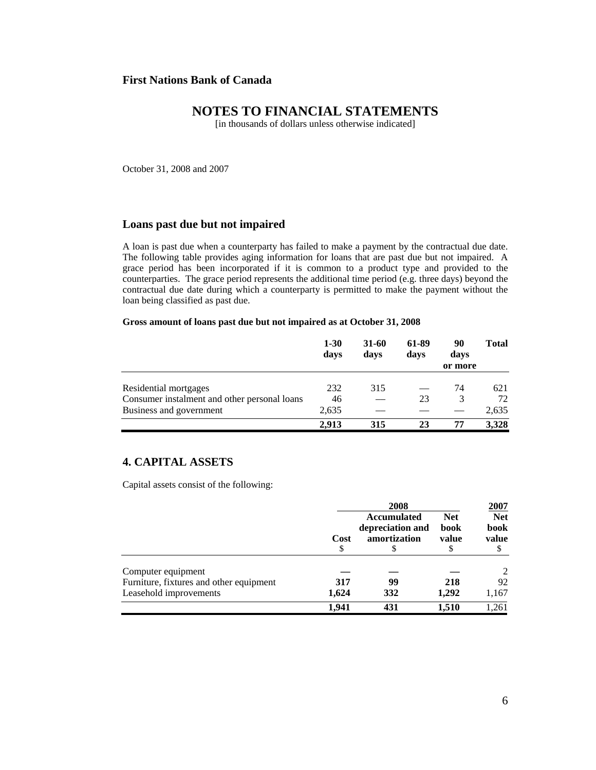# **NOTES TO FINANCIAL STATEMENTS**

[in thousands of dollars unless otherwise indicated]

October 31, 2008 and 2007

## **Loans past due but not impaired**

A loan is past due when a counterparty has failed to make a payment by the contractual due date. The following table provides aging information for loans that are past due but not impaired. A grace period has been incorporated if it is common to a product type and provided to the counterparties. The grace period represents the additional time period (e.g. three days) beyond the contractual due date during which a counterparty is permitted to make the payment without the loan being classified as past due.

#### **Gross amount of loans past due but not impaired as at October 31, 2008**

|                                              | $1 - 30$<br>days | 31-60<br>davs | 61-89<br>days | 90<br>days<br>or more | <b>Total</b> |
|----------------------------------------------|------------------|---------------|---------------|-----------------------|--------------|
| Residential mortgages                        | 232              | 315           |               | 74                    | 621          |
| Consumer instalment and other personal loans | 46               |               | 23            | 3                     | 72           |
| Business and government                      | 2,635            |               |               |                       | 2,635        |
|                                              | 2.913            | 315           | 23            | 77                    | 3.328        |

# **4. CAPITAL ASSETS**

Capital assets consist of the following:

|                                         | 2008       |                                                        |                             | 2007                        |
|-----------------------------------------|------------|--------------------------------------------------------|-----------------------------|-----------------------------|
|                                         | Cost<br>\$ | <b>Accumulated</b><br>depreciation and<br>amortization | <b>Net</b><br>book<br>value | <b>Net</b><br>book<br>value |
| Computer equipment                      |            |                                                        |                             | 2                           |
| Furniture, fixtures and other equipment | 317        | 99                                                     | 218                         | 92                          |
| Leasehold improvements                  | 1,624      | 332                                                    | 1,292                       | 1,167                       |
|                                         | 1.941      | 431                                                    | 1.510                       | .261                        |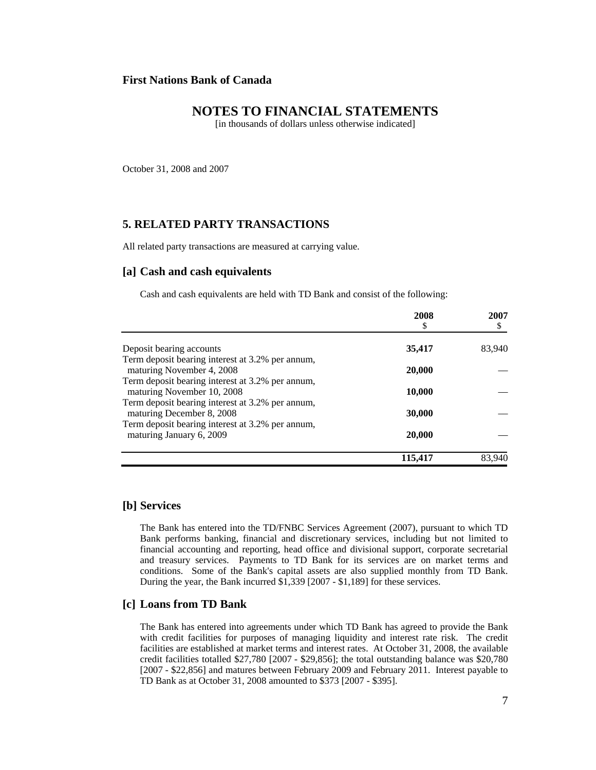# **NOTES TO FINANCIAL STATEMENTS**

[in thousands of dollars unless otherwise indicated]

October 31, 2008 and 2007

## **5. RELATED PARTY TRANSACTIONS**

All related party transactions are measured at carrying value.

### **[a] Cash and cash equivalents**

Cash and cash equivalents are held with TD Bank and consist of the following:

|                                                                                | 2008<br>\$ | 2007<br>\$ |
|--------------------------------------------------------------------------------|------------|------------|
| Deposit bearing accounts                                                       | 35,417     | 83,940     |
| Term deposit bearing interest at 3.2% per annum,<br>maturing November 4, 2008  | 20,000     |            |
| Term deposit bearing interest at 3.2% per annum,<br>maturing November 10, 2008 | 10,000     |            |
| Term deposit bearing interest at 3.2% per annum,<br>maturing December 8, 2008  | 30,000     |            |
| Term deposit bearing interest at 3.2% per annum,<br>maturing January 6, 2009   | 20,000     |            |
|                                                                                | 115,417    | 83.940     |

### **[b] Services**

The Bank has entered into the TD/FNBC Services Agreement (2007), pursuant to which TD Bank performs banking, financial and discretionary services, including but not limited to financial accounting and reporting, head office and divisional support, corporate secretarial and treasury services. Payments to TD Bank for its services are on market terms and conditions. Some of the Bank's capital assets are also supplied monthly from TD Bank. During the year, the Bank incurred \$1,339 [2007 - \$1,189] for these services.

## **[c] Loans from TD Bank**

The Bank has entered into agreements under which TD Bank has agreed to provide the Bank with credit facilities for purposes of managing liquidity and interest rate risk. The credit facilities are established at market terms and interest rates. At October 31, 2008, the available credit facilities totalled \$27,780 [2007 - \$29,856]; the total outstanding balance was \$20,780 [2007 - \$22,856] and matures between February 2009 and February 2011. Interest payable to TD Bank as at October 31, 2008 amounted to \$373 [2007 - \$395].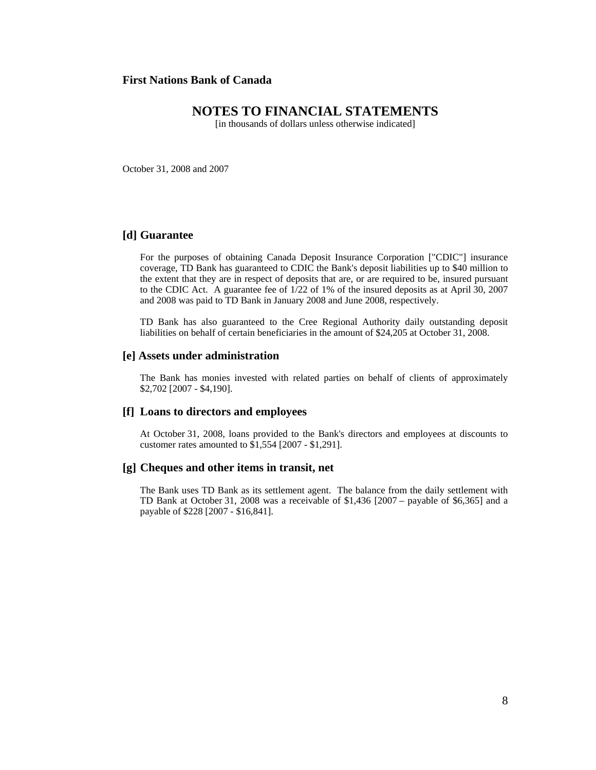# **NOTES TO FINANCIAL STATEMENTS**

[in thousands of dollars unless otherwise indicated]

October 31, 2008 and 2007

## **[d] Guarantee**

For the purposes of obtaining Canada Deposit Insurance Corporation ["CDIC"] insurance coverage, TD Bank has guaranteed to CDIC the Bank's deposit liabilities up to \$40 million to the extent that they are in respect of deposits that are, or are required to be, insured pursuant to the CDIC Act. A guarantee fee of 1/22 of 1% of the insured deposits as at April 30, 2007 and 2008 was paid to TD Bank in January 2008 and June 2008, respectively.

TD Bank has also guaranteed to the Cree Regional Authority daily outstanding deposit liabilities on behalf of certain beneficiaries in the amount of \$24,205 at October 31, 2008.

### **[e] Assets under administration**

The Bank has monies invested with related parties on behalf of clients of approximately \$2,702 [2007 - \$4,190].

## **[f] Loans to directors and employees**

At October 31, 2008, loans provided to the Bank's directors and employees at discounts to customer rates amounted to \$1,554 [2007 - \$1,291].

#### **[g] Cheques and other items in transit, net**

The Bank uses TD Bank as its settlement agent. The balance from the daily settlement with TD Bank at October 31, 2008 was a receivable of \$1,436 [2007 – payable of \$6,365] and a payable of \$228 [2007 - \$16,841].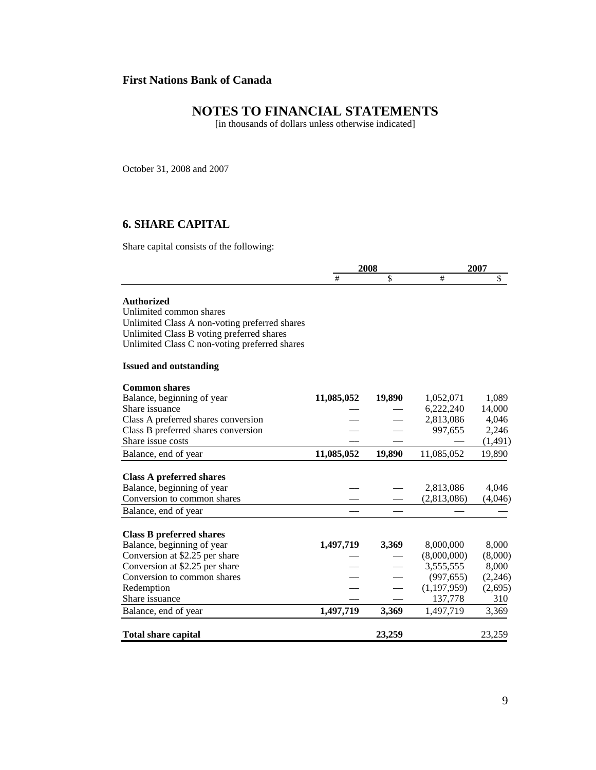# **NOTES TO FINANCIAL STATEMENTS**

[in thousands of dollars unless otherwise indicated]

October 31, 2008 and 2007

# **6. SHARE CAPITAL**

Share capital consists of the following:

|                                                                  | 2008       |        |                          | 2007             |  |
|------------------------------------------------------------------|------------|--------|--------------------------|------------------|--|
|                                                                  | #          | \$     | #                        | $\overline{\$}$  |  |
| <b>Authorized</b>                                                |            |        |                          |                  |  |
| Unlimited common shares                                          |            |        |                          |                  |  |
| Unlimited Class A non-voting preferred shares                    |            |        |                          |                  |  |
| Unlimited Class B voting preferred shares                        |            |        |                          |                  |  |
| Unlimited Class C non-voting preferred shares                    |            |        |                          |                  |  |
| <b>Issued and outstanding</b>                                    |            |        |                          |                  |  |
| <b>Common shares</b>                                             |            |        |                          |                  |  |
| Balance, beginning of year                                       | 11,085,052 | 19,890 | 1,052,071                | 1,089            |  |
| Share issuance                                                   |            |        | 6,222,240                | 14,000           |  |
| Class A preferred shares conversion                              |            |        | 2,813,086                | 4,046            |  |
| Class B preferred shares conversion                              |            |        | 997,655                  | 2,246            |  |
| Share issue costs                                                |            |        |                          | (1,491)          |  |
| Balance, end of year                                             | 11,085,052 | 19,890 | 11,085,052               | 19,890           |  |
| <b>Class A preferred shares</b>                                  |            |        |                          |                  |  |
| Balance, beginning of year                                       |            |        | 2,813,086                | 4,046            |  |
| Conversion to common shares                                      |            |        | (2,813,086)              | (4,046)          |  |
| Balance, end of year                                             |            |        |                          |                  |  |
|                                                                  |            |        |                          |                  |  |
| <b>Class B preferred shares</b>                                  |            |        |                          |                  |  |
| Balance, beginning of year                                       | 1,497,719  | 3,369  | 8,000,000                | 8,000            |  |
| Conversion at \$2.25 per share<br>Conversion at \$2.25 per share |            |        | (8,000,000)<br>3,555,555 | (8,000)<br>8,000 |  |
| Conversion to common shares                                      |            |        |                          |                  |  |
|                                                                  |            |        | (997, 655)               | (2,246)          |  |
| Redemption                                                       |            |        | (1, 197, 959)            | (2,695)<br>310   |  |
| Share issuance                                                   |            |        | 137,778                  |                  |  |
| Balance, end of year                                             | 1,497,719  | 3,369  | 1,497,719                | 3,369            |  |
| <b>Total share capital</b>                                       |            | 23,259 |                          | 23,259           |  |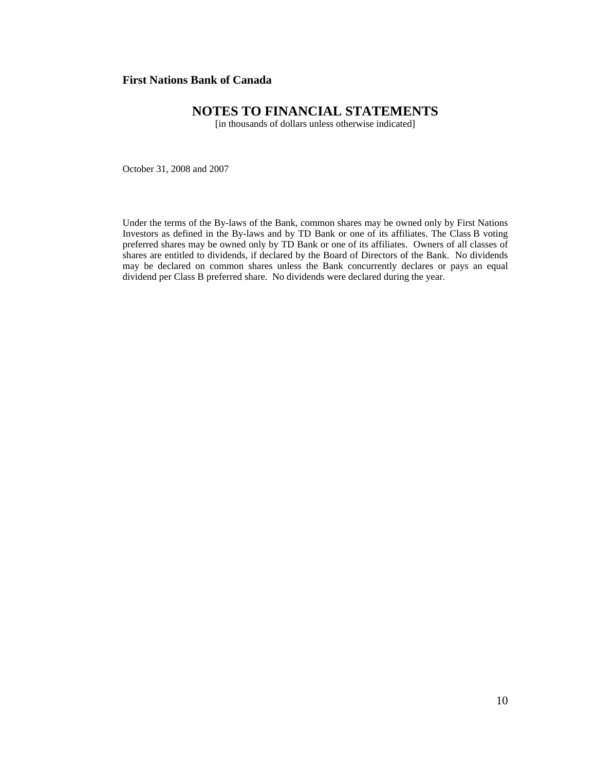# **NOTES TO FINANCIAL STATEMENTS**

[in thousands of dollars unless otherwise indicated]

October 31, 2008 and 2007

Under the terms of the By-laws of the Bank, common shares may be owned only by First Nations Investors as defined in the By-laws and by TD Bank or one of its affiliates. The Class B voting preferred shares may be owned only by TD Bank or one of its affiliates. Owners of all classes of shares are entitled to dividends, if declared by the Board of Directors of the Bank. No dividends may be declared on common shares unless the Bank concurrently declares or pays an equal dividend per Class B preferred share. No dividends were declared during the year.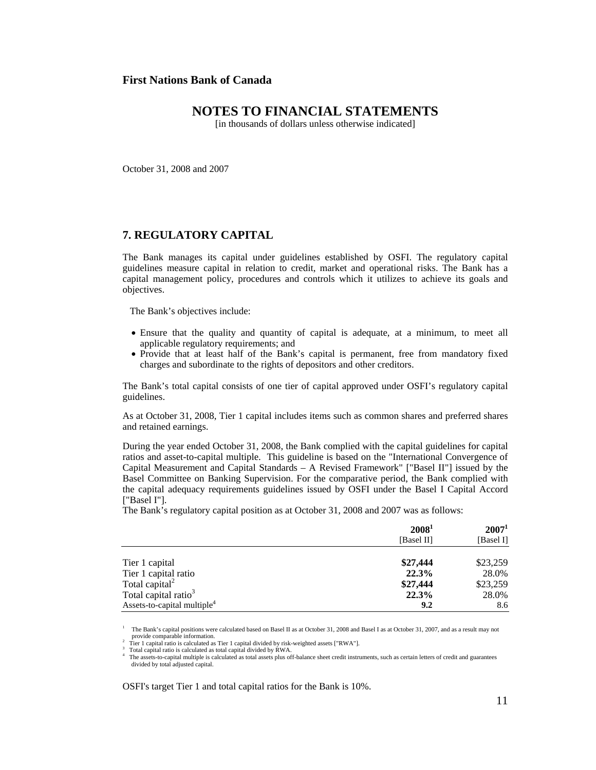# **NOTES TO FINANCIAL STATEMENTS**

[in thousands of dollars unless otherwise indicated]

October 31, 2008 and 2007

## **7. REGULATORY CAPITAL**

The Bank manages its capital under guidelines established by OSFI. The regulatory capital guidelines measure capital in relation to credit, market and operational risks. The Bank has a capital management policy, procedures and controls which it utilizes to achieve its goals and objectives.

The Bank's objectives include:

- Ensure that the quality and quantity of capital is adequate, at a minimum, to meet all applicable regulatory requirements; and
- Provide that at least half of the Bank's capital is permanent, free from mandatory fixed charges and subordinate to the rights of depositors and other creditors.

The Bank's total capital consists of one tier of capital approved under OSFI's regulatory capital guidelines.

As at October 31, 2008, Tier 1 capital includes items such as common shares and preferred shares and retained earnings.

During the year ended October 31, 2008, the Bank complied with the capital guidelines for capital ratios and asset-to-capital multiple. This guideline is based on the "International Convergence of Capital Measurement and Capital Standards – A Revised Framework" ["Basel II"] issued by the Basel Committee on Banking Supervision. For the comparative period, the Bank complied with the capital adequacy requirements guidelines issued by OSFI under the Basel I Capital Accord ["Basel I"].

The Bank's regulatory capital position as at October 31, 2008 and 2007 was as follows:

|                                         | 2008 <sup>1</sup> | $2007^1$  |
|-----------------------------------------|-------------------|-----------|
|                                         | [Basel II]        | [Basel I] |
| Tier 1 capital                          | \$27,444          | \$23,259  |
| Tier 1 capital ratio                    | 22.3%             | 28.0%     |
| Total capital <sup>2</sup>              | \$27,444          | \$23,259  |
| Total capital ratio <sup>3</sup>        | 22.3%             | 28.0%     |
| Assets-to-capital multiple <sup>4</sup> | 9.2               | 8.6       |

<sup>1</sup> The Bank's capital positions were calculated based on Basel II as at October 31, 2008 and Basel I as at October 31, 2007, and as a result may not provide comparable information.<br><sup>2</sup> Tier 1 capital ratio is calculated as Tier 1 capital divided by risk-weighted assets ["RWA"].

 $^3$  Total capital ratio is calculated as total capital divided by RWA.<br> $^4$  The assets-to-capital multiple is calculated as total assets plus off-balance sheet credit instruments, such as certain letters of credit and gu divided by total adjusted capital.

OSFI's target Tier 1 and total capital ratios for the Bank is 10%.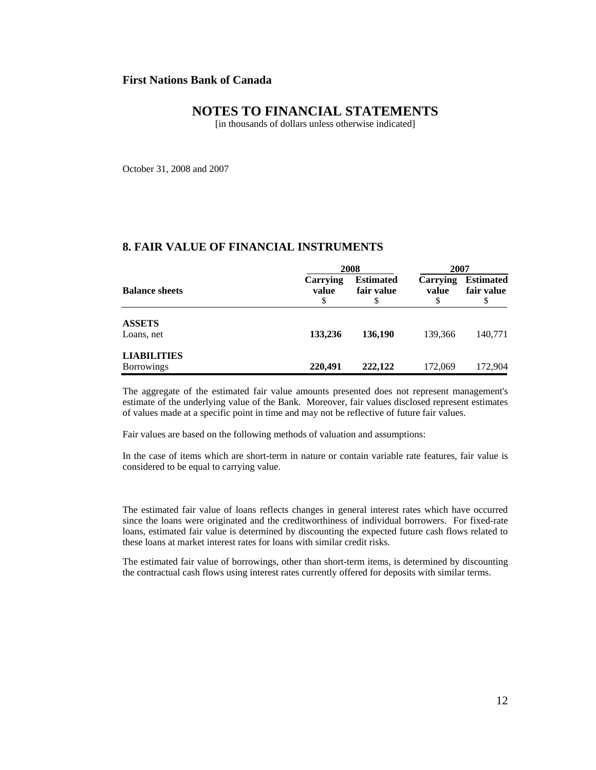# **NOTES TO FINANCIAL STATEMENTS**

[in thousands of dollars unless otherwise indicated]

October 31, 2008 and 2007

## **8. FAIR VALUE OF FINANCIAL INSTRUMENTS**

|                                         | 2008                   |                                | 2007                     |                                     |  |
|-----------------------------------------|------------------------|--------------------------------|--------------------------|-------------------------------------|--|
| <b>Balance sheets</b>                   | Carrying<br>value<br>S | <b>Estimated</b><br>fair value | <b>Carrying</b><br>value | <b>Estimated</b><br>fair value<br>S |  |
| <b>ASSETS</b><br>Loans, net             | 133,236                | 136,190                        | 139,366                  | 140,771                             |  |
| <b>LIABILITIES</b><br><b>Borrowings</b> | 220,491                | 222,122                        | 172,069                  | 172,904                             |  |

The aggregate of the estimated fair value amounts presented does not represent management's estimate of the underlying value of the Bank. Moreover, fair values disclosed represent estimates of values made at a specific point in time and may not be reflective of future fair values.

Fair values are based on the following methods of valuation and assumptions:

In the case of items which are short-term in nature or contain variable rate features, fair value is considered to be equal to carrying value.

The estimated fair value of loans reflects changes in general interest rates which have occurred since the loans were originated and the creditworthiness of individual borrowers. For fixed-rate loans, estimated fair value is determined by discounting the expected future cash flows related to these loans at market interest rates for loans with similar credit risks.

The estimated fair value of borrowings, other than short-term items, is determined by discounting the contractual cash flows using interest rates currently offered for deposits with similar terms.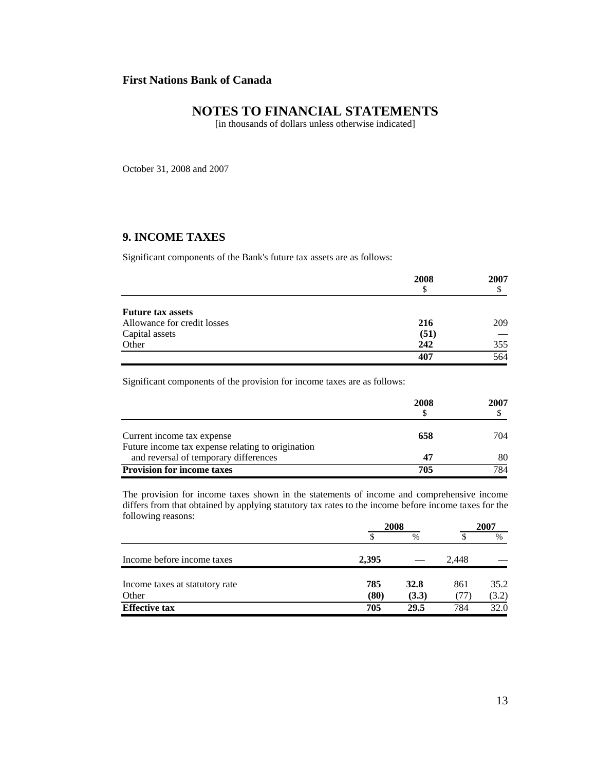# **NOTES TO FINANCIAL STATEMENTS**

[in thousands of dollars unless otherwise indicated]

October 31, 2008 and 2007

# **9. INCOME TAXES**

Significant components of the Bank's future tax assets are as follows:

|                             | 2008<br>\$ | 2007 |
|-----------------------------|------------|------|
| <b>Future tax assets</b>    |            |      |
| Allowance for credit losses | 216        | 209  |
| Capital assets              | (51)       |      |
| Other                       | 242        | 355  |
|                             | 407        | 564  |

Significant components of the provision for income taxes are as follows:

|                                                   | 2008 | 2007 |
|---------------------------------------------------|------|------|
| Current income tax expense                        | 658  | 704  |
| Future income tax expense relating to origination |      |      |
| and reversal of temporary differences             | 47   | 80   |
| <b>Provision for income taxes</b>                 | 705  | 784  |

The provision for income taxes shown in the statements of income and comprehensive income differs from that obtained by applying statutory tax rates to the income before income taxes for the following reasons:

|                                | 2008  |       | 2007  |       |
|--------------------------------|-------|-------|-------|-------|
|                                |       | $\%$  |       | $\%$  |
| Income before income taxes     | 2,395 |       | 2,448 |       |
| Income taxes at statutory rate | 785   | 32.8  | 861   | 35.2  |
| Other                          | (80)  | (3.3) | (77)  | (3.2) |
| <b>Effective tax</b>           | 705   | 29.5  | 784   | 32.0  |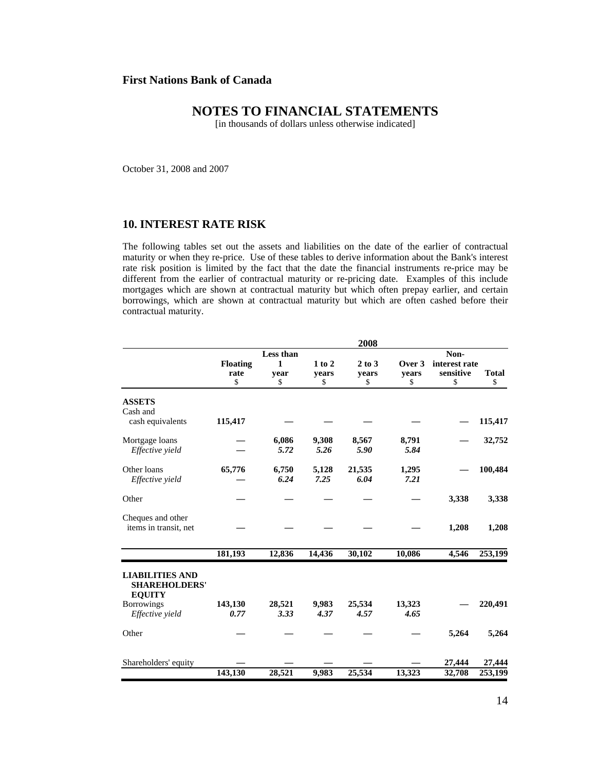# **NOTES TO FINANCIAL STATEMENTS**

[in thousands of dollars unless otherwise indicated]

October 31, 2008 and 2007

## **10. INTEREST RATE RISK**

The following tables set out the assets and liabilities on the date of the earlier of contractual maturity or when they re-price. Use of these tables to derive information about the Bank's interest rate risk position is limited by the fact that the date the financial instruments re-price may be different from the earlier of contractual maturity or re-pricing date. Examples of this include mortgages which are shown at contractual maturity but which often prepay earlier, and certain borrowings, which are shown at contractual maturity but which are often cashed before their contractual maturity.

|                                                                 |                               |                              |                           | 2008                  |                       |                                          |                    |
|-----------------------------------------------------------------|-------------------------------|------------------------------|---------------------------|-----------------------|-----------------------|------------------------------------------|--------------------|
|                                                                 | <b>Floating</b><br>rate<br>\$ | Less than<br>1<br>vear<br>\$ | $1$ to $2$<br>vears<br>\$ | 2 to 3<br>vears<br>\$ | Over 3<br>vears<br>\$ | Non-<br>interest rate<br>sensitive<br>\$ | <b>Total</b><br>\$ |
| <b>ASSETS</b><br>Cash and<br>cash equivalents                   | 115,417                       |                              |                           |                       |                       |                                          | 115,417            |
| Mortgage loans<br>Effective yield                               |                               | 6,086<br>5.72                | 9,308<br>5.26             | 8,567<br>5.90         | 8,791<br>5.84         |                                          | 32,752             |
| Other loans<br>Effective yield                                  | 65,776                        | 6,750<br>6.24                | 5,128<br>7.25             | 21,535<br>6.04        | 1,295<br>7.21         |                                          | 100,484            |
| Other                                                           |                               |                              |                           |                       |                       | 3,338                                    | 3,338              |
| Cheques and other<br>items in transit, net                      |                               |                              |                           |                       |                       | 1,208                                    | 1,208              |
|                                                                 | 181,193                       | 12,836                       | 14,436                    | 30,102                | 10,086                | 4,546                                    | 253,199            |
| <b>LIABILITIES AND</b><br><b>SHAREHOLDERS'</b><br><b>EQUITY</b> |                               |                              |                           |                       |                       |                                          |                    |
| <b>Borrowings</b><br>Effective yield                            | 143,130<br>0.77               | 28,521<br>3.33               | 9,983<br>4.37             | 25,534<br>4.57        | 13,323<br>4.65        |                                          | 220,491            |
| Other                                                           |                               |                              |                           |                       |                       | 5,264                                    | 5,264              |
| Shareholders' equity                                            |                               |                              |                           |                       |                       | 27,444                                   | 27,444             |
|                                                                 | 143,130                       | 28,521                       | 9,983                     | 25,534                | 13,323                | 32,708                                   | 253,199            |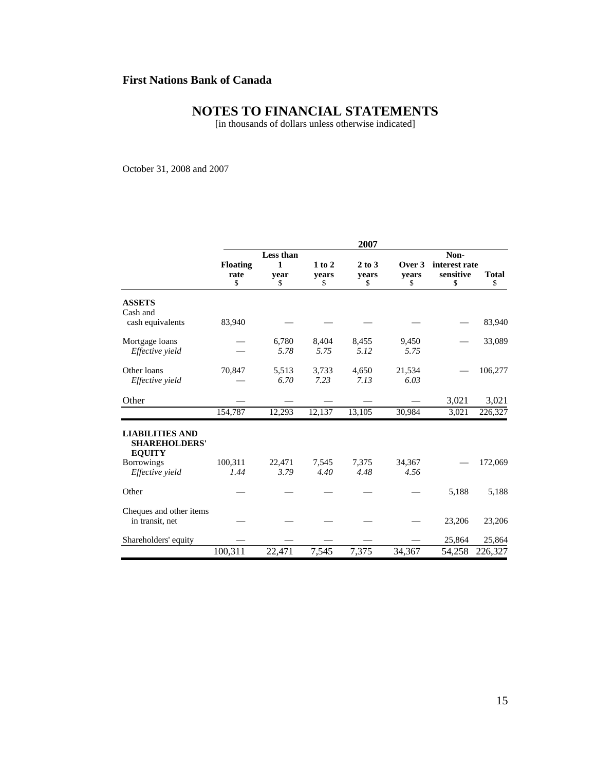# **NOTES TO FINANCIAL STATEMENTS**

[in thousands of dollars unless otherwise indicated]

October 31, 2008 and 2007

|                                                                 |                         |           |                     | 2007            |                 |                            |              |
|-----------------------------------------------------------------|-------------------------|-----------|---------------------|-----------------|-----------------|----------------------------|--------------|
|                                                                 | Less than               |           |                     |                 |                 | Non-                       |              |
|                                                                 | <b>Floating</b><br>rate | 1<br>vear | $1$ to $2$<br>vears | 2 to 3<br>vears | Over 3<br>vears | interest rate<br>sensitive | <b>Total</b> |
|                                                                 | \$                      | \$        | \$                  | \$              | \$              | \$                         | \$           |
| <b>ASSETS</b><br>Cash and                                       |                         |           |                     |                 |                 |                            |              |
| cash equivalents                                                | 83,940                  |           |                     |                 |                 |                            | 83,940       |
| Mortgage loans                                                  |                         | 6,780     | 8,404               | 8,455           | 9,450           |                            | 33,089       |
| Effective yield                                                 |                         | 5.78      | 5.75                | 5.12            | 5.75            |                            |              |
| Other loans                                                     | 70,847                  | 5,513     | 3,733               | 4,650           | 21,534          |                            | 106,277      |
| Effective yield                                                 |                         | 6.70      | 7.23                | 7.13            | 6.03            |                            |              |
| Other                                                           |                         |           |                     |                 |                 | 3,021                      | 3,021        |
|                                                                 | 154,787                 | 12,293    | 12,137              | 13,105          | 30,984          | 3,021                      | 226,327      |
| <b>LIABILITIES AND</b><br><b>SHAREHOLDERS'</b><br><b>EQUITY</b> |                         |           |                     |                 |                 |                            |              |
| <b>Borrowings</b>                                               | 100,311                 | 22,471    | 7,545               | 7,375           | 34,367          |                            | 172,069      |
| Effective yield                                                 | 1.44                    | 3.79      | 4.40                | 4.48            | 4.56            |                            |              |
| Other                                                           |                         |           |                     |                 |                 | 5,188                      | 5,188        |
| Cheques and other items<br>in transit, net                      |                         |           |                     |                 |                 | 23,206                     | 23,206       |
| Shareholders' equity                                            |                         |           |                     |                 |                 | 25,864                     | 25,864       |
|                                                                 | 100,311                 | 22,471    | 7,545               | 7,375           | 34,367          | 54,258                     | 226,327      |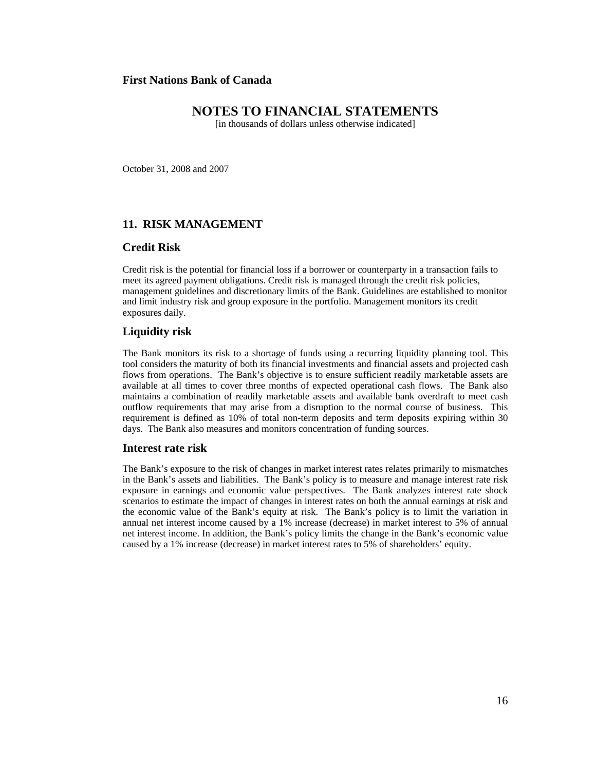# **NOTES TO FINANCIAL STATEMENTS**

[in thousands of dollars unless otherwise indicated]

October 31, 2008 and 2007

## **11. RISK MANAGEMENT**

#### **Credit Risk**

Credit risk is the potential for financial loss if a borrower or counterparty in a transaction fails to meet its agreed payment obligations. Credit risk is managed through the credit risk policies, management guidelines and discretionary limits of the Bank. Guidelines are established to monitor and limit industry risk and group exposure in the portfolio. Management monitors its credit exposures daily.

#### **Liquidity risk**

The Bank monitors its risk to a shortage of funds using a recurring liquidity planning tool. This tool considers the maturity of both its financial investments and financial assets and projected cash flows from operations. The Bank's objective is to ensure sufficient readily marketable assets are available at all times to cover three months of expected operational cash flows. The Bank also maintains a combination of readily marketable assets and available bank overdraft to meet cash outflow requirements that may arise from a disruption to the normal course of business. This requirement is defined as 10% of total non-term deposits and term deposits expiring within 30 days. The Bank also measures and monitors concentration of funding sources.

#### **Interest rate risk**

The Bank's exposure to the risk of changes in market interest rates relates primarily to mismatches in the Bank's assets and liabilities. The Bank's policy is to measure and manage interest rate risk exposure in earnings and economic value perspectives. The Bank analyzes interest rate shock scenarios to estimate the impact of changes in interest rates on both the annual earnings at risk and the economic value of the Bank's equity at risk. The Bank's policy is to limit the variation in annual net interest income caused by a 1% increase (decrease) in market interest to 5% of annual net interest income. In addition, the Bank's policy limits the change in the Bank's economic value caused by a 1% increase (decrease) in market interest rates to 5% of shareholders' equity.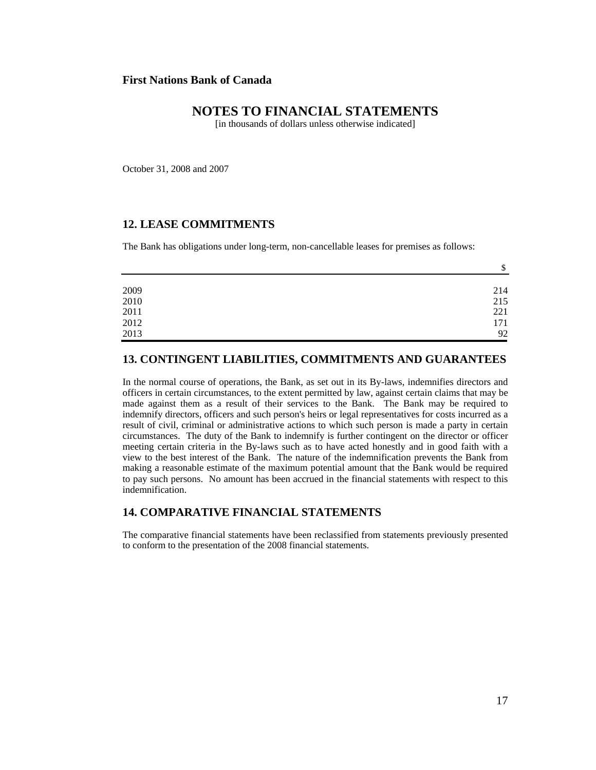# **NOTES TO FINANCIAL STATEMENTS**

[in thousands of dollars unless otherwise indicated]

October 31, 2008 and 2007

## **12. LEASE COMMITMENTS**

The Bank has obligations under long-term, non-cancellable leases for premises as follows:

|                                             | \$  |
|---------------------------------------------|-----|
|                                             |     |
|                                             | 214 |
| $\begin{array}{c} 2009 \\ 2010 \end{array}$ | 215 |
| $2011\,$                                    | 221 |
| 2012                                        | 171 |
| 2013                                        | 92  |

#### **13. CONTINGENT LIABILITIES, COMMITMENTS AND GUARANTEES**

In the normal course of operations, the Bank, as set out in its By-laws, indemnifies directors and officers in certain circumstances, to the extent permitted by law, against certain claims that may be made against them as a result of their services to the Bank. The Bank may be required to indemnify directors, officers and such person's heirs or legal representatives for costs incurred as a result of civil, criminal or administrative actions to which such person is made a party in certain circumstances. The duty of the Bank to indemnify is further contingent on the director or officer meeting certain criteria in the By-laws such as to have acted honestly and in good faith with a view to the best interest of the Bank. The nature of the indemnification prevents the Bank from making a reasonable estimate of the maximum potential amount that the Bank would be required to pay such persons. No amount has been accrued in the financial statements with respect to this indemnification.

## **14. COMPARATIVE FINANCIAL STATEMENTS**

The comparative financial statements have been reclassified from statements previously presented to conform to the presentation of the 2008 financial statements.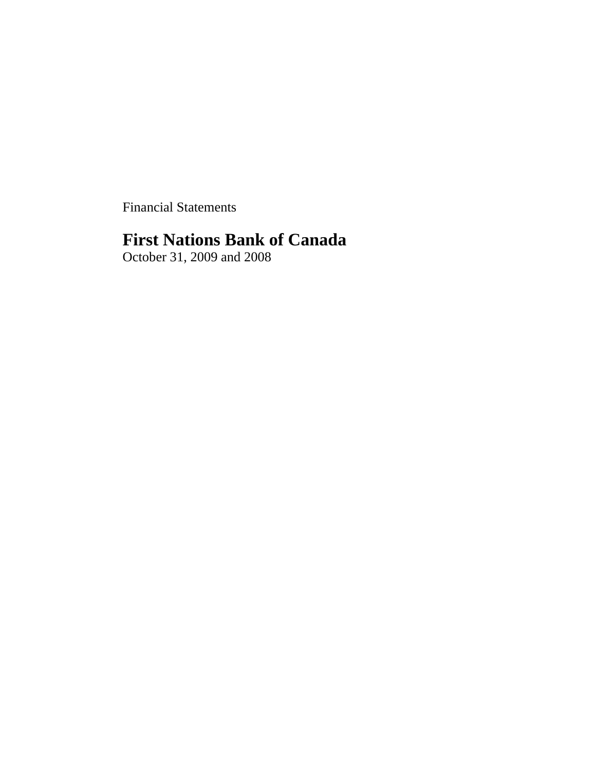Financial Statements

# **First Nations Bank of Canada**

October 31, 2009 and 2008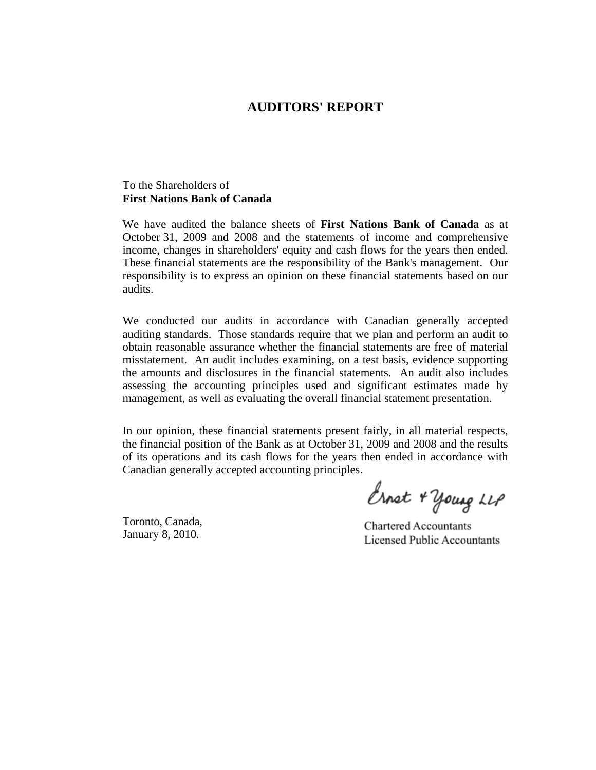# **AUDITORS' REPORT**

## To the Shareholders of **First Nations Bank of Canada**

We have audited the balance sheets of **First Nations Bank of Canada** as at October 31, 2009 and 2008 and the statements of income and comprehensive income, changes in shareholders' equity and cash flows for the years then ended. These financial statements are the responsibility of the Bank's management. Our responsibility is to express an opinion on these financial statements based on our audits.

We conducted our audits in accordance with Canadian generally accepted auditing standards. Those standards require that we plan and perform an audit to obtain reasonable assurance whether the financial statements are free of material misstatement. An audit includes examining, on a test basis, evidence supporting the amounts and disclosures in the financial statements. An audit also includes assessing the accounting principles used and significant estimates made by management, as well as evaluating the overall financial statement presentation.

In our opinion, these financial statements present fairly, in all material respects, the financial position of the Bank as at October 31, 2009 and 2008 and the results of its operations and its cash flows for the years then ended in accordance with Canadian generally accepted accounting principles.

Toronto, Canada, January 8, 2010.

Ernst + young LLP

**Chartered Accountants Licensed Public Accountants**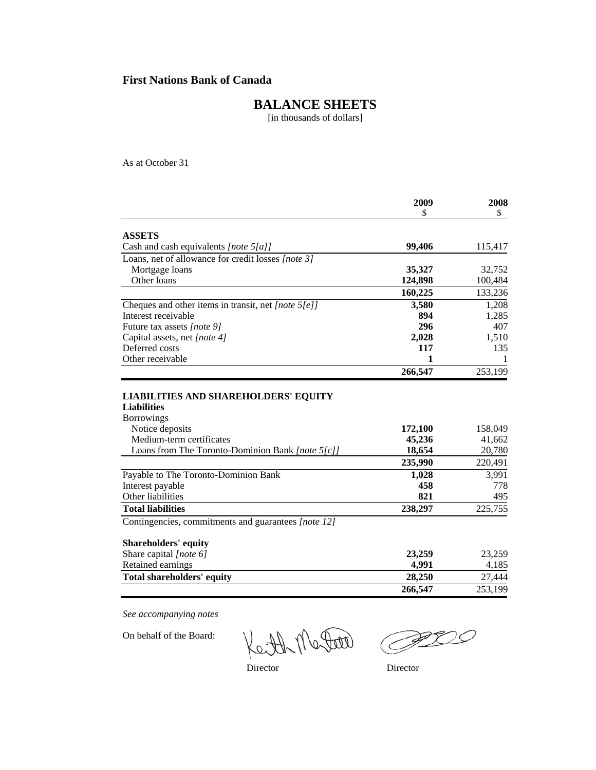# **BALANCE SHEETS**

[in thousands of dollars]

As at October 31

|                                                                                                                                            | 2009                        | 2008                        |
|--------------------------------------------------------------------------------------------------------------------------------------------|-----------------------------|-----------------------------|
|                                                                                                                                            | \$                          | \$                          |
| <b>ASSETS</b>                                                                                                                              |                             |                             |
| Cash and cash equivalents [note 5[a]]                                                                                                      | 99,406                      | 115,417                     |
| Loans, net of allowance for credit losses [note 3]                                                                                         |                             |                             |
| Mortgage loans                                                                                                                             | 35,327                      | 32,752                      |
| Other loans                                                                                                                                | 124,898                     | 100,484                     |
|                                                                                                                                            | 160,225                     | 133,236                     |
| Cheques and other items in transit, net [note 5[e]]                                                                                        | 3,580                       | 1,208                       |
| Interest receivable                                                                                                                        | 894                         | 1,285                       |
| Future tax assets [note 9]                                                                                                                 | 296                         | 407                         |
| Capital assets, net [note 4]                                                                                                               | 2,028                       | 1,510                       |
| Deferred costs                                                                                                                             | 117                         | 135                         |
| Other receivable                                                                                                                           | 1                           | 1                           |
|                                                                                                                                            | 266,547                     | 253,199                     |
| <b>Liabilities</b><br><b>Borrowings</b><br>Notice deposits<br>Medium-term certificates<br>Loans from The Toronto-Dominion Bank [note 5[c]] | 172,100<br>45,236<br>18,654 | 158,049<br>41,662<br>20,780 |
|                                                                                                                                            | 235,990                     | 220,491                     |
| Payable to The Toronto-Dominion Bank                                                                                                       | 1,028                       | 3,991                       |
| Interest payable                                                                                                                           | 458                         | 778                         |
| Other liabilities                                                                                                                          | 821                         | 495                         |
| <b>Total liabilities</b>                                                                                                                   | 238,297                     | 225,755                     |
| Contingencies, commitments and guarantees [note 12]                                                                                        |                             |                             |
| <b>Shareholders' equity</b>                                                                                                                |                             |                             |
| Share capital [note 6]                                                                                                                     | 23,259                      | 23,259                      |
| Retained earnings                                                                                                                          | 4,991                       | 4,185                       |
| <b>Total shareholders' equity</b>                                                                                                          | 28,250                      | 27,444                      |
|                                                                                                                                            | 266,547                     | 253,199                     |

*See accompanying notes*

On behalf of the Board:

Keith Mater

PD

Director Director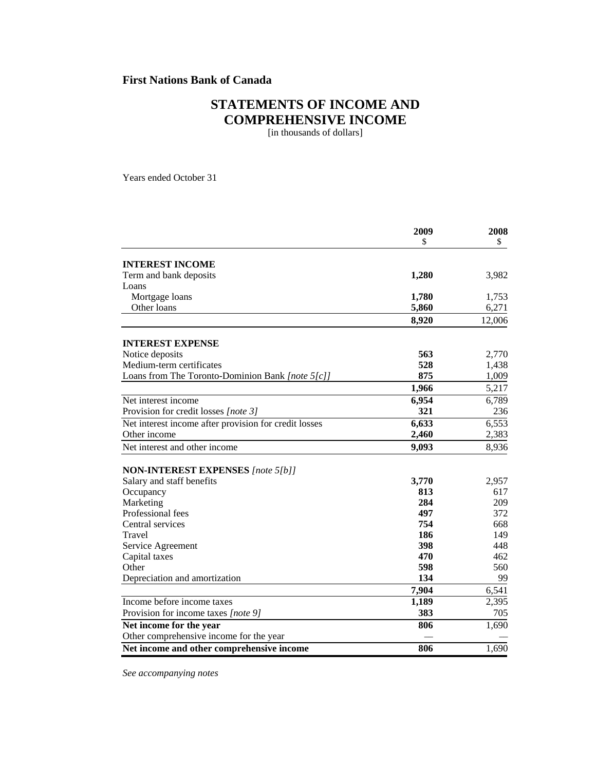# **STATEMENTS OF INCOME AND COMPREHENSIVE INCOME**

[in thousands of dollars]

Years ended October 31

|                                                       | 2009  | 2008   |
|-------------------------------------------------------|-------|--------|
|                                                       | \$    | \$.    |
| <b>INTEREST INCOME</b>                                |       |        |
| Term and bank deposits                                | 1,280 | 3,982  |
| Loans                                                 |       |        |
| Mortgage loans                                        | 1,780 | 1,753  |
| Other loans                                           | 5,860 | 6,271  |
|                                                       | 8,920 | 12,006 |
| <b>INTEREST EXPENSE</b>                               |       |        |
| Notice deposits                                       | 563   | 2,770  |
| Medium-term certificates                              | 528   | 1,438  |
| Loans from The Toronto-Dominion Bank [note 5[c]]      | 875   | 1,009  |
|                                                       | 1,966 | 5,217  |
| Net interest income                                   | 6,954 | 6,789  |
| Provision for credit losses [note 3]                  | 321   | 236    |
| Net interest income after provision for credit losses | 6,633 | 6,553  |
| Other income                                          | 2,460 | 2,383  |
| Net interest and other income                         | 9,093 | 8,936  |
| <b>NON-INTEREST EXPENSES</b> [note 5[b]]              |       |        |
| Salary and staff benefits                             | 3,770 | 2,957  |
| Occupancy                                             | 813   | 617    |
| Marketing                                             | 284   | 209    |
| Professional fees                                     | 497   | 372    |
| Central services                                      | 754   | 668    |
| Travel                                                | 186   | 149    |
| Service Agreement                                     | 398   | 448    |
| Capital taxes                                         | 470   | 462    |
| Other                                                 | 598   | 560    |
| Depreciation and amortization                         | 134   | 99     |
|                                                       | 7,904 | 6,541  |
| Income before income taxes                            | 1,189 | 2,395  |
| Provision for income taxes [note 9]                   | 383   | 705    |
| Net income for the year                               | 806   | 1,690  |
| Other comprehensive income for the year               |       |        |
| Net income and other comprehensive income             | 806   | 1,690  |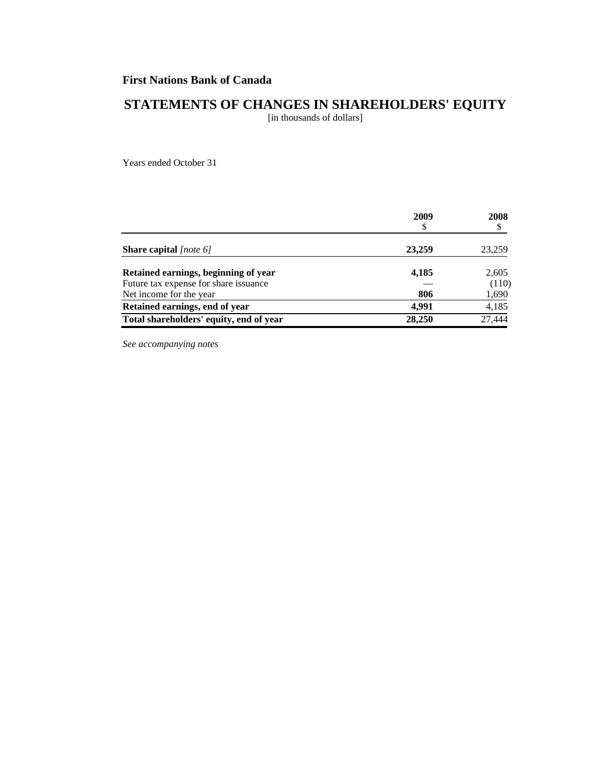# **STATEMENTS OF CHANGES IN SHAREHOLDERS' EQUITY**

[in thousands of dollars]

Years ended October 31

|                                         | 2009   | 2008   |  |
|-----------------------------------------|--------|--------|--|
|                                         | S      |        |  |
| <b>Share capital</b> [note 6]           | 23,259 | 23,259 |  |
| Retained earnings, beginning of year    | 4,185  | 2,605  |  |
| Future tax expense for share issuance   |        | (110)  |  |
| Net income for the year                 | 806    | 1,690  |  |
| Retained earnings, end of year          | 4.991  | 4,185  |  |
| Total shareholders' equity, end of year | 28,250 | 27,444 |  |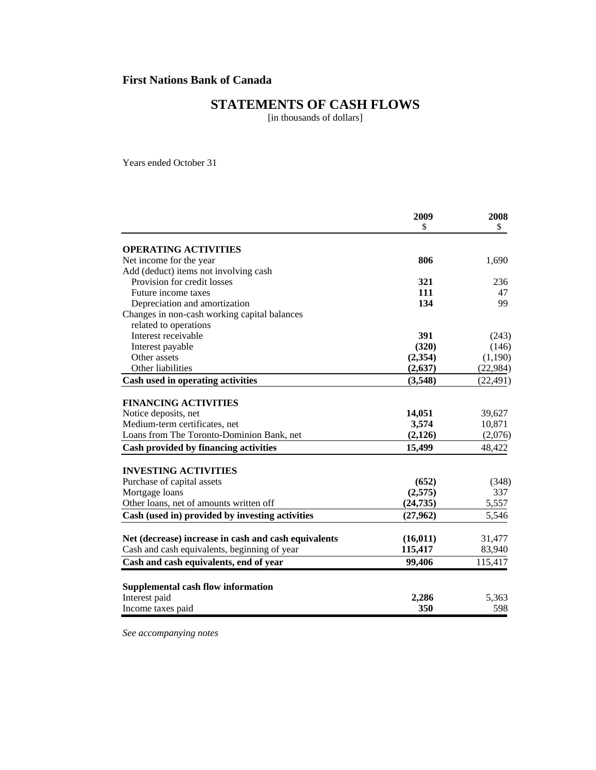# **STATEMENTS OF CASH FLOWS**

[in thousands of dollars]

Years ended October 31

| 2009     | 2008                                                                                                                                |
|----------|-------------------------------------------------------------------------------------------------------------------------------------|
| \$       | \$                                                                                                                                  |
|          |                                                                                                                                     |
| 806      | 1,690                                                                                                                               |
|          |                                                                                                                                     |
| 321      | 236                                                                                                                                 |
| 111      | 47                                                                                                                                  |
| 134      | 99                                                                                                                                  |
|          |                                                                                                                                     |
|          |                                                                                                                                     |
| 391      | (243)                                                                                                                               |
| (320)    | (146)                                                                                                                               |
|          | (1,190)                                                                                                                             |
| (2, 637) | (22, 984)                                                                                                                           |
| (3,548)  | (22, 491)                                                                                                                           |
|          |                                                                                                                                     |
|          |                                                                                                                                     |
|          | 39,627                                                                                                                              |
|          | 10,871                                                                                                                              |
|          | (2,076)                                                                                                                             |
|          | 48,422                                                                                                                              |
|          |                                                                                                                                     |
|          | (348)                                                                                                                               |
|          | 337                                                                                                                                 |
|          | 5,557                                                                                                                               |
| (27,962) | 5,546                                                                                                                               |
|          |                                                                                                                                     |
|          | 31,477                                                                                                                              |
|          | 83,940                                                                                                                              |
|          | 115,417                                                                                                                             |
|          |                                                                                                                                     |
|          | 5,363                                                                                                                               |
|          | 598                                                                                                                                 |
|          | (2, 354)<br>14,051<br>3,574<br>(2,126)<br>15,499<br>(652)<br>(2,575)<br>(24, 735)<br>(16, 011)<br>115,417<br>99,406<br>2,286<br>350 |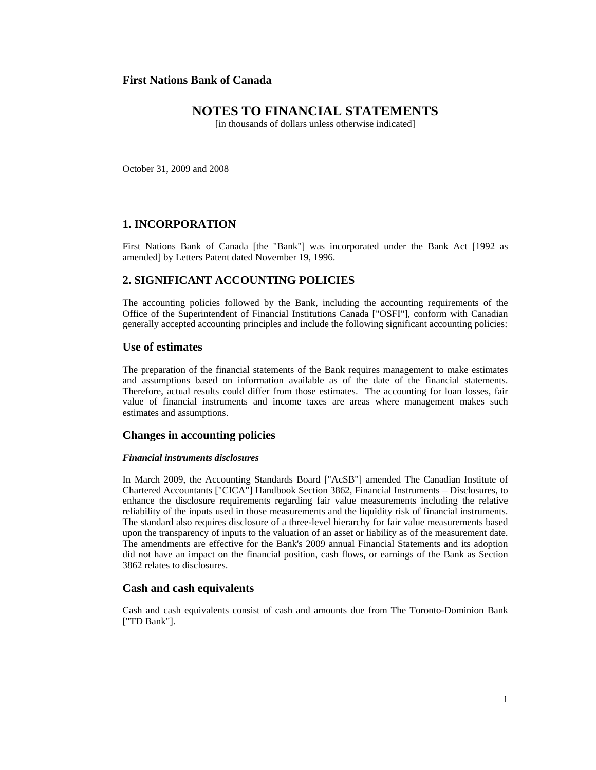# **NOTES TO FINANCIAL STATEMENTS**

[in thousands of dollars unless otherwise indicated]

October 31, 2009 and 2008

## **1. INCORPORATION**

First Nations Bank of Canada [the "Bank"] was incorporated under the Bank Act [1992 as amended] by Letters Patent dated November 19, 1996.

## **2. SIGNIFICANT ACCOUNTING POLICIES**

The accounting policies followed by the Bank, including the accounting requirements of the Office of the Superintendent of Financial Institutions Canada ["OSFI"], conform with Canadian generally accepted accounting principles and include the following significant accounting policies:

#### **Use of estimates**

The preparation of the financial statements of the Bank requires management to make estimates and assumptions based on information available as of the date of the financial statements. Therefore, actual results could differ from those estimates. The accounting for loan losses, fair value of financial instruments and income taxes are areas where management makes such estimates and assumptions.

#### **Changes in accounting policies**

#### *Financial instruments disclosures*

In March 2009, the Accounting Standards Board ["AcSB"] amended The Canadian Institute of Chartered Accountants ["CICA"] Handbook Section 3862, Financial Instruments – Disclosures, to enhance the disclosure requirements regarding fair value measurements including the relative reliability of the inputs used in those measurements and the liquidity risk of financial instruments. The standard also requires disclosure of a three-level hierarchy for fair value measurements based upon the transparency of inputs to the valuation of an asset or liability as of the measurement date. The amendments are effective for the Bank's 2009 annual Financial Statements and its adoption did not have an impact on the financial position, cash flows, or earnings of the Bank as Section 3862 relates to disclosures.

#### **Cash and cash equivalents**

Cash and cash equivalents consist of cash and amounts due from The Toronto-Dominion Bank ["TD Bank"].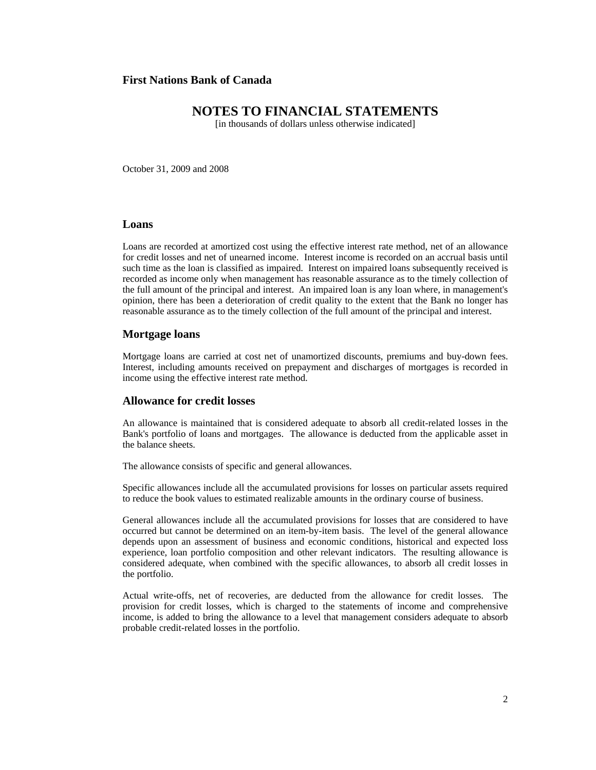# **NOTES TO FINANCIAL STATEMENTS**

[in thousands of dollars unless otherwise indicated]

October 31, 2009 and 2008

## **Loans**

Loans are recorded at amortized cost using the effective interest rate method, net of an allowance for credit losses and net of unearned income. Interest income is recorded on an accrual basis until such time as the loan is classified as impaired. Interest on impaired loans subsequently received is recorded as income only when management has reasonable assurance as to the timely collection of the full amount of the principal and interest. An impaired loan is any loan where, in management's opinion, there has been a deterioration of credit quality to the extent that the Bank no longer has reasonable assurance as to the timely collection of the full amount of the principal and interest.

#### **Mortgage loans**

Mortgage loans are carried at cost net of unamortized discounts, premiums and buy-down fees. Interest, including amounts received on prepayment and discharges of mortgages is recorded in income using the effective interest rate method.

## **Allowance for credit losses**

An allowance is maintained that is considered adequate to absorb all credit-related losses in the Bank's portfolio of loans and mortgages. The allowance is deducted from the applicable asset in the balance sheets.

The allowance consists of specific and general allowances.

Specific allowances include all the accumulated provisions for losses on particular assets required to reduce the book values to estimated realizable amounts in the ordinary course of business.

General allowances include all the accumulated provisions for losses that are considered to have occurred but cannot be determined on an item-by-item basis. The level of the general allowance depends upon an assessment of business and economic conditions, historical and expected loss experience, loan portfolio composition and other relevant indicators. The resulting allowance is considered adequate, when combined with the specific allowances, to absorb all credit losses in the portfolio.

Actual write-offs, net of recoveries, are deducted from the allowance for credit losses. The provision for credit losses, which is charged to the statements of income and comprehensive income, is added to bring the allowance to a level that management considers adequate to absorb probable credit-related losses in the portfolio.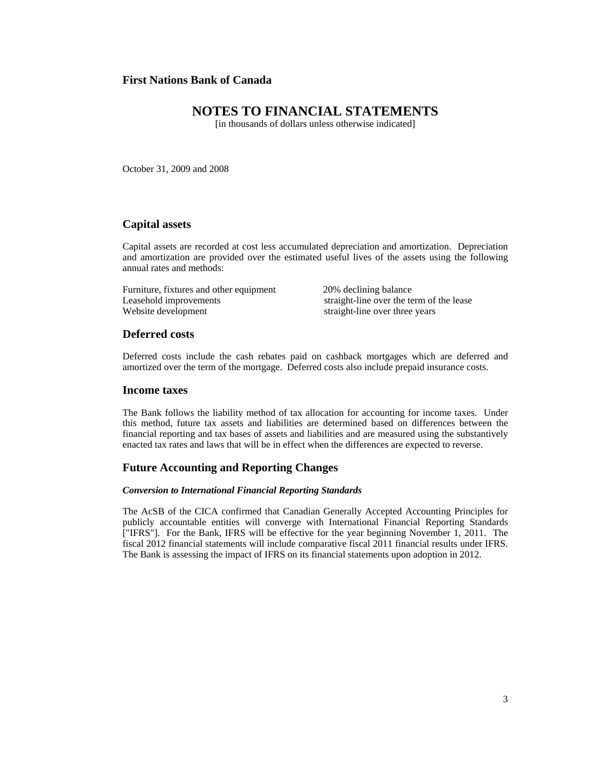# **NOTES TO FINANCIAL STATEMENTS**

[in thousands of dollars unless otherwise indicated]

October 31, 2009 and 2008

## **Capital assets**

Capital assets are recorded at cost less accumulated depreciation and amortization. Depreciation and amortization are provided over the estimated useful lives of the assets using the following annual rates and methods:

Furniture, fixtures and other equipment 20% declining balance Leasehold improvements<br>
Website development<br>
Straight-line over the term of the lease<br>
Straight-line over three years

straight-line over three years

#### **Deferred costs**

Deferred costs include the cash rebates paid on cashback mortgages which are deferred and amortized over the term of the mortgage. Deferred costs also include prepaid insurance costs.

#### **Income taxes**

The Bank follows the liability method of tax allocation for accounting for income taxes. Under this method, future tax assets and liabilities are determined based on differences between the financial reporting and tax bases of assets and liabilities and are measured using the substantively enacted tax rates and laws that will be in effect when the differences are expected to reverse.

#### **Future Accounting and Reporting Changes**

#### *Conversion to International Financial Reporting Standards*

The AcSB of the CICA confirmed that Canadian Generally Accepted Accounting Principles for publicly accountable entities will converge with International Financial Reporting Standards ["IFRS"]. For the Bank, IFRS will be effective for the year beginning November 1, 2011. The fiscal 2012 financial statements will include comparative fiscal 2011 financial results under IFRS. The Bank is assessing the impact of IFRS on its financial statements upon adoption in 2012.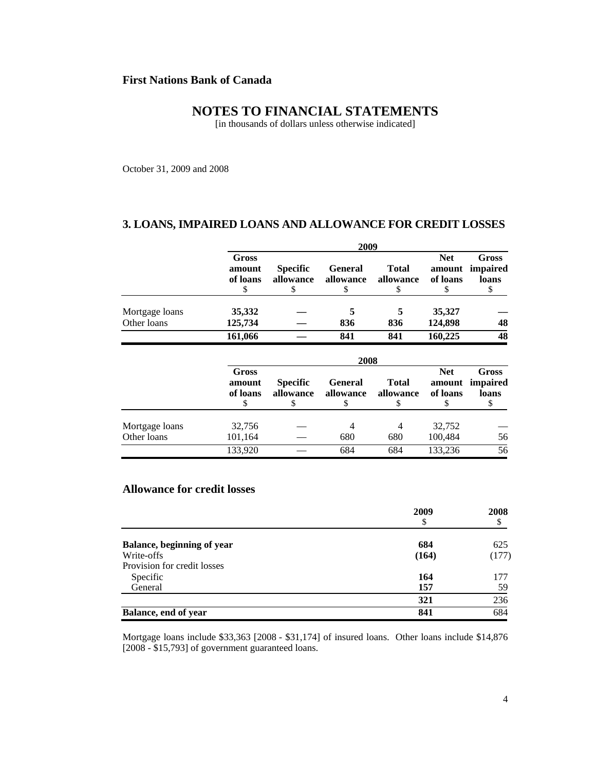# **NOTES TO FINANCIAL STATEMENTS**

[in thousands of dollars unless otherwise indicated]

October 31, 2009 and 2008

## **3. LOANS, IMPAIRED LOANS AND ALLOWANCE FOR CREDIT LOSSES**

|                               | 2009                                    |                                    |                                   |                                 |                                       |                                         |  |
|-------------------------------|-----------------------------------------|------------------------------------|-----------------------------------|---------------------------------|---------------------------------------|-----------------------------------------|--|
|                               | Gross<br>amount<br>of loans<br>S        | <b>Specific</b><br>allowance<br>\$ | <b>General</b><br>allowance<br>\$ | <b>Total</b><br>allowance<br>\$ | <b>Net</b><br>amount<br>of loans<br>S | <b>Gross</b><br>impaired<br>loans<br>\$ |  |
| Mortgage loans                | 35,332                                  |                                    | 5                                 | 5                               | 35,327                                |                                         |  |
| Other loans                   | 125,734                                 |                                    | 836                               | 836                             | 124,898                               | 48                                      |  |
|                               | 161,066                                 |                                    | 841                               | 841                             | 160,225                               | 48                                      |  |
|                               |                                         |                                    | 2008                              |                                 |                                       |                                         |  |
|                               | <b>Gross</b><br>amount<br>of loans<br>S | <b>Specific</b><br>allowance<br>\$ | <b>General</b><br>allowance<br>S  | <b>Total</b><br>allowance<br>S  | <b>Net</b><br>amount<br>of loans<br>S | <b>Gross</b><br>impaired<br>loans<br>\$ |  |
| Mortgage loans<br>Other loans | 32,756<br>101,164                       |                                    | 4<br>680                          | 4<br>680                        | 32,752<br>100,484                     | 56                                      |  |
|                               | 133,920                                 |                                    | 684                               | 684                             | 133,236                               | 56                                      |  |

# **Allowance for credit losses**

|                                   | 2009  | 2008  |
|-----------------------------------|-------|-------|
|                                   | \$    | \$    |
| <b>Balance, beginning of year</b> | 684   | 625   |
| Write-offs                        | (164) | (177) |
| Provision for credit losses       |       |       |
| Specific                          | 164   | 177   |
| General                           | 157   | 59    |
|                                   | 321   | 236   |
| Balance, end of year              | 841   | 684   |

Mortgage loans include \$33,363 [2008 - \$31,174] of insured loans. Other loans include \$14,876 [2008 - \$15,793] of government guaranteed loans.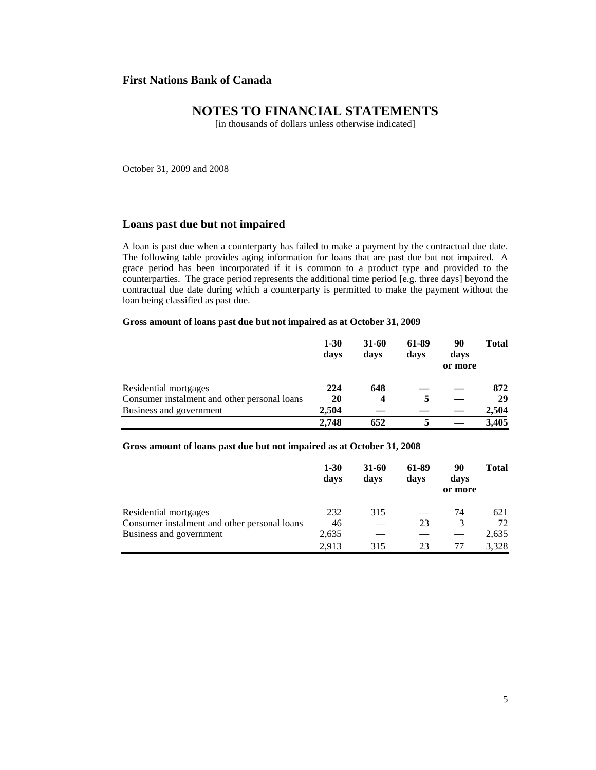# **NOTES TO FINANCIAL STATEMENTS**

[in thousands of dollars unless otherwise indicated]

October 31, 2009 and 2008

### **Loans past due but not impaired**

A loan is past due when a counterparty has failed to make a payment by the contractual due date. The following table provides aging information for loans that are past due but not impaired. A grace period has been incorporated if it is common to a product type and provided to the counterparties. The grace period represents the additional time period [e.g. three days] beyond the contractual due date during which a counterparty is permitted to make the payment without the loan being classified as past due.

#### **Gross amount of loans past due but not impaired as at October 31, 2009**

|                                              | $1 - 30$<br>days | 31-60<br>days | 61-89<br>days | 90<br>days<br>or more | <b>Total</b> |
|----------------------------------------------|------------------|---------------|---------------|-----------------------|--------------|
| Residential mortgages                        | 224              | 648           |               |                       | 872          |
| Consumer instalment and other personal loans | 20               | 4             | 5             |                       | 29           |
| Business and government                      | 2.504            |               |               |                       | 2,504        |
|                                              | 2.748            | 652           |               |                       | 3,405        |

#### **Gross amount of loans past due but not impaired as at October 31, 2008**

|                                              | $1 - 30$<br>days | 31-60<br>days | 61-89<br>days | 90<br>days<br>or more | <b>Total</b> |
|----------------------------------------------|------------------|---------------|---------------|-----------------------|--------------|
| Residential mortgages                        | 232              | 315           |               | 74                    | 621          |
| Consumer instalment and other personal loans | 46               |               | 23            | 3                     | 72           |
| Business and government                      | 2,635            |               |               |                       | 2,635        |
|                                              | 2.913            | 315           | 23            |                       | 3,328        |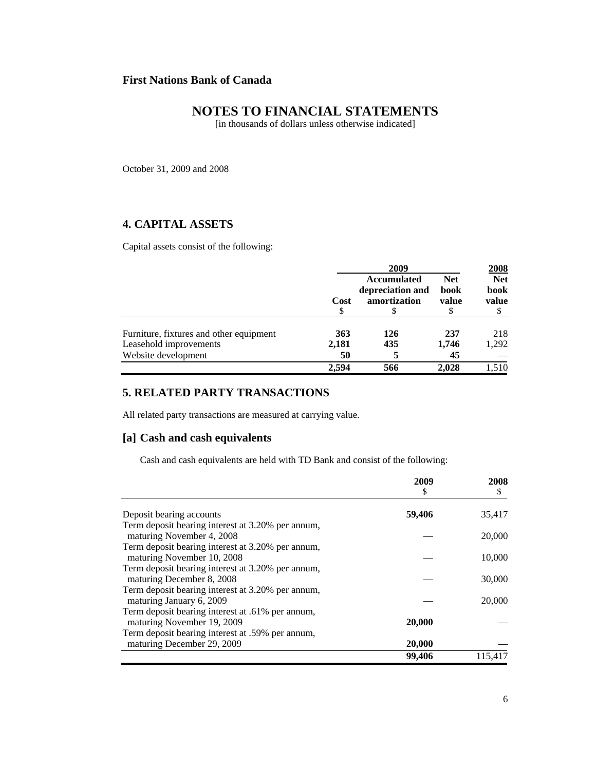# **NOTES TO FINANCIAL STATEMENTS**

[in thousands of dollars unless otherwise indicated]

October 31, 2009 and 2008

# **4. CAPITAL ASSETS**

Capital assets consist of the following:

|                                         | 2009       |                                                        |                             | 2008                        |
|-----------------------------------------|------------|--------------------------------------------------------|-----------------------------|-----------------------------|
|                                         | Cost<br>\$ | <b>Accumulated</b><br>depreciation and<br>amortization | <b>Net</b><br>book<br>value | <b>Net</b><br>book<br>value |
| Furniture, fixtures and other equipment | 363        | 126                                                    | 237                         | 218                         |
| Leasehold improvements                  | 2,181      | 435                                                    | 1,746                       | 1,292                       |
| Website development                     | 50         |                                                        | 45                          |                             |
|                                         | 2.594      | 566                                                    | 2.028                       | 1.510                       |

# **5. RELATED PARTY TRANSACTIONS**

All related party transactions are measured at carrying value.

## **[a] Cash and cash equivalents**

Cash and cash equivalents are held with TD Bank and consist of the following:

|                                                   | 2009<br>\$ | 2008<br>\$ |
|---------------------------------------------------|------------|------------|
|                                                   |            |            |
| Deposit bearing accounts                          | 59,406     | 35,417     |
| Term deposit bearing interest at 3.20% per annum, |            |            |
| maturing November 4, 2008                         |            | 20,000     |
| Term deposit bearing interest at 3.20% per annum, |            |            |
| maturing November 10, 2008                        |            | 10,000     |
| Term deposit bearing interest at 3.20% per annum, |            |            |
| maturing December 8, 2008                         |            | 30,000     |
| Term deposit bearing interest at 3.20% per annum, |            |            |
| maturing January 6, 2009                          |            | 20,000     |
| Term deposit bearing interest at .61% per annum,  |            |            |
| maturing November 19, 2009                        | 20,000     |            |
| Term deposit bearing interest at .59% per annum,  |            |            |
| maturing December 29, 2009                        | 20,000     |            |
|                                                   | 99,406     | 115.417    |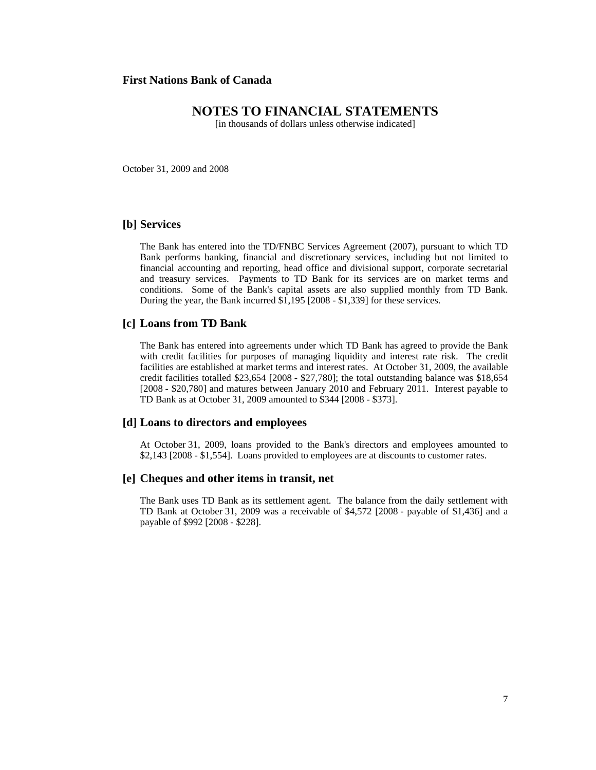# **NOTES TO FINANCIAL STATEMENTS**

[in thousands of dollars unless otherwise indicated]

October 31, 2009 and 2008

#### **[b] Services**

The Bank has entered into the TD/FNBC Services Agreement (2007), pursuant to which TD Bank performs banking, financial and discretionary services, including but not limited to financial accounting and reporting, head office and divisional support, corporate secretarial and treasury services. Payments to TD Bank for its services are on market terms and conditions. Some of the Bank's capital assets are also supplied monthly from TD Bank. During the year, the Bank incurred \$1,195 [2008 - \$1,339] for these services.

#### **[c] Loans from TD Bank**

The Bank has entered into agreements under which TD Bank has agreed to provide the Bank with credit facilities for purposes of managing liquidity and interest rate risk. The credit facilities are established at market terms and interest rates. At October 31, 2009, the available credit facilities totalled \$23,654 [2008 - \$27,780]; the total outstanding balance was \$18,654 [2008 - \$20,780] and matures between January 2010 and February 2011. Interest payable to TD Bank as at October 31, 2009 amounted to \$344 [2008 - \$373].

#### **[d] Loans to directors and employees**

At October 31, 2009, loans provided to the Bank's directors and employees amounted to \$2,143 [2008 - \$1,554]. Loans provided to employees are at discounts to customer rates.

#### **[e] Cheques and other items in transit, net**

The Bank uses TD Bank as its settlement agent. The balance from the daily settlement with TD Bank at October 31, 2009 was a receivable of \$4,572 [2008 - payable of \$1,436] and a payable of \$992 [2008 - \$228].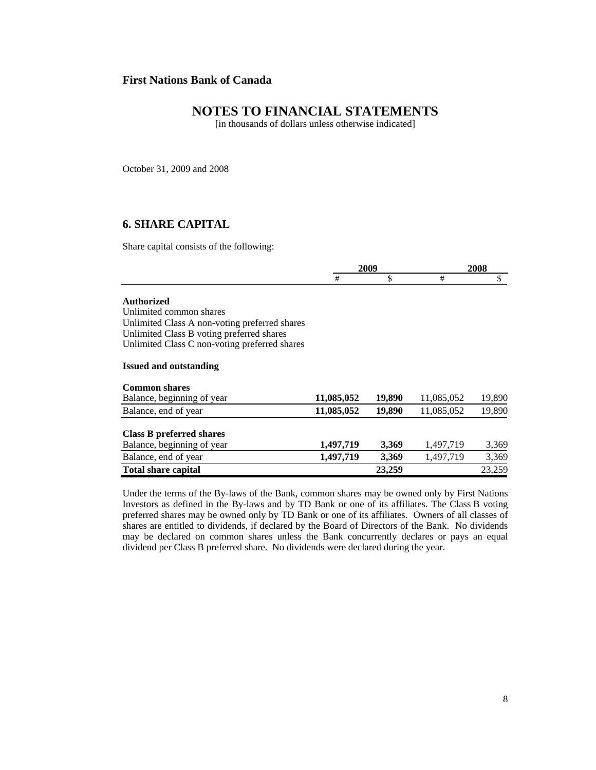# **NOTES TO FINANCIAL STATEMENTS**

[in thousands of dollars unless otherwise indicated]

October 31, 2009 and 2008

# **6. SHARE CAPITAL**

Share capital consists of the following:

|                                               |            | 2009   | 2008       |        |
|-----------------------------------------------|------------|--------|------------|--------|
|                                               | #          | \$     | #          | \$     |
| <b>Authorized</b>                             |            |        |            |        |
| Unlimited common shares                       |            |        |            |        |
| Unlimited Class A non-voting preferred shares |            |        |            |        |
| Unlimited Class B voting preferred shares     |            |        |            |        |
| Unlimited Class C non-voting preferred shares |            |        |            |        |
| <b>Issued and outstanding</b>                 |            |        |            |        |
| <b>Common shares</b>                          |            |        |            |        |
| Balance, beginning of year                    | 11,085,052 | 19,890 | 11,085,052 | 19,890 |
| Balance, end of year                          | 11,085,052 | 19,890 | 11,085,052 | 19,890 |
| <b>Class B preferred shares</b>               |            |        |            |        |
| Balance, beginning of year                    | 1,497,719  | 3,369  | 1,497,719  | 3,369  |
| Balance, end of year                          | 1,497,719  | 3,369  | 1,497,719  | 3,369  |
| <b>Total share capital</b>                    |            | 23,259 |            | 23,259 |

Under the terms of the By-laws of the Bank, common shares may be owned only by First Nations Investors as defined in the By-laws and by TD Bank or one of its affiliates. The Class B voting preferred shares may be owned only by TD Bank or one of its affiliates. Owners of all classes of shares are entitled to dividends, if declared by the Board of Directors of the Bank. No dividends may be declared on common shares unless the Bank concurrently declares or pays an equal dividend per Class B preferred share. No dividends were declared during the year.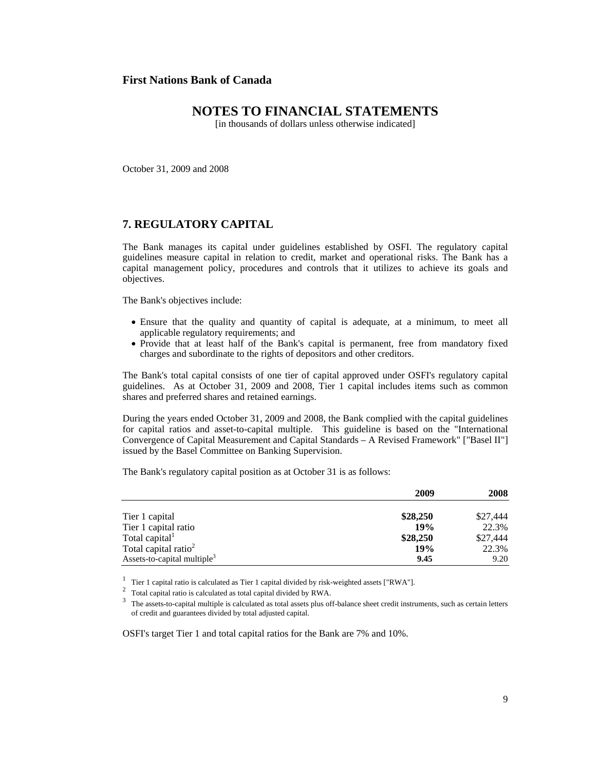# **NOTES TO FINANCIAL STATEMENTS**

[in thousands of dollars unless otherwise indicated]

October 31, 2009 and 2008

## **7. REGULATORY CAPITAL**

The Bank manages its capital under guidelines established by OSFI. The regulatory capital guidelines measure capital in relation to credit, market and operational risks. The Bank has a capital management policy, procedures and controls that it utilizes to achieve its goals and objectives.

The Bank's objectives include:

- Ensure that the quality and quantity of capital is adequate, at a minimum, to meet all applicable regulatory requirements; and
- Provide that at least half of the Bank's capital is permanent, free from mandatory fixed charges and subordinate to the rights of depositors and other creditors.

The Bank's total capital consists of one tier of capital approved under OSFI's regulatory capital guidelines. As at October 31, 2009 and 2008, Tier 1 capital includes items such as common shares and preferred shares and retained earnings.

During the years ended October 31, 2009 and 2008, the Bank complied with the capital guidelines for capital ratios and asset-to-capital multiple. This guideline is based on the "International Convergence of Capital Measurement and Capital Standards – A Revised Framework" ["Basel II"] issued by the Basel Committee on Banking Supervision.

The Bank's regulatory capital position as at October 31 is as follows:

|                                         | 2009     | 2008     |
|-----------------------------------------|----------|----------|
| Tier 1 capital                          | \$28,250 | \$27,444 |
| Tier 1 capital ratio                    | 19%      | 22.3%    |
| Total capital <sup>1</sup>              | \$28,250 | \$27,444 |
| Total capital ratio <sup>2</sup>        | 19%      | 22.3%    |
| Assets-to-capital multiple <sup>3</sup> | 9.45     | 9.20     |

OSFI's target Tier 1 and total capital ratios for the Bank are 7% and 10%.

<sup>&</sup>lt;sup>1</sup> Tier 1 capital ratio is calculated as Tier 1 capital divided by risk-weighted assets ["RWA"].<br><sup>2</sup> Total capital ratio is calculated as total capital divided by RWA.<br><sup>3</sup> The assets-to-capital multiple is calculated as of credit and guarantees divided by total adjusted capital.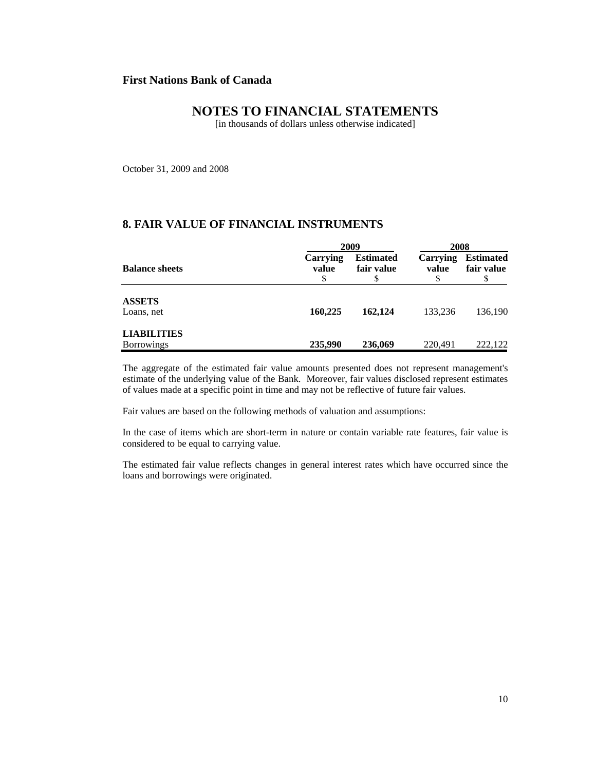# **NOTES TO FINANCIAL STATEMENTS**

[in thousands of dollars unless otherwise indicated]

October 31, 2009 and 2008

# **8. FAIR VALUE OF FINANCIAL INSTRUMENTS**

|                                         |                   | 2009                           |                   |                                      |
|-----------------------------------------|-------------------|--------------------------------|-------------------|--------------------------------------|
| <b>Balance sheets</b>                   | Carrying<br>value | <b>Estimated</b><br>fair value | Carrying<br>value | <b>Estimated</b><br>fair value<br>\$ |
| <b>ASSETS</b><br>Loans, net             | 160,225           | 162,124                        | 133.236           | 136,190                              |
| <b>LIABILITIES</b><br><b>Borrowings</b> | 235,990           | 236,069                        | 220,491           | 222.122                              |

The aggregate of the estimated fair value amounts presented does not represent management's estimate of the underlying value of the Bank. Moreover, fair values disclosed represent estimates of values made at a specific point in time and may not be reflective of future fair values.

Fair values are based on the following methods of valuation and assumptions:

In the case of items which are short-term in nature or contain variable rate features, fair value is considered to be equal to carrying value.

The estimated fair value reflects changes in general interest rates which have occurred since the loans and borrowings were originated.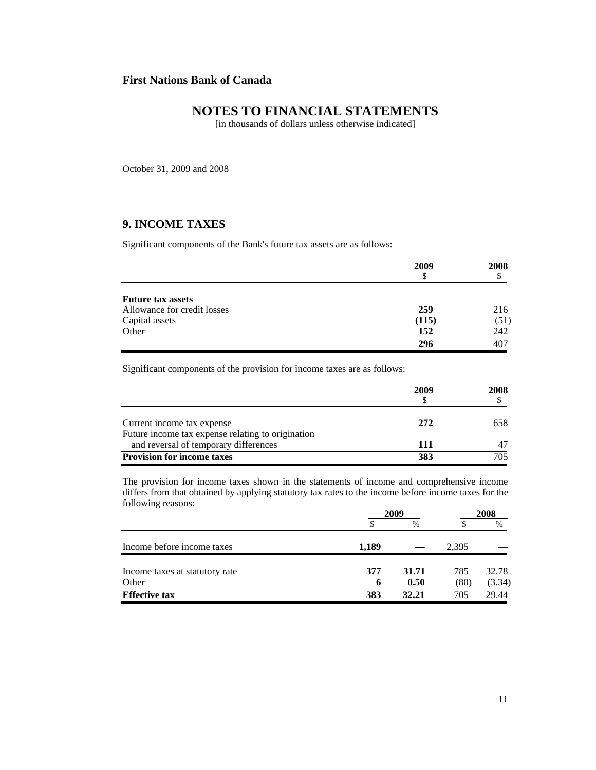# **NOTES TO FINANCIAL STATEMENTS**

[in thousands of dollars unless otherwise indicated]

October 31, 2009 and 2008

# **9. INCOME TAXES**

Significant components of the Bank's future tax assets are as follows:

|                             | 2009  | 2008 |
|-----------------------------|-------|------|
|                             | S     |      |
| <b>Future tax assets</b>    |       |      |
| Allowance for credit losses | 259   | 216  |
| Capital assets              | (115) | (51) |
| Other                       | 152   | 242  |
|                             | 296   | 407  |

Significant components of the provision for income taxes are as follows:

|                                                                                            | 2009 | 2008 |
|--------------------------------------------------------------------------------------------|------|------|
| Current income tax expense                                                                 | 272  | 658  |
| Future income tax expense relating to origination<br>and reversal of temporary differences | 111  |      |
| <b>Provision for income taxes</b>                                                          | 383  | 705  |

The provision for income taxes shown in the statements of income and comprehensive income differs from that obtained by applying statutory tax rates to the income before income taxes for the following reasons:

|                                         | 2009     |               |             | 2008            |  |
|-----------------------------------------|----------|---------------|-------------|-----------------|--|
|                                         |          | $\%$          |             | $\%$            |  |
| Income before income taxes              | 1,189    |               | 2.395       |                 |  |
| Income taxes at statutory rate<br>Other | 377<br>6 | 31.71<br>0.50 | 785<br>(80) | 32.78<br>(3.34) |  |
| <b>Effective tax</b>                    | 383      | 32.21         | 705         | 29.44           |  |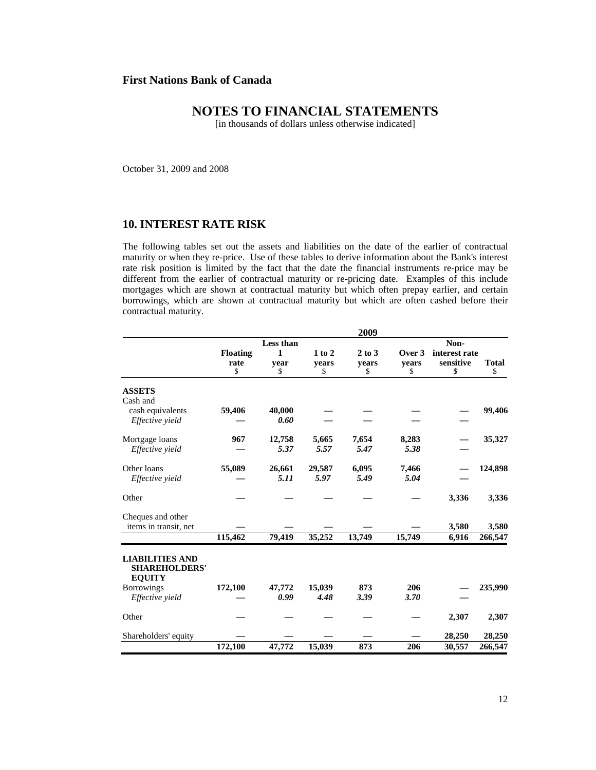# **NOTES TO FINANCIAL STATEMENTS**

[in thousands of dollars unless otherwise indicated]

October 31, 2009 and 2008

## **10. INTEREST RATE RISK**

The following tables set out the assets and liabilities on the date of the earlier of contractual maturity or when they re-price. Use of these tables to derive information about the Bank's interest rate risk position is limited by the fact that the date the financial instruments re-price may be different from the earlier of contractual maturity or re-pricing date. Examples of this include mortgages which are shown at contractual maturity but which often prepay earlier, and certain borrowings, which are shown at contractual maturity but which are often cashed before their contractual maturity.

|                                                                 |                 |                |                | 2009        |             |               |              |
|-----------------------------------------------------------------|-----------------|----------------|----------------|-------------|-------------|---------------|--------------|
|                                                                 |                 | Less than      |                |             |             | Non-          |              |
|                                                                 | <b>Floating</b> | 1              | $1$ to $2$     | $2$ to $3$  | Over 3      | interest rate |              |
|                                                                 | rate            | year           | years          | years       | years       | sensitive     | <b>Total</b> |
|                                                                 | \$              | \$             | \$             | \$          | \$          | \$            | \$           |
| <b>ASSETS</b>                                                   |                 |                |                |             |             |               |              |
| Cash and                                                        |                 |                |                |             |             |               |              |
| cash equivalents                                                | 59,406          | 40,000         |                |             |             |               | 99,406       |
| Effective yield                                                 |                 | 0.60           |                |             |             |               |              |
| Mortgage loans                                                  | 967             | 12,758         | 5,665          | 7,654       | 8,283       |               | 35,327       |
| Effective yield                                                 |                 | 5.37           | 5.57           | 5.47        | 5.38        |               |              |
| Other loans                                                     | 55,089          | 26,661         | 29,587         | 6,095       | 7,466       |               | 124,898      |
| Effective yield                                                 |                 | 5.11           | 5.97           | 5.49        | 5.04        |               |              |
| Other                                                           |                 |                |                |             |             | 3,336         | 3,336        |
| Cheques and other                                               |                 |                |                |             |             |               |              |
| items in transit, net                                           |                 |                |                |             |             | 3,580         | 3,580        |
|                                                                 | 115,462         | 79,419         | 35,252         | 13,749      | 15,749      | 6,916         | 266,547      |
| <b>LIABILITIES AND</b><br><b>SHAREHOLDERS'</b><br><b>EQUITY</b> |                 |                |                |             |             |               |              |
| <b>Borrowings</b><br>Effective yield                            | 172,100         | 47,772<br>0.99 | 15,039<br>4.48 | 873<br>3.39 | 206<br>3.70 |               | 235,990      |
| Other                                                           |                 |                |                |             |             | 2,307         | 2,307        |
| Shareholders' equity                                            |                 |                |                |             |             | 28,250        | 28,250       |
|                                                                 | 172,100         | 47,772         | 15,039         | 873         | 206         | 30,557        | 266,547      |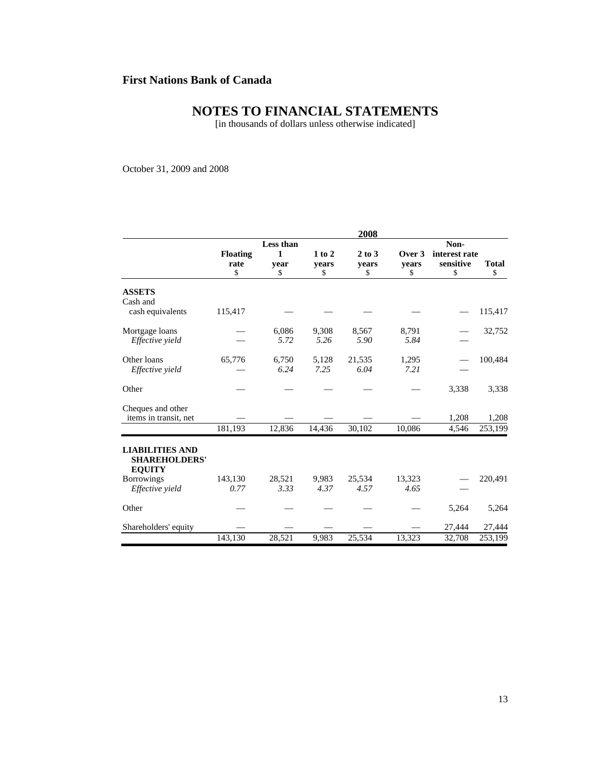# **NOTES TO FINANCIAL STATEMENTS**

[in thousands of dollars unless otherwise indicated]

October 31, 2009 and 2008

|                                                                 |                 |           |        | 2008       |        |               |              |  |
|-----------------------------------------------------------------|-----------------|-----------|--------|------------|--------|---------------|--------------|--|
|                                                                 |                 | Less than |        |            |        | Non-          |              |  |
|                                                                 | <b>Floating</b> | 1         | 1 to 2 | $2$ to $3$ | Over 3 | interest rate |              |  |
|                                                                 | rate            | vear      | vears  | vears      | vears  | sensitive     | <b>Total</b> |  |
|                                                                 | \$              | \$        | \$     | \$         | \$     | \$            | \$           |  |
| <b>ASSETS</b><br>Cash and                                       |                 |           |        |            |        |               |              |  |
| cash equivalents                                                | 115,417         |           |        |            |        |               | 115,417      |  |
| Mortgage loans                                                  |                 | 6,086     | 9,308  | 8,567      | 8,791  |               | 32,752       |  |
| Effective yield                                                 |                 | 5.72      | 5.26   | 5.90       | 5.84   |               |              |  |
| Other loans                                                     | 65,776          | 6,750     | 5,128  | 21,535     | 1,295  |               | 100,484      |  |
| Effective yield                                                 |                 | 6.24      | 7.25   | 6.04       | 7.21   |               |              |  |
| Other                                                           |                 |           |        |            |        | 3,338         | 3,338        |  |
| Cheques and other<br>items in transit, net                      |                 |           |        |            |        | 1,208         | 1,208        |  |
|                                                                 | 181,193         | 12,836    | 14,436 | 30,102     | 10,086 |               | 253,199      |  |
|                                                                 |                 |           |        |            |        | 4,546         |              |  |
| <b>LIABILITIES AND</b><br><b>SHAREHOLDERS'</b><br><b>EQUITY</b> |                 |           |        |            |        |               |              |  |
| <b>Borrowings</b>                                               | 143,130         | 28,521    | 9,983  | 25,534     | 13,323 |               | 220,491      |  |
| Effective yield                                                 | 0.77            | 3.33      | 4.37   | 4.57       | 4.65   |               |              |  |
| Other                                                           |                 |           |        |            |        | 5,264         | 5,264        |  |
| Shareholders' equity                                            |                 |           |        |            |        | 27,444        | 27,444       |  |
|                                                                 | 143,130         | 28,521    | 9,983  | 25,534     | 13,323 | 32,708        | 253,199      |  |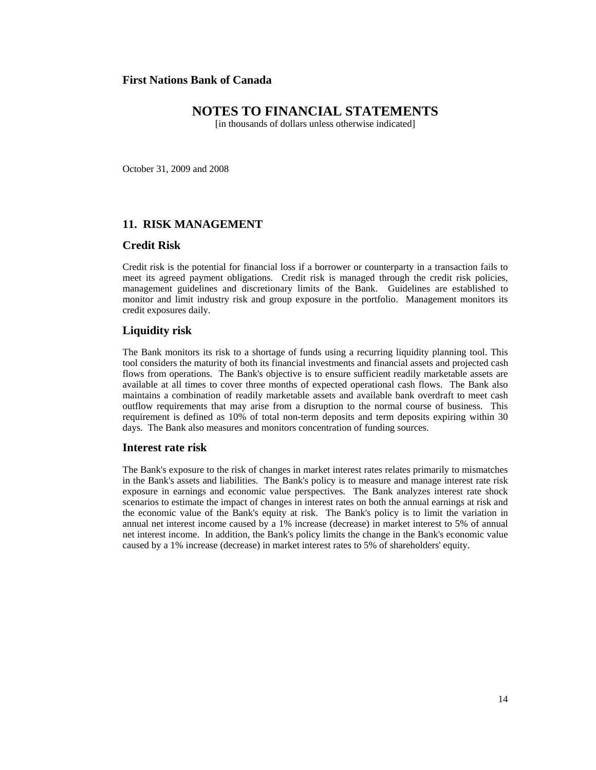# **NOTES TO FINANCIAL STATEMENTS**

[in thousands of dollars unless otherwise indicated]

October 31, 2009 and 2008

## **11. RISK MANAGEMENT**

#### **Credit Risk**

Credit risk is the potential for financial loss if a borrower or counterparty in a transaction fails to meet its agreed payment obligations. Credit risk is managed through the credit risk policies, management guidelines and discretionary limits of the Bank. Guidelines are established to monitor and limit industry risk and group exposure in the portfolio. Management monitors its credit exposures daily.

#### **Liquidity risk**

The Bank monitors its risk to a shortage of funds using a recurring liquidity planning tool. This tool considers the maturity of both its financial investments and financial assets and projected cash flows from operations. The Bank's objective is to ensure sufficient readily marketable assets are available at all times to cover three months of expected operational cash flows. The Bank also maintains a combination of readily marketable assets and available bank overdraft to meet cash outflow requirements that may arise from a disruption to the normal course of business. This requirement is defined as 10% of total non-term deposits and term deposits expiring within 30 days. The Bank also measures and monitors concentration of funding sources.

#### **Interest rate risk**

The Bank's exposure to the risk of changes in market interest rates relates primarily to mismatches in the Bank's assets and liabilities. The Bank's policy is to measure and manage interest rate risk exposure in earnings and economic value perspectives. The Bank analyzes interest rate shock scenarios to estimate the impact of changes in interest rates on both the annual earnings at risk and the economic value of the Bank's equity at risk. The Bank's policy is to limit the variation in annual net interest income caused by a 1% increase (decrease) in market interest to 5% of annual net interest income. In addition, the Bank's policy limits the change in the Bank's economic value caused by a 1% increase (decrease) in market interest rates to 5% of shareholders' equity.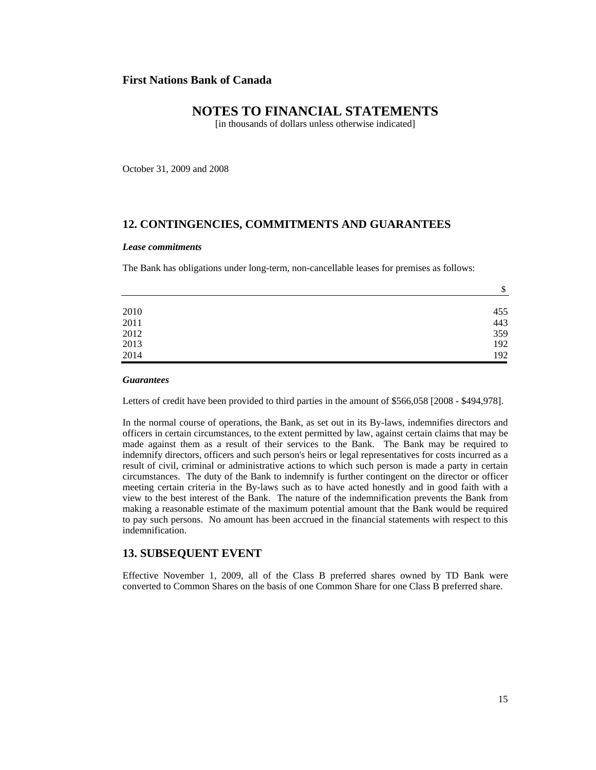# **NOTES TO FINANCIAL STATEMENTS**

[in thousands of dollars unless otherwise indicated]

October 31, 2009 and 2008

## **12. CONTINGENCIES, COMMITMENTS AND GUARANTEES**

#### *Lease commitments*

The Bank has obligations under long-term, non-cancellable leases for premises as follows:

|      | \$  |
|------|-----|
|      |     |
| 2010 | 455 |
| 2011 | 443 |
| 2012 | 359 |
| 2013 | 192 |
| 2014 | 192 |

#### *Guarantees*

Letters of credit have been provided to third parties in the amount of \$566,058 [2008 - \$494,978].

In the normal course of operations, the Bank, as set out in its By-laws, indemnifies directors and officers in certain circumstances, to the extent permitted by law, against certain claims that may be made against them as a result of their services to the Bank. The Bank may be required to indemnify directors, officers and such person's heirs or legal representatives for costs incurred as a result of civil, criminal or administrative actions to which such person is made a party in certain circumstances. The duty of the Bank to indemnify is further contingent on the director or officer meeting certain criteria in the By-laws such as to have acted honestly and in good faith with a view to the best interest of the Bank. The nature of the indemnification prevents the Bank from making a reasonable estimate of the maximum potential amount that the Bank would be required to pay such persons. No amount has been accrued in the financial statements with respect to this indemnification.

#### **13. SUBSEQUENT EVENT**

Effective November 1, 2009, all of the Class B preferred shares owned by TD Bank were converted to Common Shares on the basis of one Common Share for one Class B preferred share.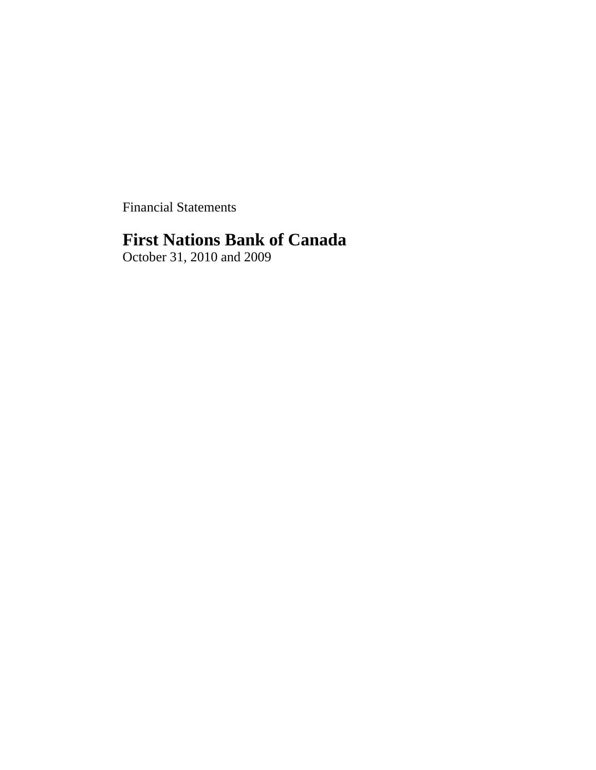Financial Statements

# **First Nations Bank of Canada**

October 31, 2010 and 2009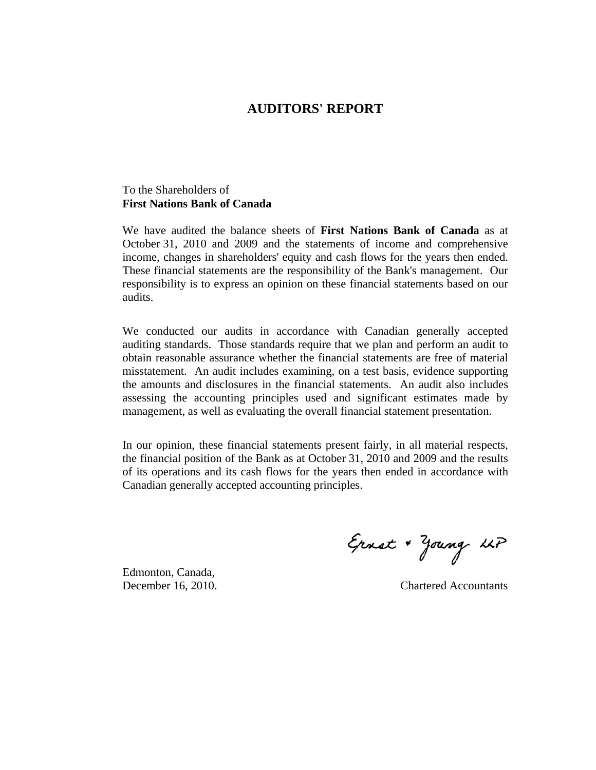# **AUDITORS' REPORT**

# To the Shareholders of **First Nations Bank of Canada**

We have audited the balance sheets of **First Nations Bank of Canada** as at October 31, 2010 and 2009 and the statements of income and comprehensive income, changes in shareholders' equity and cash flows for the years then ended. These financial statements are the responsibility of the Bank's management. Our responsibility is to express an opinion on these financial statements based on our audits.

We conducted our audits in accordance with Canadian generally accepted auditing standards. Those standards require that we plan and perform an audit to obtain reasonable assurance whether the financial statements are free of material misstatement. An audit includes examining, on a test basis, evidence supporting the amounts and disclosures in the financial statements. An audit also includes assessing the accounting principles used and significant estimates made by management, as well as evaluating the overall financial statement presentation.

In our opinion, these financial statements present fairly, in all material respects, the financial position of the Bank as at October 31, 2010 and 2009 and the results of its operations and its cash flows for the years then ended in accordance with Canadian generally accepted accounting principles.

Edmonton, Canada,

Ernst + Young LLP

December 16, 2010. Chartered Accountants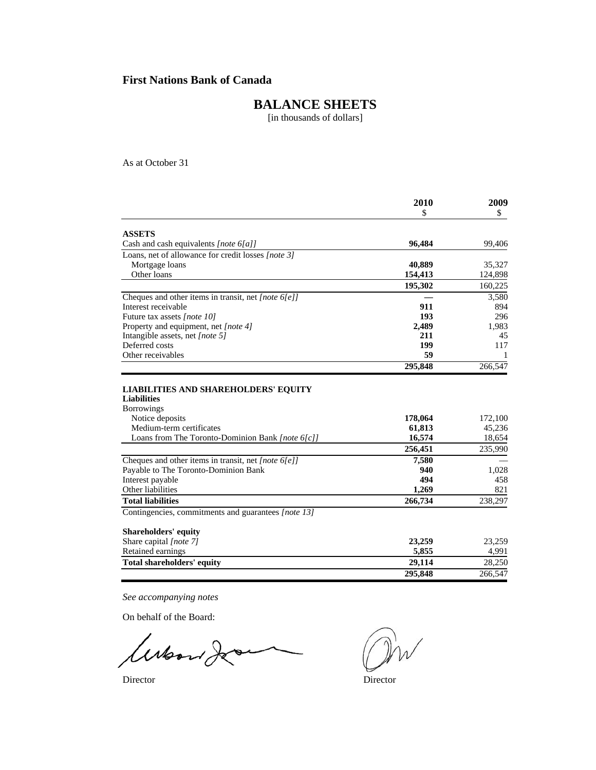# **BALANCE SHEETS**

[in thousands of dollars]

As at October 31

|                                                                  | 2010              | 2009              |
|------------------------------------------------------------------|-------------------|-------------------|
|                                                                  | \$                | \$                |
| <b>ASSETS</b>                                                    |                   |                   |
| Cash and cash equivalents [note 6[a]]                            | 96,484            | 99,406            |
| Loans, net of allowance for credit losses [note 3]               |                   |                   |
| Mortgage loans                                                   | 40,889            | 35,327            |
| Other loans                                                      | 154,413           | 124,898           |
|                                                                  | 195,302           | 160,225           |
| Cheques and other items in transit, net [note $6[e]$ ]           |                   | 3,580             |
| Interest receivable                                              | 911               | 894               |
| Future tax assets [note 10]                                      | 193               | 296               |
| Property and equipment, net [note 4]                             | 2,489             | 1,983             |
| Intangible assets, net [note 5]                                  | 211               | 45                |
| Deferred costs                                                   | 199               | 117               |
| Other receivables                                                | 59                | -1                |
|                                                                  | 295,848           | 266.547           |
| <b>Borrowings</b><br>Notice deposits<br>Medium-term certificates | 178,064<br>61,813 | 172,100<br>45,236 |
| Loans from The Toronto-Dominion Bank [note 6[c]]                 | 16,574            | 18,654            |
|                                                                  | 256,451           | 235,990           |
| Cheques and other items in transit, net [note $6[e]$ ]           | 7,580             |                   |
| Payable to The Toronto-Dominion Bank                             | 940               | 1,028             |
| Interest payable                                                 | 494               | 458               |
| Other liabilities                                                | 1,269             | 821               |
| <b>Total liabilities</b>                                         | 266,734           | 238,297           |
| Contingencies, commitments and guarantees [note 13]              |                   |                   |
| <b>Shareholders' equity</b>                                      |                   |                   |
| Share capital [note 7]                                           | 23,259            | 23,259            |
| Retained earnings                                                | 5,855             | 4,991             |
| Total shareholders' equity                                       | 29,114            | 28,250            |
|                                                                  | 295,848           | 266.547           |

*See accompanying notes*

On behalf of the Board:

 $\overline{\phantom{1}}$ woon 20

Director Director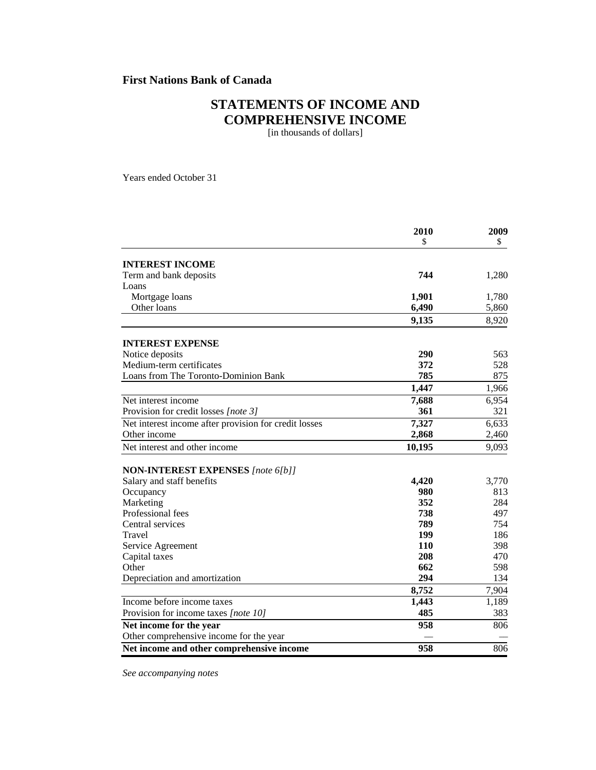# **STATEMENTS OF INCOME AND COMPREHENSIVE INCOME**

[in thousands of dollars]

Years ended October 31

|                                                                       | 2010       | 2009  |
|-----------------------------------------------------------------------|------------|-------|
|                                                                       | \$         | \$    |
| <b>INTEREST INCOME</b>                                                |            |       |
| Term and bank deposits                                                | 744        | 1,280 |
| Loans                                                                 |            |       |
| Mortgage loans                                                        | 1,901      | 1,780 |
| Other loans                                                           | 6,490      | 5,860 |
|                                                                       | 9,135      | 8,920 |
| <b>INTEREST EXPENSE</b>                                               |            |       |
| Notice deposits                                                       | 290        | 563   |
| Medium-term certificates                                              | 372        | 528   |
| Loans from The Toronto-Dominion Bank                                  | 785        | 875   |
|                                                                       | 1,447      | 1,966 |
| Net interest income                                                   | 7,688      | 6,954 |
| Provision for credit losses [note 3]                                  | 361        | 321   |
| Net interest income after provision for credit losses                 | 7,327      | 6,633 |
| Other income                                                          | 2,868      | 2,460 |
| Net interest and other income                                         | 10,195     | 9,093 |
|                                                                       |            |       |
| <b>NON-INTEREST EXPENSES</b> [note 6[b]]<br>Salary and staff benefits | 4,420      | 3,770 |
| Occupancy                                                             | 980        | 813   |
| Marketing                                                             | 352        | 284   |
| Professional fees                                                     | 738        | 497   |
| Central services                                                      | 789        | 754   |
| Travel                                                                | 199        | 186   |
| Service Agreement                                                     | <b>110</b> | 398   |
| Capital taxes                                                         | 208        | 470   |
| Other                                                                 | 662        | 598   |
| Depreciation and amortization                                         | 294        | 134   |
|                                                                       | 8,752      | 7,904 |
| Income before income taxes                                            | 1,443      | 1,189 |
| Provision for income taxes [note 10]                                  | 485        | 383   |
| Net income for the year                                               | 958        | 806   |
| Other comprehensive income for the year                               |            |       |
| Net income and other comprehensive income                             | 958        | 806   |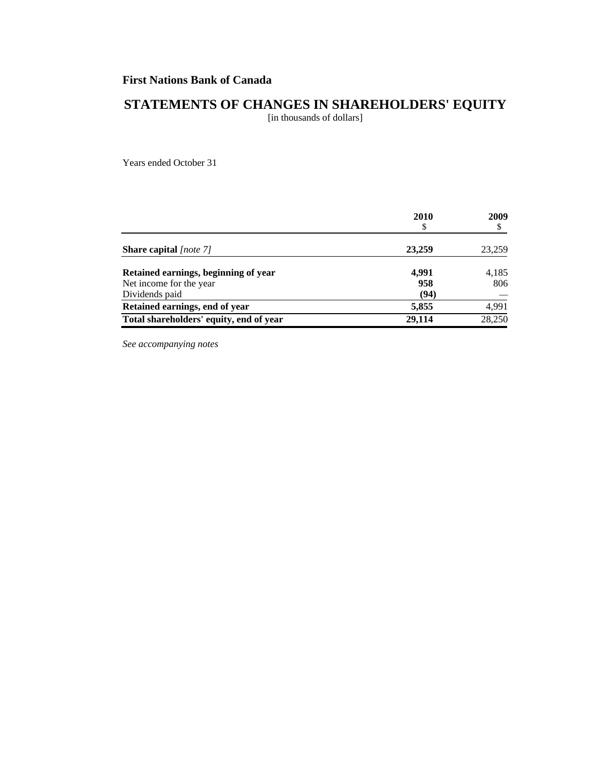# **STATEMENTS OF CHANGES IN SHAREHOLDERS' EQUITY**

[in thousands of dollars]

Years ended October 31

|                                         | 2010<br>\$ | 2009<br>\$ |
|-----------------------------------------|------------|------------|
| <b>Share capital</b> [note 7]           | 23,259     | 23,259     |
| Retained earnings, beginning of year    | 4.991      | 4,185      |
| Net income for the year                 | 958        | 806        |
| Dividends paid                          | (94)       |            |
| Retained earnings, end of year          | 5,855      | 4,991      |
| Total shareholders' equity, end of year | 29.114     | 28,250     |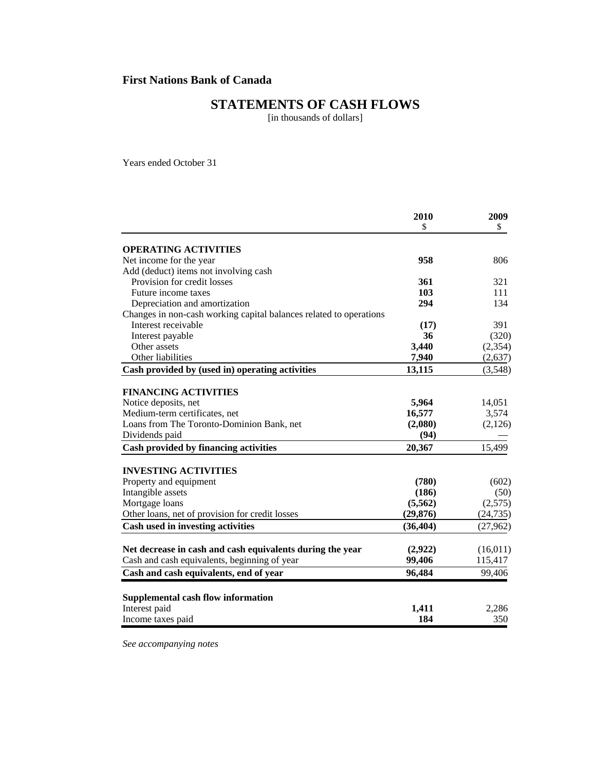# **STATEMENTS OF CASH FLOWS**

[in thousands of dollars]

Years ended October 31

|                                                                    | 2010      | 2009      |
|--------------------------------------------------------------------|-----------|-----------|
|                                                                    | \$        | \$        |
| <b>OPERATING ACTIVITIES</b>                                        |           |           |
| Net income for the year                                            | 958       | 806       |
| Add (deduct) items not involving cash                              |           |           |
| Provision for credit losses                                        | 361       | 321       |
| Future income taxes                                                | 103       | 111       |
| Depreciation and amortization                                      | 294       | 134       |
| Changes in non-cash working capital balances related to operations |           |           |
| Interest receivable                                                | (17)      | 391       |
| Interest payable                                                   | 36        | (320)     |
| Other assets                                                       | 3,440     | (2, 354)  |
| Other liabilities                                                  | 7,940     | (2,637)   |
| Cash provided by (used in) operating activities                    | 13,115    | (3,548)   |
|                                                                    |           |           |
| <b>FINANCING ACTIVITIES</b>                                        |           |           |
| Notice deposits, net                                               | 5,964     | 14,051    |
| Medium-term certificates, net                                      | 16,577    | 3,574     |
| Loans from The Toronto-Dominion Bank, net                          | (2,080)   | (2,126)   |
| Dividends paid                                                     | (94)      |           |
| Cash provided by financing activities                              | 20,367    | 15,499    |
| <b>INVESTING ACTIVITIES</b>                                        |           |           |
| Property and equipment                                             | (780)     | (602)     |
| Intangible assets                                                  | (186)     | (50)      |
| Mortgage loans                                                     | (5,562)   | (2,575)   |
| Other loans, net of provision for credit losses                    | (29, 876) | (24, 735) |
| Cash used in investing activities                                  | (36, 404) | (27,962)  |
|                                                                    |           |           |
| Net decrease in cash and cash equivalents during the year          | (2,922)   | (16,011)  |
| Cash and cash equivalents, beginning of year                       | 99,406    | 115,417   |
| Cash and cash equivalents, end of year                             | 96,484    | 99,406    |
| Supplemental cash flow information                                 |           |           |
| Interest paid                                                      | 1,411     | 2,286     |
| Income taxes paid                                                  | 184       | 350       |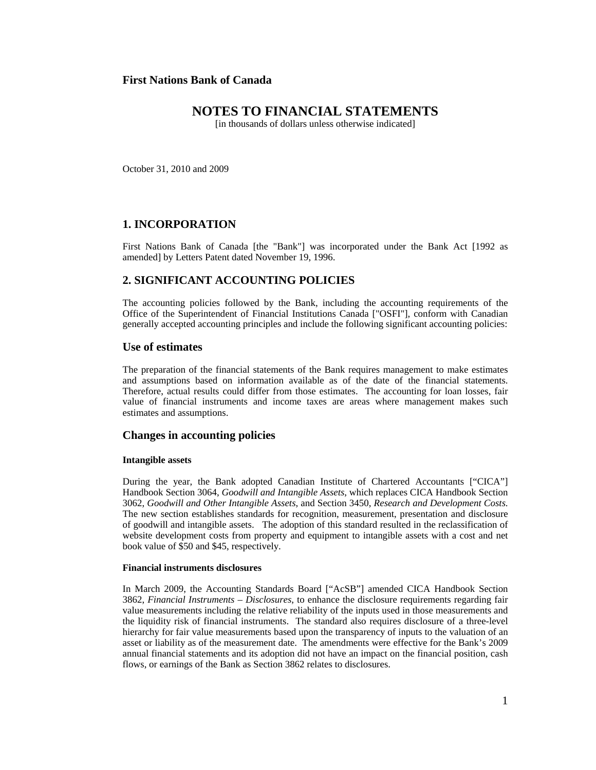# **NOTES TO FINANCIAL STATEMENTS**

[in thousands of dollars unless otherwise indicated]

October 31, 2010 and 2009

## **1. INCORPORATION**

First Nations Bank of Canada [the "Bank"] was incorporated under the Bank Act [1992 as amended] by Letters Patent dated November 19, 1996.

## **2. SIGNIFICANT ACCOUNTING POLICIES**

The accounting policies followed by the Bank, including the accounting requirements of the Office of the Superintendent of Financial Institutions Canada ["OSFI"], conform with Canadian generally accepted accounting principles and include the following significant accounting policies:

#### **Use of estimates**

The preparation of the financial statements of the Bank requires management to make estimates and assumptions based on information available as of the date of the financial statements. Therefore, actual results could differ from those estimates. The accounting for loan losses, fair value of financial instruments and income taxes are areas where management makes such estimates and assumptions.

#### **Changes in accounting policies**

#### **Intangible assets**

During the year, the Bank adopted Canadian Institute of Chartered Accountants ["CICA"] Handbook Section 3064, *Goodwill and Intangible Assets*, which replaces CICA Handbook Section 3062, *Goodwill and Other Intangible Assets*, and Section 3450, *Research and Development Costs*. The new section establishes standards for recognition, measurement, presentation and disclosure of goodwill and intangible assets. The adoption of this standard resulted in the reclassification of website development costs from property and equipment to intangible assets with a cost and net book value of \$50 and \$45, respectively.

#### **Financial instruments disclosures**

In March 2009, the Accounting Standards Board ["AcSB"] amended CICA Handbook Section 3862, *Financial Instruments – Disclosures*, to enhance the disclosure requirements regarding fair value measurements including the relative reliability of the inputs used in those measurements and the liquidity risk of financial instruments. The standard also requires disclosure of a three-level hierarchy for fair value measurements based upon the transparency of inputs to the valuation of an asset or liability as of the measurement date. The amendments were effective for the Bank's 2009 annual financial statements and its adoption did not have an impact on the financial position, cash flows, or earnings of the Bank as Section 3862 relates to disclosures.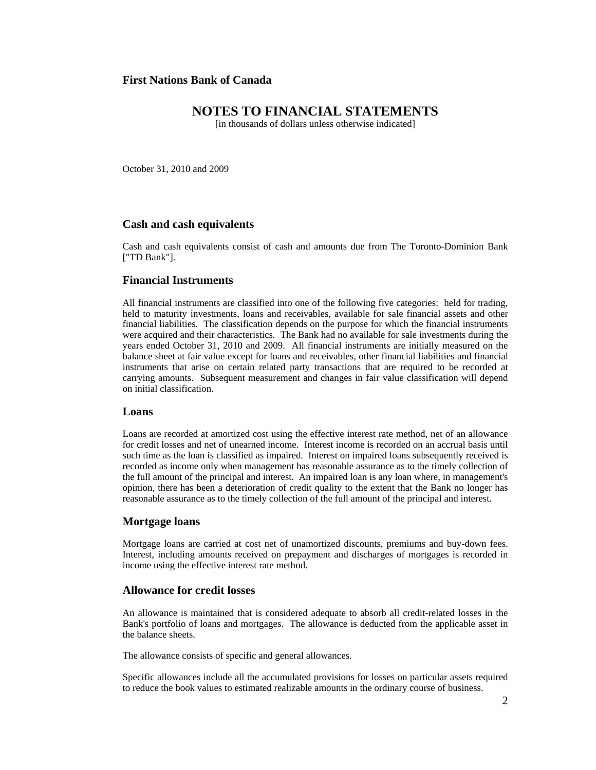# **NOTES TO FINANCIAL STATEMENTS**

[in thousands of dollars unless otherwise indicated]

October 31, 2010 and 2009

#### **Cash and cash equivalents**

Cash and cash equivalents consist of cash and amounts due from The Toronto-Dominion Bank ["TD Bank"].

## **Financial Instruments**

All financial instruments are classified into one of the following five categories: held for trading, held to maturity investments, loans and receivables, available for sale financial assets and other financial liabilities. The classification depends on the purpose for which the financial instruments were acquired and their characteristics. The Bank had no available for sale investments during the years ended October 31, 2010 and 2009. All financial instruments are initially measured on the balance sheet at fair value except for loans and receivables, other financial liabilities and financial instruments that arise on certain related party transactions that are required to be recorded at carrying amounts. Subsequent measurement and changes in fair value classification will depend on initial classification.

## **Loans**

Loans are recorded at amortized cost using the effective interest rate method, net of an allowance for credit losses and net of unearned income. Interest income is recorded on an accrual basis until such time as the loan is classified as impaired. Interest on impaired loans subsequently received is recorded as income only when management has reasonable assurance as to the timely collection of the full amount of the principal and interest. An impaired loan is any loan where, in management's opinion, there has been a deterioration of credit quality to the extent that the Bank no longer has reasonable assurance as to the timely collection of the full amount of the principal and interest.

#### **Mortgage loans**

Mortgage loans are carried at cost net of unamortized discounts, premiums and buy-down fees. Interest, including amounts received on prepayment and discharges of mortgages is recorded in income using the effective interest rate method.

#### **Allowance for credit losses**

An allowance is maintained that is considered adequate to absorb all credit-related losses in the Bank's portfolio of loans and mortgages. The allowance is deducted from the applicable asset in the balance sheets.

The allowance consists of specific and general allowances.

Specific allowances include all the accumulated provisions for losses on particular assets required to reduce the book values to estimated realizable amounts in the ordinary course of business.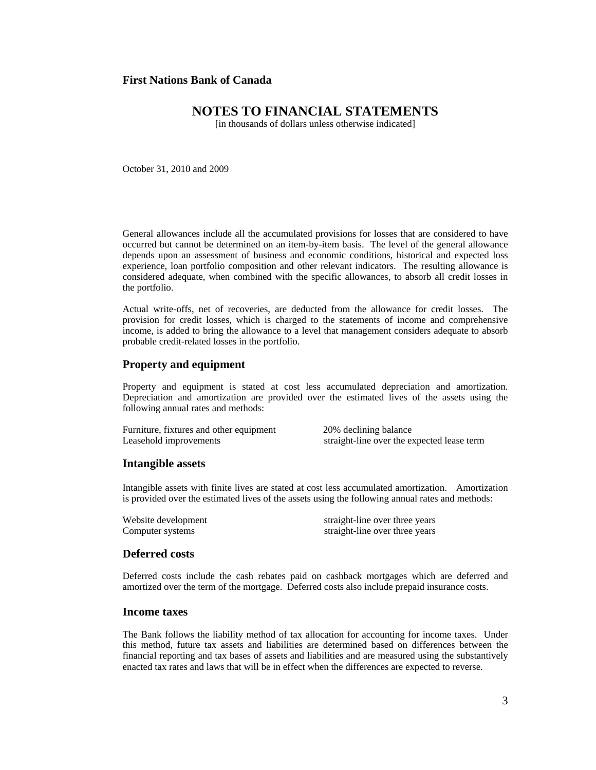# **NOTES TO FINANCIAL STATEMENTS**

[in thousands of dollars unless otherwise indicated]

October 31, 2010 and 2009

General allowances include all the accumulated provisions for losses that are considered to have occurred but cannot be determined on an item-by-item basis. The level of the general allowance depends upon an assessment of business and economic conditions, historical and expected loss experience, loan portfolio composition and other relevant indicators. The resulting allowance is considered adequate, when combined with the specific allowances, to absorb all credit losses in the portfolio.

Actual write-offs, net of recoveries, are deducted from the allowance for credit losses. The provision for credit losses, which is charged to the statements of income and comprehensive income, is added to bring the allowance to a level that management considers adequate to absorb probable credit-related losses in the portfolio.

#### **Property and equipment**

Property and equipment is stated at cost less accumulated depreciation and amortization. Depreciation and amortization are provided over the estimated lives of the assets using the following annual rates and methods:

Furniture, fixtures and other equipment 20% declining balance Leasehold improvements straight-line over the expected lease term

#### **Intangible assets**

Intangible assets with finite lives are stated at cost less accumulated amortization. Amortization is provided over the estimated lives of the assets using the following annual rates and methods:

Website development straight-line over three years Computer systems straight-line over three years

#### **Deferred costs**

Deferred costs include the cash rebates paid on cashback mortgages which are deferred and amortized over the term of the mortgage. Deferred costs also include prepaid insurance costs.

#### **Income taxes**

The Bank follows the liability method of tax allocation for accounting for income taxes. Under this method, future tax assets and liabilities are determined based on differences between the financial reporting and tax bases of assets and liabilities and are measured using the substantively enacted tax rates and laws that will be in effect when the differences are expected to reverse.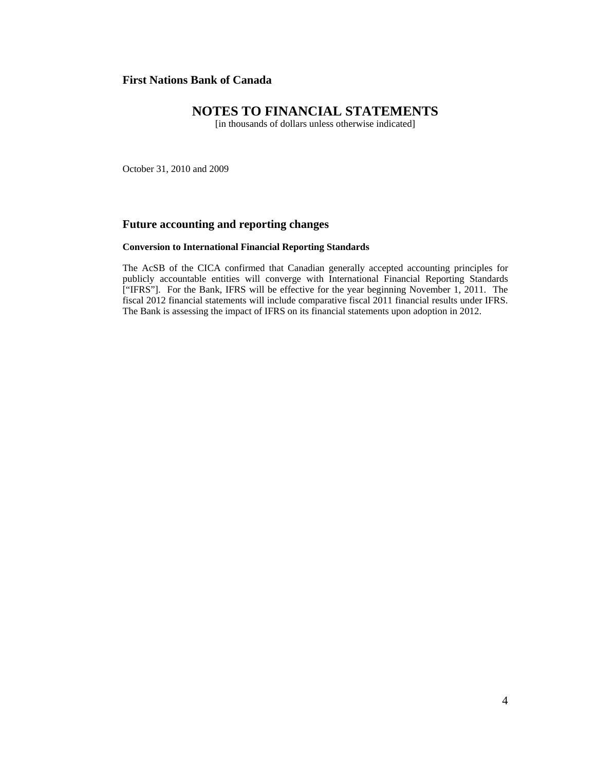# **NOTES TO FINANCIAL STATEMENTS**

[in thousands of dollars unless otherwise indicated]

October 31, 2010 and 2009

### **Future accounting and reporting changes**

#### **Conversion to International Financial Reporting Standards**

The AcSB of the CICA confirmed that Canadian generally accepted accounting principles for publicly accountable entities will converge with International Financial Reporting Standards ["IFRS"]. For the Bank, IFRS will be effective for the year beginning November 1, 2011. The fiscal 2012 financial statements will include comparative fiscal 2011 financial results under IFRS. The Bank is assessing the impact of IFRS on its financial statements upon adoption in 2012.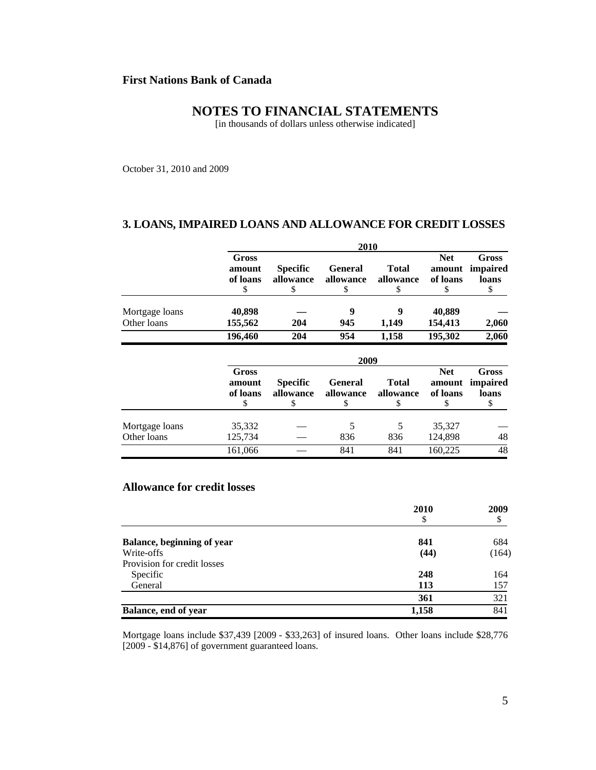# **NOTES TO FINANCIAL STATEMENTS**

[in thousands of dollars unless otherwise indicated]

October 31, 2010 and 2009

#### **3. LOANS, IMPAIRED LOANS AND ALLOWANCE FOR CREDIT LOSSES**

|                               |                                   |                                    | 2010                              |                                 |                                        |                                         |
|-------------------------------|-----------------------------------|------------------------------------|-----------------------------------|---------------------------------|----------------------------------------|-----------------------------------------|
|                               | Gross<br>amount<br>of loans<br>\$ | <b>Specific</b><br>allowance<br>\$ | <b>General</b><br>allowance<br>\$ | <b>Total</b><br>allowance<br>\$ | <b>Net</b><br>amount<br>of loans<br>\$ | <b>Gross</b><br>impaired<br>loans<br>\$ |
| Mortgage loans                | 40,898                            |                                    | 9                                 | 9                               | 40,889                                 |                                         |
| Other loans                   | 155,562                           | 204                                | 945                               | 1,149                           | 154,413                                | 2,060                                   |
|                               | 196,460                           | 204                                | 954                               | 1,158                           | 195,302                                | 2,060                                   |
|                               |                                   |                                    | 2009                              |                                 |                                        |                                         |
|                               | Gross<br>amount<br>of loans<br>\$ | <b>Specific</b><br>allowance<br>\$ | <b>General</b><br>allowance<br>S  | <b>Total</b><br>allowance<br>\$ | <b>Net</b><br>amount<br>of loans<br>S  | <b>Gross</b><br>impaired<br>loans<br>S  |
| Mortgage loans<br>Other loans | 35,332<br>125,734                 |                                    | 5<br>836                          | 5<br>836                        | 35,327<br>124,898                      | 48                                      |
|                               | 161,066                           |                                    | 841                               | 841                             | 160,225                                | 48                                      |

### **Allowance for credit losses**

|                             | 2010<br>\$ | 2009<br>\$ |
|-----------------------------|------------|------------|
| Balance, beginning of year  | 841        | 684        |
| Write-offs                  | (44)       | (164)      |
| Provision for credit losses |            |            |
| Specific                    | 248        | 164        |
| General                     | 113        | 157        |
|                             | 361        | 321        |
| Balance, end of year        | 1,158      | 841        |

Mortgage loans include \$37,439 [2009 - \$33,263] of insured loans. Other loans include \$28,776 [2009 - \$14,876] of government guaranteed loans.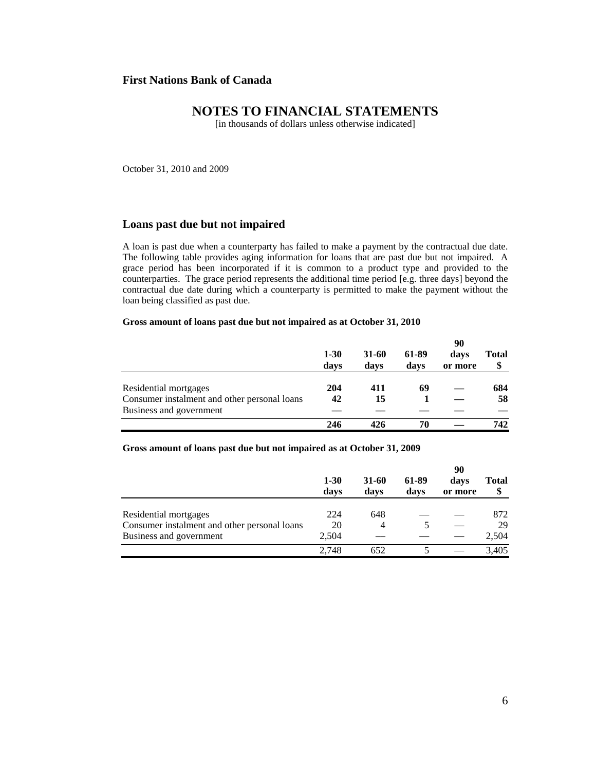### **NOTES TO FINANCIAL STATEMENTS**

[in thousands of dollars unless otherwise indicated]

October 31, 2010 and 2009

#### **Loans past due but not impaired**

A loan is past due when a counterparty has failed to make a payment by the contractual due date. The following table provides aging information for loans that are past due but not impaired. A grace period has been incorporated if it is common to a product type and provided to the counterparties. The grace period represents the additional time period [e.g. three days] beyond the contractual due date during which a counterparty is permitted to make the payment without the loan being classified as past due.

#### **Gross amount of loans past due but not impaired as at October 31, 2010**

|                                              |                  |               |               | 90              |                    |
|----------------------------------------------|------------------|---------------|---------------|-----------------|--------------------|
|                                              | $1 - 30$<br>days | 31-60<br>days | 61-89<br>days | davs<br>or more | <b>Total</b><br>\$ |
| Residential mortgages                        | 204              | 411           | 69            |                 | 684                |
| Consumer instalment and other personal loans | 42               | 15            |               |                 | 58                 |
| Business and government                      |                  |               |               |                 |                    |
|                                              | 246              |               | 70            |                 | 742                |

**Gross amount of loans past due but not impaired as at October 31, 2009** 

|                                              |                  |               |               | 90              |                    |
|----------------------------------------------|------------------|---------------|---------------|-----------------|--------------------|
|                                              | $1 - 30$<br>days | 31-60<br>days | 61-89<br>davs | davs<br>or more | <b>Total</b><br>\$ |
|                                              |                  |               |               |                 |                    |
| Residential mortgages                        | 224              | 648           |               |                 | 872                |
| Consumer instalment and other personal loans | 20               | 4             |               |                 | 29                 |
| Business and government                      | 2.504            |               |               |                 | 2,504              |
|                                              | 2.748            | 652           |               |                 | 3,405              |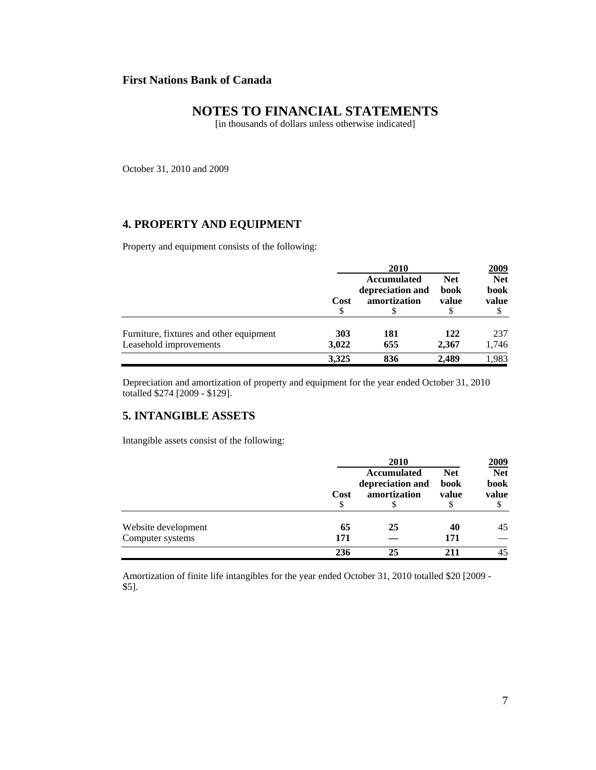# **NOTES TO FINANCIAL STATEMENTS**

[in thousands of dollars unless otherwise indicated]

October 31, 2010 and 2009

# **4. PROPERTY AND EQUIPMENT**

Property and equipment consists of the following:

|                                                                   |              | 2010                                                   |                             | <u>2009</u>                      |
|-------------------------------------------------------------------|--------------|--------------------------------------------------------|-----------------------------|----------------------------------|
|                                                                   | Cost<br>\$   | <b>Accumulated</b><br>depreciation and<br>amortization | <b>Net</b><br>book<br>value | <b>Net</b><br>book<br>value<br>Φ |
| Furniture, fixtures and other equipment<br>Leasehold improvements | 303<br>3,022 | 181<br>655                                             | 122<br>2.367                | 237<br>1,746                     |
|                                                                   | 3,325        | 836                                                    | 2.489                       | 1,983                            |

Depreciation and amortization of property and equipment for the year ended October 31, 2010 totalled \$274 [2009 - \$129].

#### **5. INTANGIBLE ASSETS**

Intangible assets consist of the following:

|                     |            | 2010                                                        |                             | 2009                              |
|---------------------|------------|-------------------------------------------------------------|-----------------------------|-----------------------------------|
|                     | Cost<br>\$ | <b>Accumulated</b><br>depreciation and<br>amortization<br>S | <b>Net</b><br>book<br>value | <b>Net</b><br>book<br>value<br>\$ |
| Website development | 65         | 25                                                          | 40                          | 45                                |
| Computer systems    | 171        |                                                             | 171                         |                                   |
|                     | 236        | 25                                                          | 211                         | 45                                |

Amortization of finite life intangibles for the year ended October 31, 2010 totalled \$20 [2009 - \$5].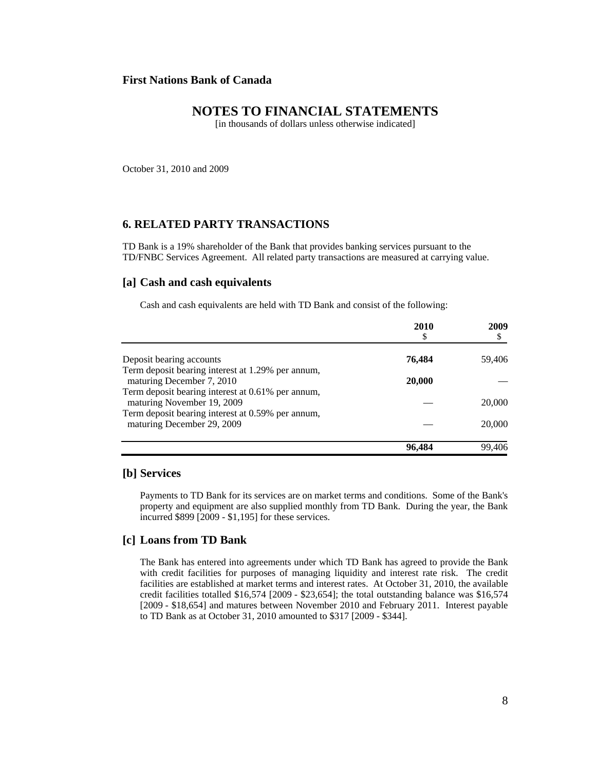### **NOTES TO FINANCIAL STATEMENTS**

[in thousands of dollars unless otherwise indicated]

October 31, 2010 and 2009

#### **6. RELATED PARTY TRANSACTIONS**

TD Bank is a 19% shareholder of the Bank that provides banking services pursuant to the TD/FNBC Services Agreement. All related party transactions are measured at carrying value.

#### **[a] Cash and cash equivalents**

Cash and cash equivalents are held with TD Bank and consist of the following:

|                                                   | 2010<br>\$ | 2009   |
|---------------------------------------------------|------------|--------|
| Deposit bearing accounts                          | 76,484     | 59,406 |
| Term deposit bearing interest at 1.29% per annum, |            |        |
| maturing December 7, 2010                         | 20,000     |        |
| Term deposit bearing interest at 0.61% per annum, |            |        |
| maturing November 19, 2009                        |            | 20,000 |
| Term deposit bearing interest at 0.59% per annum, |            |        |
| maturing December 29, 2009                        |            | 20,000 |
|                                                   | 96,484     | 99.406 |

#### **[b] Services**

Payments to TD Bank for its services are on market terms and conditions. Some of the Bank's property and equipment are also supplied monthly from TD Bank. During the year, the Bank incurred \$899 [2009 - \$1,195] for these services.

#### **[c] Loans from TD Bank**

The Bank has entered into agreements under which TD Bank has agreed to provide the Bank with credit facilities for purposes of managing liquidity and interest rate risk. The credit facilities are established at market terms and interest rates. At October 31, 2010, the available credit facilities totalled \$16,574 [2009 - \$23,654]; the total outstanding balance was \$16,574 [2009 - \$18,654] and matures between November 2010 and February 2011. Interest payable to TD Bank as at October 31, 2010 amounted to \$317 [2009 - \$344].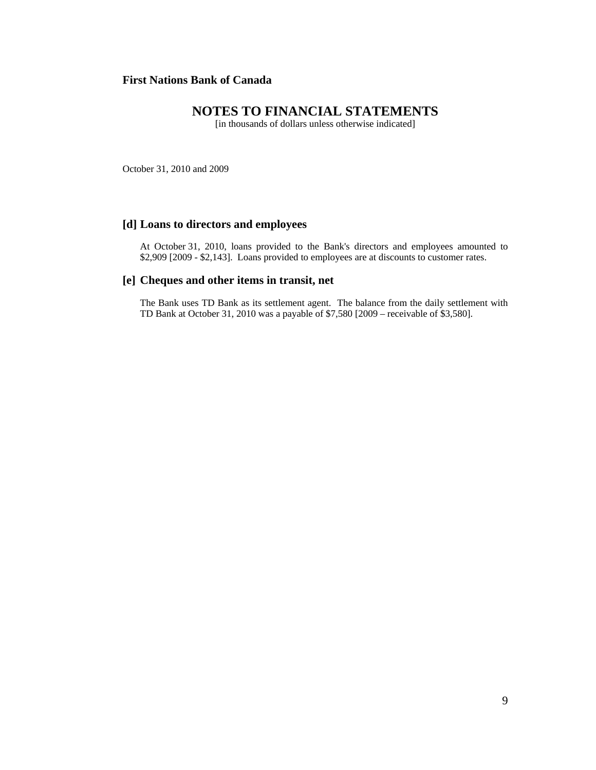# **NOTES TO FINANCIAL STATEMENTS**

[in thousands of dollars unless otherwise indicated]

October 31, 2010 and 2009

#### **[d] Loans to directors and employees**

At October 31, 2010, loans provided to the Bank's directors and employees amounted to \$2,909 [2009 - \$2,143]. Loans provided to employees are at discounts to customer rates.

#### **[e] Cheques and other items in transit, net**

The Bank uses TD Bank as its settlement agent. The balance from the daily settlement with TD Bank at October 31, 2010 was a payable of \$7,580 [2009 – receivable of \$3,580].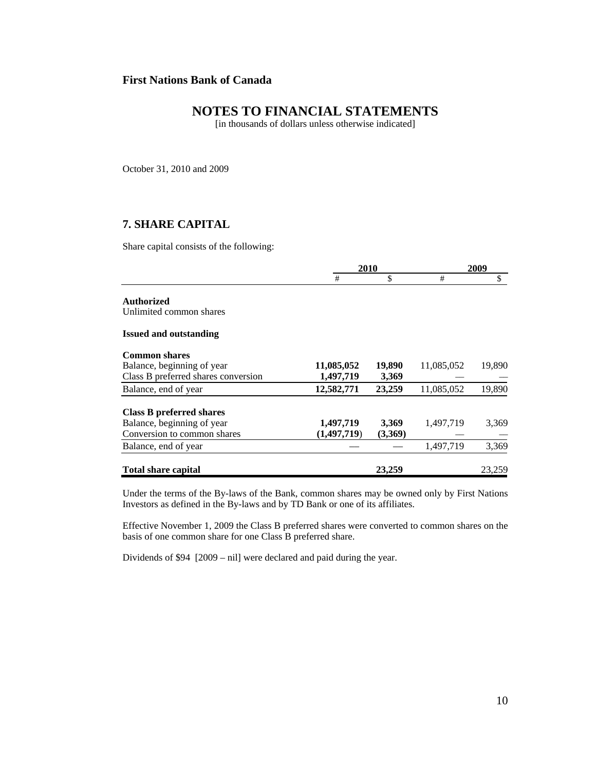# **NOTES TO FINANCIAL STATEMENTS**

[in thousands of dollars unless otherwise indicated]

October 31, 2010 and 2009

# **7. SHARE CAPITAL**

Share capital consists of the following:

|                                     |               | 2010    |            | 2009   |
|-------------------------------------|---------------|---------|------------|--------|
|                                     | #             | \$      | #          | \$     |
| <b>Authorized</b>                   |               |         |            |        |
| Unlimited common shares             |               |         |            |        |
| <b>Issued and outstanding</b>       |               |         |            |        |
| <b>Common shares</b>                |               |         |            |        |
| Balance, beginning of year          | 11,085,052    | 19,890  | 11,085,052 | 19,890 |
| Class B preferred shares conversion | 1,497,719     | 3,369   |            |        |
| Balance, end of year                | 12,582,771    | 23,259  | 11,085,052 | 19,890 |
| Class B preferred shares            |               |         |            |        |
| Balance, beginning of year          | 1,497,719     | 3,369   | 1,497,719  | 3,369  |
| Conversion to common shares         | (1, 497, 719) | (3,369) |            |        |
| Balance, end of year                |               |         | 1,497,719  | 3,369  |
| <b>Total share capital</b>          |               | 23,259  |            | 23,259 |

Under the terms of the By-laws of the Bank, common shares may be owned only by First Nations Investors as defined in the By-laws and by TD Bank or one of its affiliates.

Effective November 1, 2009 the Class B preferred shares were converted to common shares on the basis of one common share for one Class B preferred share.

Dividends of \$94 [2009 – nil] were declared and paid during the year.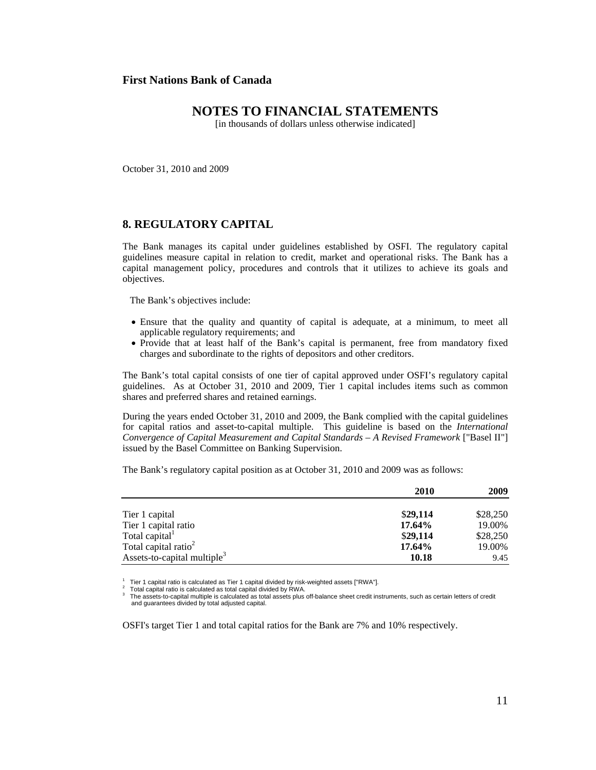### **NOTES TO FINANCIAL STATEMENTS**

[in thousands of dollars unless otherwise indicated]

October 31, 2010 and 2009

#### **8. REGULATORY CAPITAL**

The Bank manages its capital under guidelines established by OSFI. The regulatory capital guidelines measure capital in relation to credit, market and operational risks. The Bank has a capital management policy, procedures and controls that it utilizes to achieve its goals and objectives.

The Bank's objectives include:

- Ensure that the quality and quantity of capital is adequate, at a minimum, to meet all applicable regulatory requirements; and
- Provide that at least half of the Bank's capital is permanent, free from mandatory fixed charges and subordinate to the rights of depositors and other creditors.

The Bank's total capital consists of one tier of capital approved under OSFI's regulatory capital guidelines. As at October 31, 2010 and 2009, Tier 1 capital includes items such as common shares and preferred shares and retained earnings.

During the years ended October 31, 2010 and 2009, the Bank complied with the capital guidelines for capital ratios and asset-to-capital multiple. This guideline is based on the *International Convergence of Capital Measurement and Capital Standards – A Revised Framework* ["Basel II"] issued by the Basel Committee on Banking Supervision.

The Bank's regulatory capital position as at October 31, 2010 and 2009 was as follows:

|                                         | 2010     | 2009     |
|-----------------------------------------|----------|----------|
| Tier 1 capital                          | \$29,114 | \$28,250 |
| Tier 1 capital ratio                    | 17.64%   | 19.00%   |
| Total capital <sup>1</sup>              | \$29,114 | \$28,250 |
| Total capital ratio <sup>2</sup>        | 17.64%   | 19.00%   |
| Assets-to-capital multiple <sup>3</sup> | 10.18    | 9.45     |

1 Tier 1 capital ratio is calculated as Tier 1 capital divided by risk-weighted assets ["RWA"]. Total capital ratio is calculated as total capital divided by RWA. 2

3 The assets-to-capital multiple is calculated as total assets plus off-balance sheet credit instruments, such as certain letters of credit and guarantees divided by total adjusted capital.

OSFI's target Tier 1 and total capital ratios for the Bank are 7% and 10% respectively.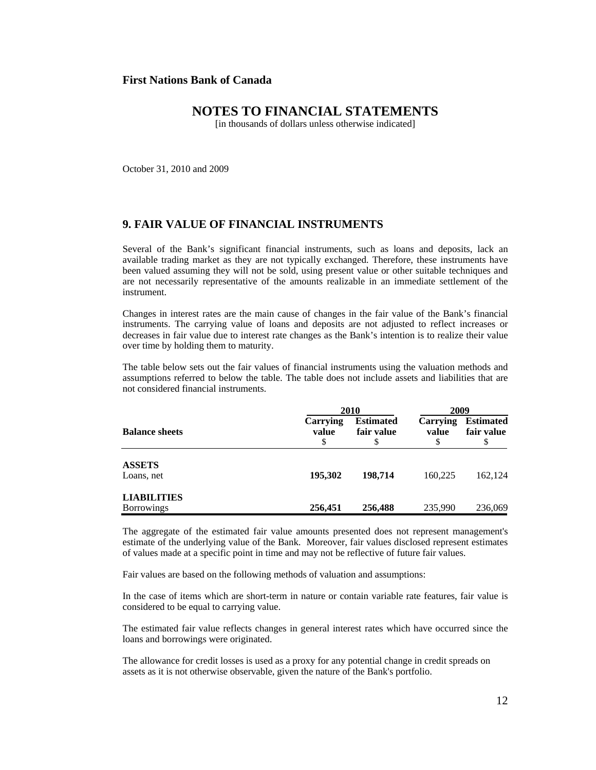### **NOTES TO FINANCIAL STATEMENTS**

[in thousands of dollars unless otherwise indicated]

October 31, 2010 and 2009

#### **9. FAIR VALUE OF FINANCIAL INSTRUMENTS**

Several of the Bank's significant financial instruments, such as loans and deposits, lack an available trading market as they are not typically exchanged. Therefore, these instruments have been valued assuming they will not be sold, using present value or other suitable techniques and are not necessarily representative of the amounts realizable in an immediate settlement of the instrument.

Changes in interest rates are the main cause of changes in the fair value of the Bank's financial instruments. The carrying value of loans and deposits are not adjusted to reflect increases or decreases in fair value due to interest rate changes as the Bank's intention is to realize their value over time by holding them to maturity.

The table below sets out the fair values of financial instruments using the valuation methods and assumptions referred to below the table. The table does not include assets and liabilities that are not considered financial instruments.

|                                         |                         | 2010                           |                   | 2009                                 |  |
|-----------------------------------------|-------------------------|--------------------------------|-------------------|--------------------------------------|--|
| <b>Balance sheets</b>                   | Carrying<br>value<br>\$ | <b>Estimated</b><br>fair value | Carrying<br>value | <b>Estimated</b><br>fair value<br>\$ |  |
| <b>ASSETS</b><br>Loans, net             | 195,302                 | 198.714                        | 160.225           | 162,124                              |  |
| <b>LIABILITIES</b><br><b>Borrowings</b> | 256,451                 | 256,488                        | 235,990           | 236,069                              |  |

The aggregate of the estimated fair value amounts presented does not represent management's estimate of the underlying value of the Bank. Moreover, fair values disclosed represent estimates of values made at a specific point in time and may not be reflective of future fair values.

Fair values are based on the following methods of valuation and assumptions:

In the case of items which are short-term in nature or contain variable rate features, fair value is considered to be equal to carrying value.

The estimated fair value reflects changes in general interest rates which have occurred since the loans and borrowings were originated.

The allowance for credit losses is used as a proxy for any potential change in credit spreads on assets as it is not otherwise observable, given the nature of the Bank's portfolio.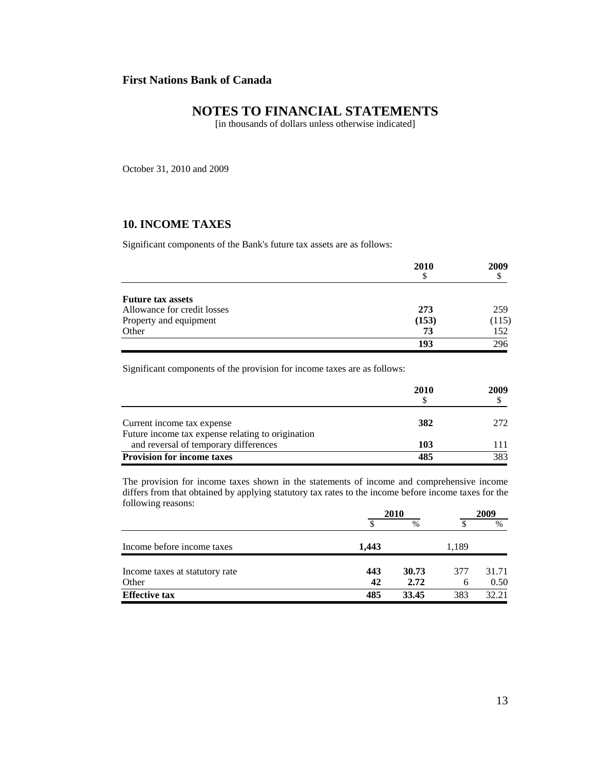# **NOTES TO FINANCIAL STATEMENTS**

[in thousands of dollars unless otherwise indicated]

October 31, 2010 and 2009

# **10. INCOME TAXES**

Significant components of the Bank's future tax assets are as follows:

|                             | 2010  | 2009  |
|-----------------------------|-------|-------|
|                             | \$    |       |
| <b>Future tax assets</b>    |       |       |
| Allowance for credit losses | 273   | 259   |
| Property and equipment      | (153) | (115) |
| Other                       | 73    | 152   |
|                             | 193   | 296   |

Significant components of the provision for income taxes are as follows:

|                                                                                            | 2010 | 2009 |
|--------------------------------------------------------------------------------------------|------|------|
| Current income tax expense                                                                 | 382  | 272  |
| Future income tax expense relating to origination<br>and reversal of temporary differences | 103  | 111  |
| <b>Provision for income taxes</b>                                                          | 485  | 383  |

The provision for income taxes shown in the statements of income and comprehensive income differs from that obtained by applying statutory tax rates to the income before income taxes for the following reasons:

|                                | 2010  |       |       | 2009  |  |
|--------------------------------|-------|-------|-------|-------|--|
|                                |       | $\%$  |       | $\%$  |  |
| Income before income taxes     | 1,443 |       | 1,189 |       |  |
| Income taxes at statutory rate | 443   | 30.73 | 377   | 31.71 |  |
| Other                          | 42    | 2.72  | 6     | 0.50  |  |
| <b>Effective tax</b>           | 485   | 33.45 | 383   | 32.21 |  |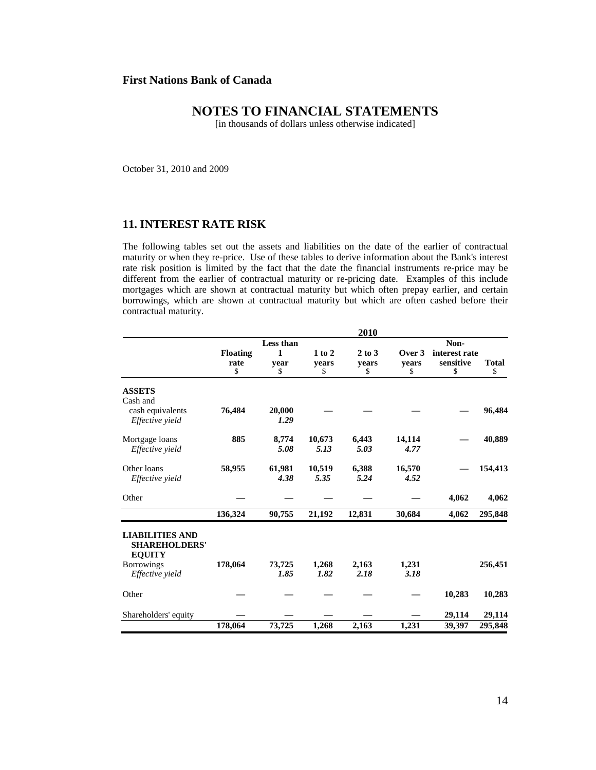# **NOTES TO FINANCIAL STATEMENTS**

[in thousands of dollars unless otherwise indicated]

October 31, 2010 and 2009

### **11. INTEREST RATE RISK**

The following tables set out the assets and liabilities on the date of the earlier of contractual maturity or when they re-price. Use of these tables to derive information about the Bank's interest rate risk position is limited by the fact that the date the financial instruments re-price may be different from the earlier of contractual maturity or re-pricing date. Examples of this include mortgages which are shown at contractual maturity but which often prepay earlier, and certain borrowings, which are shown at contractual maturity but which are often cashed before their contractual maturity.

|                                                                 |                 |           |            | 2010       |        |               |              |  |
|-----------------------------------------------------------------|-----------------|-----------|------------|------------|--------|---------------|--------------|--|
|                                                                 |                 | Less than |            | Non-       |        |               |              |  |
|                                                                 | <b>Floating</b> | 1         | $1$ to $2$ | $2$ to $3$ | Over 3 | interest rate |              |  |
|                                                                 | rate            | vear      | vears      | vears      | vears  | sensitive     | <b>Total</b> |  |
|                                                                 | \$              | \$        | \$         | \$         | \$     | \$            | \$           |  |
| <b>ASSETS</b>                                                   |                 |           |            |            |        |               |              |  |
| Cash and                                                        |                 |           |            |            |        |               |              |  |
| cash equivalents                                                | 76,484          | 20,000    |            |            |        |               | 96,484       |  |
| Effective yield                                                 |                 | 1.29      |            |            |        |               |              |  |
| Mortgage loans                                                  | 885             | 8,774     | 10,673     | 6.443      | 14.114 |               | 40,889       |  |
| Effective yield                                                 |                 | 5.08      | 5.13       | 5.03       | 4.77   |               |              |  |
| Other loans                                                     | 58,955          | 61,981    | 10,519     | 6,388      | 16,570 |               | 154,413      |  |
| Effective yield                                                 |                 | 4.38      | 5.35       | 5.24       | 4.52   |               |              |  |
|                                                                 |                 |           |            |            |        |               |              |  |
| Other                                                           |                 |           |            |            |        | 4,062         | 4,062        |  |
|                                                                 | 136,324         | 90,755    | 21,192     | 12,831     | 30,684 | 4,062         | 295,848      |  |
| <b>LIABILITIES AND</b><br><b>SHAREHOLDERS'</b><br><b>EQUITY</b> |                 |           |            |            |        |               |              |  |
| <b>Borrowings</b>                                               | 178,064         | 73,725    | 1,268      | 2,163      | 1,231  |               | 256,451      |  |
| Effective yield                                                 |                 | 1.85      | 1.82       | 2.18       | 3.18   |               |              |  |
| Other                                                           |                 |           |            |            |        | 10,283        | 10,283       |  |
| Shareholders' equity                                            |                 |           |            |            |        | 29,114        | 29,114       |  |
|                                                                 | 178,064         | 73,725    | 1,268      | 2,163      | 1,231  | 39,397        | 295,848      |  |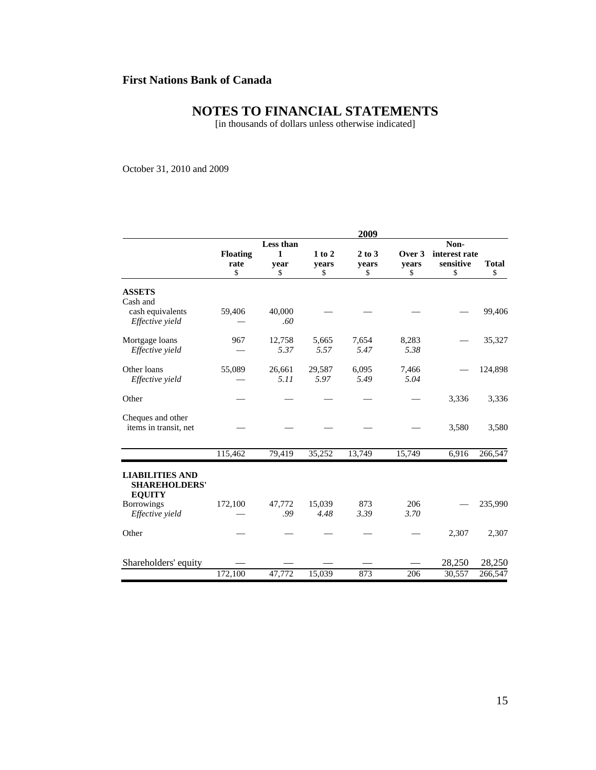# **NOTES TO FINANCIAL STATEMENTS**

[in thousands of dollars unless otherwise indicated]

October 31, 2010 and 2009

|                                                                                      |                               |                              |                           | 2009                      |                       |                                          |                    |
|--------------------------------------------------------------------------------------|-------------------------------|------------------------------|---------------------------|---------------------------|-----------------------|------------------------------------------|--------------------|
|                                                                                      | <b>Floating</b><br>rate<br>\$ | Less than<br>1<br>year<br>\$ | $1$ to $2$<br>years<br>\$ | $2$ to $3$<br>years<br>\$ | Over 3<br>years<br>\$ | Non-<br>interest rate<br>sensitive<br>\$ | <b>Total</b><br>\$ |
| <b>ASSETS</b><br>Cash and<br>cash equivalents<br>Effective yield                     | 59,406                        | 40,000<br>.60                |                           |                           |                       |                                          | 99,406             |
| Mortgage loans<br>Effective yield                                                    | 967                           | 12,758<br>5.37               | 5,665<br>5.57             | 7,654<br>5.47             | 8,283<br>5.38         |                                          | 35,327             |
| Other loans<br>Effective yield                                                       | 55,089                        | 26,661<br>5.11               | 29,587<br>5.97            | 6,095<br>5.49             | 7,466<br>5.04         |                                          | 124,898            |
| Other                                                                                |                               |                              |                           |                           |                       | 3,336                                    | 3,336              |
| Cheques and other<br>items in transit, net                                           |                               |                              |                           |                           |                       | 3,580                                    | 3,580              |
|                                                                                      | 115,462                       | 79,419                       | 35,252                    | 13,749                    | 15,749                | 6,916                                    | 266,547            |
| <b>LIABILITIES AND</b><br><b>SHAREHOLDERS'</b><br><b>EQUITY</b><br><b>Borrowings</b> | 172,100                       | 47,772                       | 15,039                    | 873                       | 206                   |                                          | 235,990            |
| Effective yield                                                                      |                               | .99                          | 4.48                      | 3.39                      | 3.70                  |                                          |                    |
| Other                                                                                |                               |                              |                           |                           |                       | 2,307                                    | 2,307              |
| Shareholders' equity                                                                 | 172,100                       | 47,772                       | 15,039                    | 873                       | 206                   | 28,250<br>30,557                         | 28,250<br>266,547  |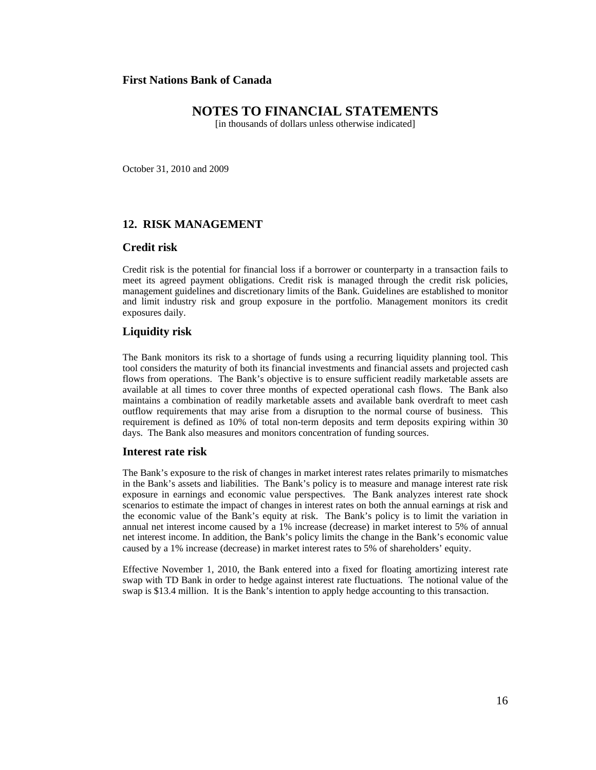### **NOTES TO FINANCIAL STATEMENTS**

[in thousands of dollars unless otherwise indicated]

October 31, 2010 and 2009

#### **12. RISK MANAGEMENT**

#### **Credit risk**

Credit risk is the potential for financial loss if a borrower or counterparty in a transaction fails to meet its agreed payment obligations. Credit risk is managed through the credit risk policies, management guidelines and discretionary limits of the Bank. Guidelines are established to monitor and limit industry risk and group exposure in the portfolio. Management monitors its credit exposures daily.

#### **Liquidity risk**

The Bank monitors its risk to a shortage of funds using a recurring liquidity planning tool. This tool considers the maturity of both its financial investments and financial assets and projected cash flows from operations. The Bank's objective is to ensure sufficient readily marketable assets are available at all times to cover three months of expected operational cash flows. The Bank also maintains a combination of readily marketable assets and available bank overdraft to meet cash outflow requirements that may arise from a disruption to the normal course of business. This requirement is defined as 10% of total non-term deposits and term deposits expiring within 30 days. The Bank also measures and monitors concentration of funding sources.

#### **Interest rate risk**

The Bank's exposure to the risk of changes in market interest rates relates primarily to mismatches in the Bank's assets and liabilities. The Bank's policy is to measure and manage interest rate risk exposure in earnings and economic value perspectives. The Bank analyzes interest rate shock scenarios to estimate the impact of changes in interest rates on both the annual earnings at risk and the economic value of the Bank's equity at risk. The Bank's policy is to limit the variation in annual net interest income caused by a 1% increase (decrease) in market interest to 5% of annual net interest income. In addition, the Bank's policy limits the change in the Bank's economic value caused by a 1% increase (decrease) in market interest rates to 5% of shareholders' equity.

Effective November 1, 2010, the Bank entered into a fixed for floating amortizing interest rate swap with TD Bank in order to hedge against interest rate fluctuations. The notional value of the swap is \$13.4 million. It is the Bank's intention to apply hedge accounting to this transaction.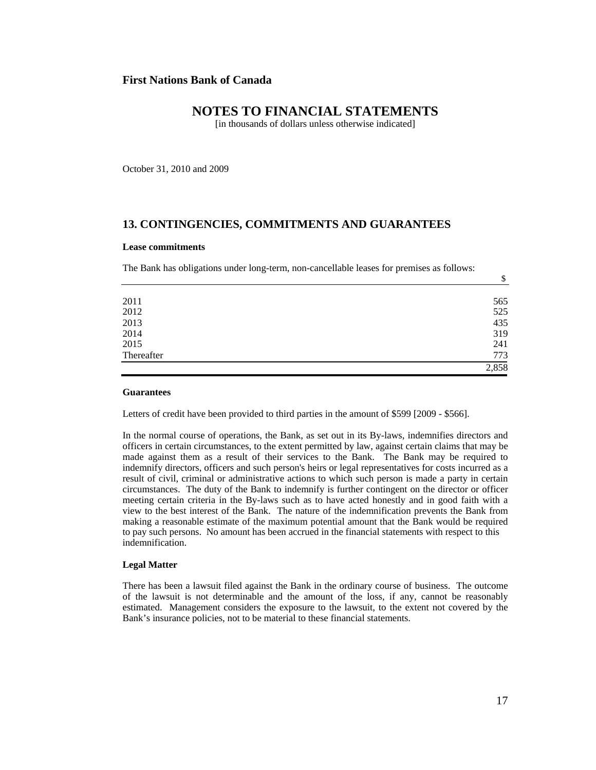### **NOTES TO FINANCIAL STATEMENTS**

[in thousands of dollars unless otherwise indicated]

October 31, 2010 and 2009

#### **13. CONTINGENCIES, COMMITMENTS AND GUARANTEES**

#### **Lease commitments**

The Bank has obligations under long-term, non-cancellable leases for premises as follows:

| 773 |
|-----|
| 241 |
| 319 |
| 435 |
| 525 |
| 565 |
|     |

#### **Guarantees**

Letters of credit have been provided to third parties in the amount of \$599 [2009 - \$566].

In the normal course of operations, the Bank, as set out in its By-laws, indemnifies directors and officers in certain circumstances, to the extent permitted by law, against certain claims that may be made against them as a result of their services to the Bank. The Bank may be required to indemnify directors, officers and such person's heirs or legal representatives for costs incurred as a result of civil, criminal or administrative actions to which such person is made a party in certain circumstances. The duty of the Bank to indemnify is further contingent on the director or officer meeting certain criteria in the By-laws such as to have acted honestly and in good faith with a view to the best interest of the Bank. The nature of the indemnification prevents the Bank from making a reasonable estimate of the maximum potential amount that the Bank would be required to pay such persons. No amount has been accrued in the financial statements with respect to this indemnification.

#### **Legal Matter**

There has been a lawsuit filed against the Bank in the ordinary course of business. The outcome of the lawsuit is not determinable and the amount of the loss, if any, cannot be reasonably estimated. Management considers the exposure to the lawsuit, to the extent not covered by the Bank's insurance policies, not to be material to these financial statements.

\$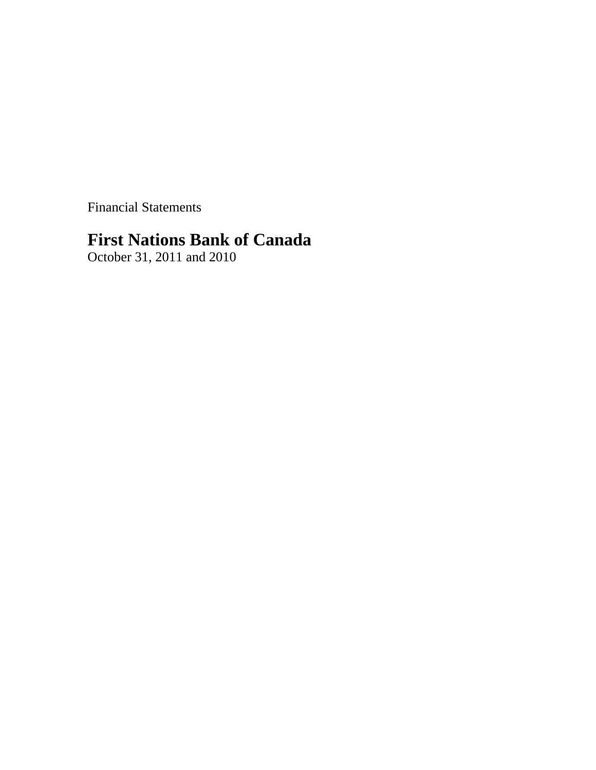Financial Statements

# **First Nations Bank of Canada**

October 31, 2011 and 2010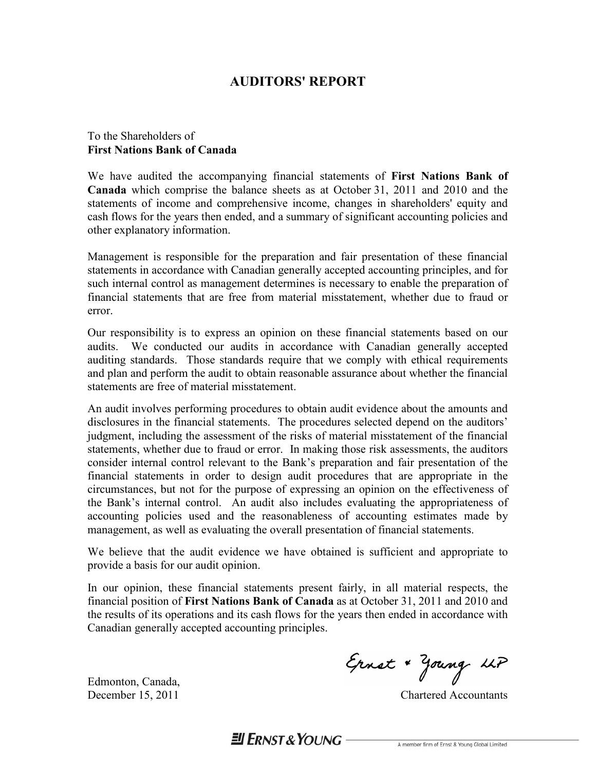# **AUDITORS' REPORT**

### To the Shareholders of **First Nations Bank of Canada**

We have audited the accompanying financial statements of **First Nations Bank of Canada** which comprise the balance sheets as at October 31, 2011 and 2010 and the statements of income and comprehensive income, changes in shareholders' equity and cash flows for the years then ended, and a summary of significant accounting policies and other explanatory information.

Management is responsible for the preparation and fair presentation of these financial statements in accordance with Canadian generally accepted accounting principles, and for such internal control as management determines is necessary to enable the preparation of financial statements that are free from material misstatement, whether due to fraud or error.

Our responsibility is to express an opinion on these financial statements based on our audits. We conducted our audits in accordance with Canadian generally accepted auditing standards. Those standards require that we comply with ethical requirements and plan and perform the audit to obtain reasonable assurance about whether the financial statements are free of material misstatement.

An audit involves performing procedures to obtain audit evidence about the amounts and disclosures in the financial statements. The procedures selected depend on the auditors' judgment, including the assessment of the risks of material misstatement of the financial statements, whether due to fraud or error. In making those risk assessments, the auditors consider internal control relevant to the Bank's preparation and fair presentation of the financial statements in order to design audit procedures that are appropriate in the circumstances, but not for the purpose of expressing an opinion on the effectiveness of the Bank's internal control. An audit also includes evaluating the appropriateness of accounting policies used and the reasonableness of accounting estimates made by management, as well as evaluating the overall presentation of financial statements.

We believe that the audit evidence we have obtained is sufficient and appropriate to provide a basis for our audit opinion.

In our opinion, these financial statements present fairly, in all material respects, the financial position of **First Nations Bank of Canada** as at October 31, 2011 and 2010 and the results of its operations and its cash flows for the years then ended in accordance with Canadian generally accepted accounting principles.

Edmonton, Canada,

Ernst + Young LLP

December 15, 2011 Chartered Accountants

 $H$  FRNST & YOUNG -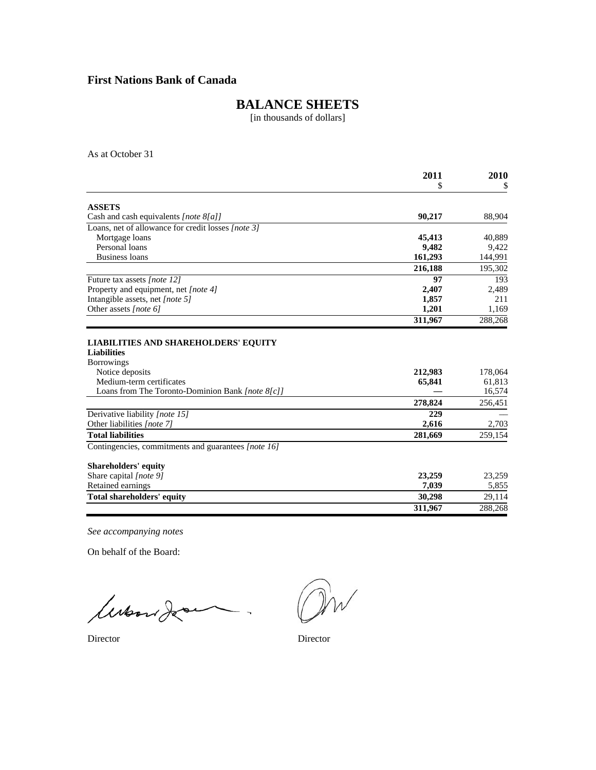# **BALANCE SHEETS**

[in thousands of dollars]

As at October 31

|                                                                                                                                            | 2011              | 2010                        |
|--------------------------------------------------------------------------------------------------------------------------------------------|-------------------|-----------------------------|
|                                                                                                                                            | \$                | \$                          |
| <b>ASSETS</b>                                                                                                                              |                   |                             |
| Cash and cash equivalents [note 8[a]]                                                                                                      | 90,217            | 88,904                      |
| Loans, net of allowance for credit losses [note 3]                                                                                         |                   |                             |
| Mortgage loans                                                                                                                             | 45,413            | 40,889                      |
| Personal loans                                                                                                                             | 9,482             | 9,422                       |
| Business loans                                                                                                                             | 161,293           | 144,991                     |
|                                                                                                                                            | 216,188           | 195,302                     |
|                                                                                                                                            |                   |                             |
| Future tax assets [note 12]                                                                                                                | 97                | 193                         |
| Property and equipment, net [note 4]                                                                                                       | 2,407             | 2,489                       |
| Intangible assets, net [note 5]                                                                                                            | 1,857             | 211                         |
| Other assets [note 6]                                                                                                                      | 1,201             | 1,169                       |
|                                                                                                                                            | 311,967           | 288,268                     |
| <b>Liabilities</b><br><b>Borrowings</b><br>Notice deposits<br>Medium-term certificates<br>Loans from The Toronto-Dominion Bank [note 8[c]] | 212,983<br>65,841 | 178,064<br>61,813<br>16,574 |
|                                                                                                                                            | 278,824           | 256,451                     |
| Derivative liability [note 15]                                                                                                             | 229               |                             |
| Other liabilities [note 7]                                                                                                                 | 2,616             | 2,703                       |
| <b>Total liabilities</b>                                                                                                                   | 281,669           | 259,154                     |
| Contingencies, commitments and guarantees [note 16]                                                                                        |                   |                             |
| <b>Shareholders' equity</b>                                                                                                                |                   |                             |
| Share capital [note 9]                                                                                                                     | 23,259            | 23,259                      |
| Retained earnings                                                                                                                          | 7,039             | 5,855                       |
| <b>Total shareholders' equity</b>                                                                                                          | 30,298            | 29,114                      |
|                                                                                                                                            | 311.967           | 288,268                     |
|                                                                                                                                            |                   |                             |

*See accompanying notes*

On behalf of the Board:

lubord de .

Director Director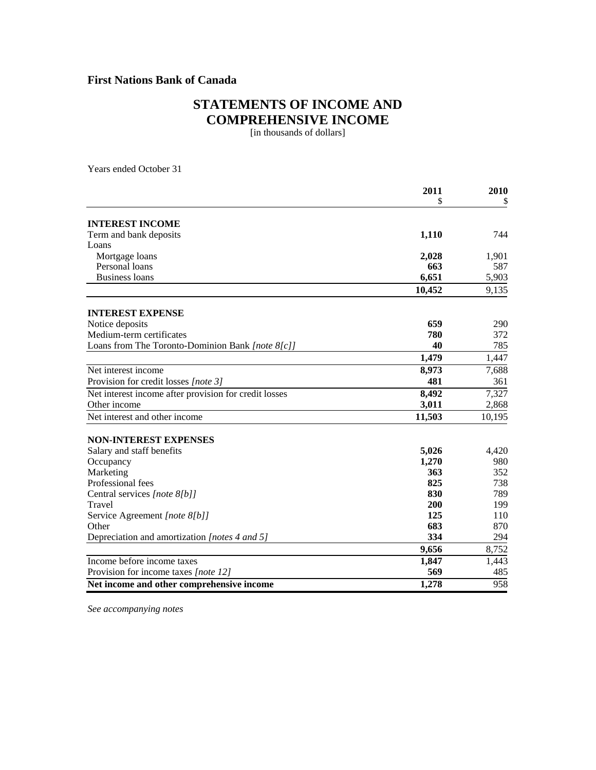# **STATEMENTS OF INCOME AND COMPREHENSIVE INCOME**

[in thousands of dollars]

Years ended October 31

|                                                       | 2011   | 2010   |
|-------------------------------------------------------|--------|--------|
|                                                       | \$     |        |
| <b>INTEREST INCOME</b>                                |        |        |
| Term and bank deposits                                | 1,110  | 744    |
| Loans                                                 |        |        |
| Mortgage loans                                        | 2,028  | 1,901  |
| Personal loans                                        | 663    | 587    |
| <b>Business loans</b>                                 | 6,651  | 5,903  |
|                                                       | 10,452 | 9,135  |
| <b>INTEREST EXPENSE</b>                               |        |        |
| Notice deposits                                       | 659    | 290    |
| Medium-term certificates                              | 780    | 372    |
| Loans from The Toronto-Dominion Bank [note 8[c]]      | 40     | 785    |
|                                                       | 1,479  | 1,447  |
| Net interest income                                   | 8,973  | 7,688  |
| Provision for credit losses [note 3]                  | 481    | 361    |
| Net interest income after provision for credit losses | 8,492  | 7,327  |
| Other income                                          | 3,011  | 2,868  |
| Net interest and other income                         | 11,503 | 10,195 |
| <b>NON-INTEREST EXPENSES</b>                          |        |        |
| Salary and staff benefits                             | 5,026  | 4,420  |
| Occupancy                                             | 1,270  | 980    |
| Marketing                                             | 363    | 352    |
| Professional fees                                     | 825    | 738    |
| Central services [note 8[b]]                          | 830    | 789    |
| Travel                                                | 200    | 199    |
| Service Agreement [note 8[b]]                         | 125    | 110    |
| Other                                                 | 683    | 870    |
| Depreciation and amortization [notes 4 and 5]         | 334    | 294    |
|                                                       | 9,656  | 8,752  |
| Income before income taxes                            | 1,847  | 1,443  |
| Provision for income taxes [note 12]                  | 569    | 485    |
| Net income and other comprehensive income             | 1,278  | 958    |

*See accompanying notes*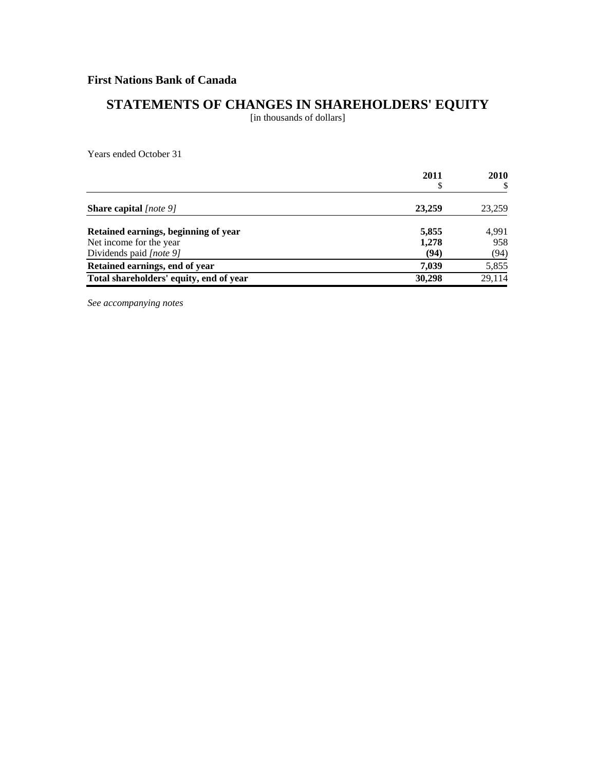# **STATEMENTS OF CHANGES IN SHAREHOLDERS' EQUITY**

[in thousands of dollars]

Years ended October 31

|                                         | 2011   | 2010   |
|-----------------------------------------|--------|--------|
| <b>Share capital</b> $ note 9 $         | 23,259 | 23,259 |
| Retained earnings, beginning of year    | 5,855  | 4,991  |
| Net income for the year                 | 1,278  | 958    |
| Dividends paid [note 9]                 | (94)   | (94)   |
| Retained earnings, end of year          | 7,039  | 5,855  |
| Total shareholders' equity, end of year | 30,298 | 29,114 |

*See accompanying notes*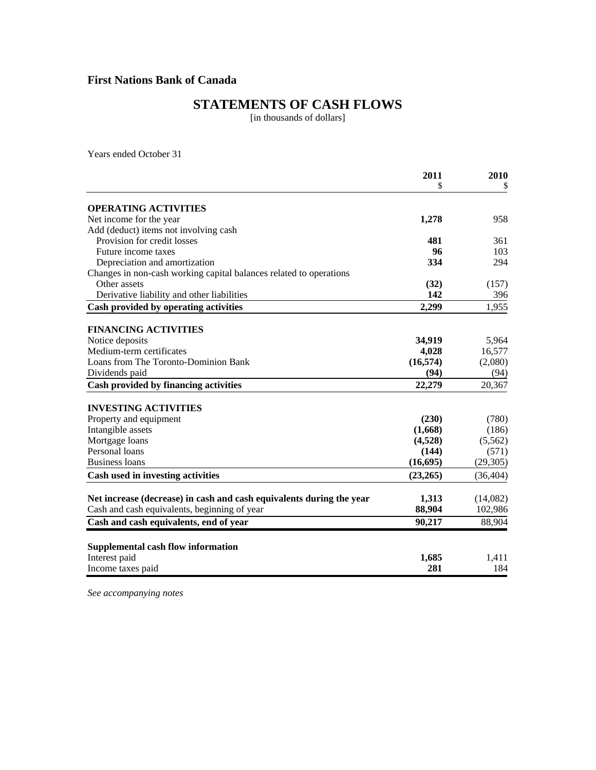# **STATEMENTS OF CASH FLOWS**

[in thousands of dollars]

Years ended October 31

|                                                                      | 2011      | 2010      |
|----------------------------------------------------------------------|-----------|-----------|
|                                                                      | \$        |           |
| <b>OPERATING ACTIVITIES</b>                                          |           |           |
| Net income for the year                                              | 1,278     | 958       |
| Add (deduct) items not involving cash                                |           |           |
| Provision for credit losses                                          | 481       | 361       |
| Future income taxes                                                  | 96        | 103       |
| Depreciation and amortization                                        | 334       | 294       |
| Changes in non-cash working capital balances related to operations   |           |           |
| Other assets                                                         | (32)      | (157)     |
| Derivative liability and other liabilities                           | 142       | 396       |
| Cash provided by operating activities                                | 2,299     | 1,955     |
| <b>FINANCING ACTIVITIES</b>                                          |           |           |
| Notice deposits                                                      | 34,919    | 5,964     |
| Medium-term certificates                                             | 4,028     | 16,577    |
| Loans from The Toronto-Dominion Bank                                 | (16, 574) | (2,080)   |
| Dividends paid                                                       | (94)      | (94)      |
|                                                                      |           |           |
| Cash provided by financing activities                                | 22,279    | 20,367    |
| <b>INVESTING ACTIVITIES</b>                                          |           |           |
| Property and equipment                                               | (230)     | (780)     |
| Intangible assets                                                    | (1,668)   | (186)     |
| Mortgage loans                                                       | (4,528)   | (5,562)   |
| Personal loans                                                       | (144)     | (571)     |
| <b>Business loans</b>                                                | (16, 695) | (29, 305) |
| Cash used in investing activities                                    | (23,265)  | (36, 404) |
|                                                                      |           |           |
| Net increase (decrease) in cash and cash equivalents during the year | 1,313     | (14,082)  |
| Cash and cash equivalents, beginning of year                         | 88,904    | 102,986   |
| Cash and cash equivalents, end of year                               | 90,217    | 88,904    |
| <b>Supplemental cash flow information</b>                            |           |           |
| Interest paid                                                        | 1,685     | 1,411     |
| Income taxes paid                                                    | 281       | 184       |
|                                                                      |           |           |

*See accompanying notes*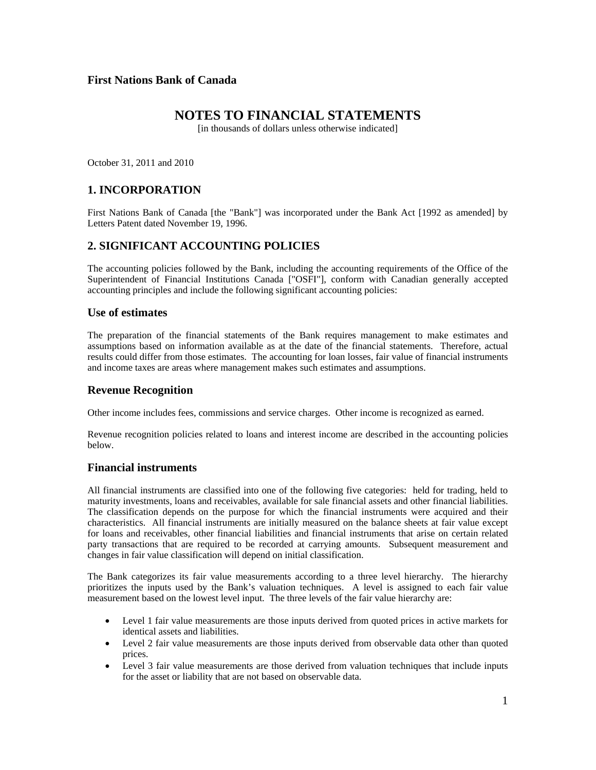### **NOTES TO FINANCIAL STATEMENTS**

[in thousands of dollars unless otherwise indicated]

October 31, 2011 and 2010

### **1. INCORPORATION**

First Nations Bank of Canada [the "Bank"] was incorporated under the Bank Act [1992 as amended] by Letters Patent dated November 19, 1996.

### **2. SIGNIFICANT ACCOUNTING POLICIES**

The accounting policies followed by the Bank, including the accounting requirements of the Office of the Superintendent of Financial Institutions Canada ["OSFI"], conform with Canadian generally accepted accounting principles and include the following significant accounting policies:

#### **Use of estimates**

The preparation of the financial statements of the Bank requires management to make estimates and assumptions based on information available as at the date of the financial statements. Therefore, actual results could differ from those estimates. The accounting for loan losses, fair value of financial instruments and income taxes are areas where management makes such estimates and assumptions.

#### **Revenue Recognition**

Other income includes fees, commissions and service charges. Other income is recognized as earned.

Revenue recognition policies related to loans and interest income are described in the accounting policies below.

#### **Financial instruments**

All financial instruments are classified into one of the following five categories: held for trading, held to maturity investments, loans and receivables, available for sale financial assets and other financial liabilities. The classification depends on the purpose for which the financial instruments were acquired and their characteristics. All financial instruments are initially measured on the balance sheets at fair value except for loans and receivables, other financial liabilities and financial instruments that arise on certain related party transactions that are required to be recorded at carrying amounts. Subsequent measurement and changes in fair value classification will depend on initial classification.

The Bank categorizes its fair value measurements according to a three level hierarchy. The hierarchy prioritizes the inputs used by the Bank's valuation techniques. A level is assigned to each fair value measurement based on the lowest level input. The three levels of the fair value hierarchy are:

- Level 1 fair value measurements are those inputs derived from quoted prices in active markets for identical assets and liabilities.
- Level 2 fair value measurements are those inputs derived from observable data other than quoted prices.
- Level 3 fair value measurements are those derived from valuation techniques that include inputs for the asset or liability that are not based on observable data.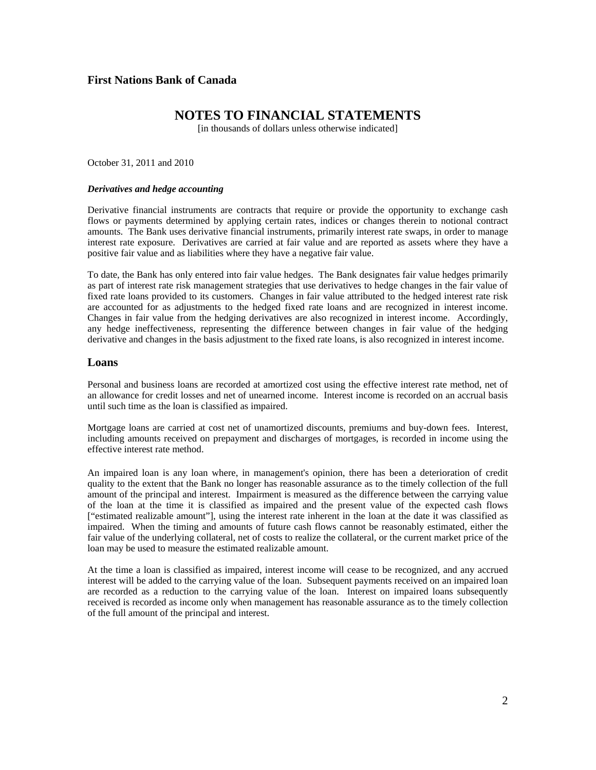### **NOTES TO FINANCIAL STATEMENTS**

[in thousands of dollars unless otherwise indicated]

October 31, 2011 and 2010

#### *Derivatives and hedge accounting*

Derivative financial instruments are contracts that require or provide the opportunity to exchange cash flows or payments determined by applying certain rates, indices or changes therein to notional contract amounts. The Bank uses derivative financial instruments, primarily interest rate swaps, in order to manage interest rate exposure. Derivatives are carried at fair value and are reported as assets where they have a positive fair value and as liabilities where they have a negative fair value.

To date, the Bank has only entered into fair value hedges. The Bank designates fair value hedges primarily as part of interest rate risk management strategies that use derivatives to hedge changes in the fair value of fixed rate loans provided to its customers. Changes in fair value attributed to the hedged interest rate risk are accounted for as adjustments to the hedged fixed rate loans and are recognized in interest income. Changes in fair value from the hedging derivatives are also recognized in interest income. Accordingly, any hedge ineffectiveness, representing the difference between changes in fair value of the hedging derivative and changes in the basis adjustment to the fixed rate loans, is also recognized in interest income.

#### **Loans**

Personal and business loans are recorded at amortized cost using the effective interest rate method, net of an allowance for credit losses and net of unearned income. Interest income is recorded on an accrual basis until such time as the loan is classified as impaired.

Mortgage loans are carried at cost net of unamortized discounts, premiums and buy-down fees. Interest, including amounts received on prepayment and discharges of mortgages, is recorded in income using the effective interest rate method.

An impaired loan is any loan where, in management's opinion, there has been a deterioration of credit quality to the extent that the Bank no longer has reasonable assurance as to the timely collection of the full amount of the principal and interest. Impairment is measured as the difference between the carrying value of the loan at the time it is classified as impaired and the present value of the expected cash flows ["estimated realizable amount"], using the interest rate inherent in the loan at the date it was classified as impaired. When the timing and amounts of future cash flows cannot be reasonably estimated, either the fair value of the underlying collateral, net of costs to realize the collateral, or the current market price of the loan may be used to measure the estimated realizable amount.

At the time a loan is classified as impaired, interest income will cease to be recognized, and any accrued interest will be added to the carrying value of the loan. Subsequent payments received on an impaired loan are recorded as a reduction to the carrying value of the loan. Interest on impaired loans subsequently received is recorded as income only when management has reasonable assurance as to the timely collection of the full amount of the principal and interest.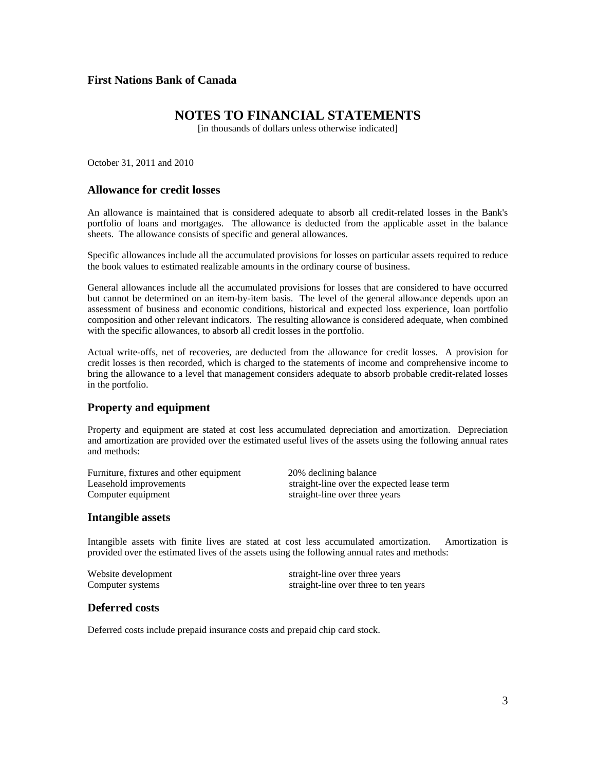### **NOTES TO FINANCIAL STATEMENTS**

[in thousands of dollars unless otherwise indicated]

October 31, 2011 and 2010

#### **Allowance for credit losses**

An allowance is maintained that is considered adequate to absorb all credit-related losses in the Bank's portfolio of loans and mortgages. The allowance is deducted from the applicable asset in the balance sheets. The allowance consists of specific and general allowances.

Specific allowances include all the accumulated provisions for losses on particular assets required to reduce the book values to estimated realizable amounts in the ordinary course of business.

General allowances include all the accumulated provisions for losses that are considered to have occurred but cannot be determined on an item-by-item basis. The level of the general allowance depends upon an assessment of business and economic conditions, historical and expected loss experience, loan portfolio composition and other relevant indicators. The resulting allowance is considered adequate, when combined with the specific allowances, to absorb all credit losses in the portfolio.

Actual write-offs, net of recoveries, are deducted from the allowance for credit losses. A provision for credit losses is then recorded, which is charged to the statements of income and comprehensive income to bring the allowance to a level that management considers adequate to absorb probable credit-related losses in the portfolio.

#### **Property and equipment**

Property and equipment are stated at cost less accumulated depreciation and amortization. Depreciation and amortization are provided over the estimated useful lives of the assets using the following annual rates and methods:

| Furniture, fixtures and other equipment | 20% declining balance                      |
|-----------------------------------------|--------------------------------------------|
| Leasehold improvements                  | straight-line over the expected lease term |
| Computer equipment                      | straight-line over three years             |

#### **Intangible assets**

Intangible assets with finite lives are stated at cost less accumulated amortization. Amortization is provided over the estimated lives of the assets using the following annual rates and methods:

| Website development | straight-line over three years        |
|---------------------|---------------------------------------|
| Computer systems    | straight-line over three to ten years |

#### **Deferred costs**

Deferred costs include prepaid insurance costs and prepaid chip card stock.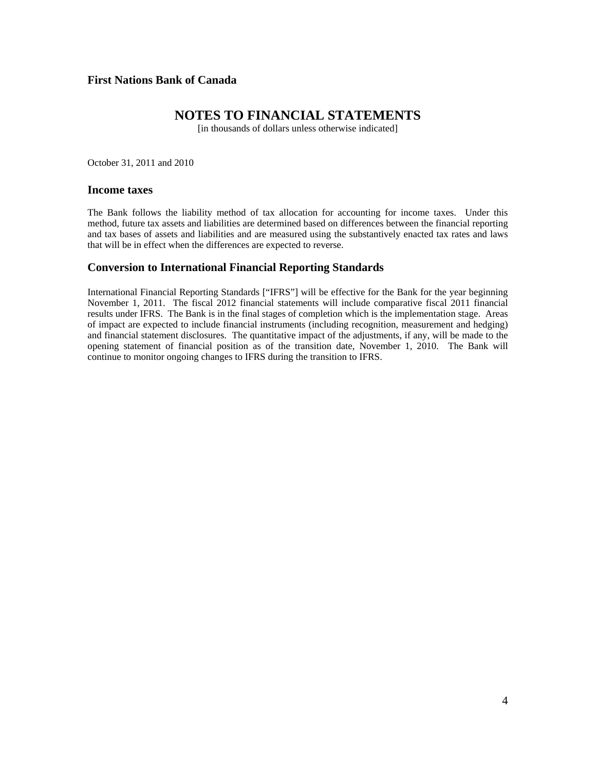### **NOTES TO FINANCIAL STATEMENTS**

[in thousands of dollars unless otherwise indicated]

October 31, 2011 and 2010

#### **Income taxes**

The Bank follows the liability method of tax allocation for accounting for income taxes. Under this method, future tax assets and liabilities are determined based on differences between the financial reporting and tax bases of assets and liabilities and are measured using the substantively enacted tax rates and laws that will be in effect when the differences are expected to reverse.

#### **Conversion to International Financial Reporting Standards**

International Financial Reporting Standards ["IFRS"] will be effective for the Bank for the year beginning November 1, 2011. The fiscal 2012 financial statements will include comparative fiscal 2011 financial results under IFRS. The Bank is in the final stages of completion which is the implementation stage. Areas of impact are expected to include financial instruments (including recognition, measurement and hedging) and financial statement disclosures. The quantitative impact of the adjustments, if any, will be made to the opening statement of financial position as of the transition date, November 1, 2010. The Bank will continue to monitor ongoing changes to IFRS during the transition to IFRS.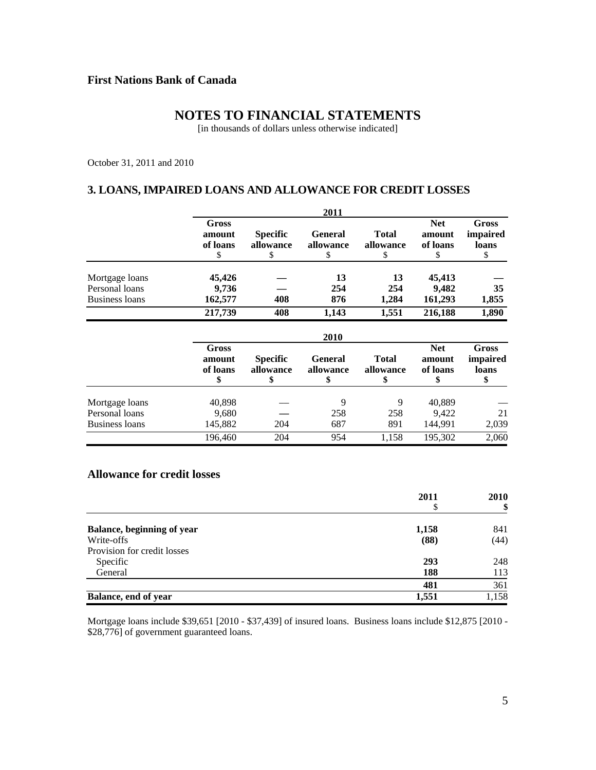# **NOTES TO FINANCIAL STATEMENTS**

[in thousands of dollars unless otherwise indicated]

October 31, 2011 and 2010

# **3. LOANS, IMPAIRED LOANS AND ALLOWANCE FOR CREDIT LOSSES**

|                |                             | 2011                         |                      |                           |                                  |                                          |  |  |  |
|----------------|-----------------------------|------------------------------|----------------------|---------------------------|----------------------------------|------------------------------------------|--|--|--|
|                | Gross<br>amount<br>of loans | <b>Specific</b><br>allowance | General<br>allowance | <b>Total</b><br>allowance | <b>Net</b><br>amount<br>of loans | <b>Gross</b><br><i>impaired</i><br>loans |  |  |  |
| Mortgage loans | 45,426                      |                              | 13                   | 13                        | 45,413                           |                                          |  |  |  |
| Personal loans | 9,736                       |                              | 254                  | 254                       | 9.482                            | 35                                       |  |  |  |
| Business loans | 162,577                     | 408                          | 876                  | 1.284                     | 161,293                          | 1,855                                    |  |  |  |
|                | 217,739                     | 408                          | 1.143                | 1.551                     | 216,188                          | 1,890                                    |  |  |  |

|                |                             | 2010                         |                             |                           |                                  |                                  |  |  |  |
|----------------|-----------------------------|------------------------------|-----------------------------|---------------------------|----------------------------------|----------------------------------|--|--|--|
|                | Gross<br>amount<br>of loans | <b>Specific</b><br>allowance | <b>General</b><br>allowance | <b>Total</b><br>allowance | <b>Net</b><br>amount<br>of loans | Gross<br>impaired<br>loans<br>\$ |  |  |  |
| Mortgage loans | 40,898                      |                              |                             |                           | 40,889                           |                                  |  |  |  |
| Personal loans | 9,680                       |                              | 258                         | 258                       | 9.422                            | 21                               |  |  |  |
| Business loans | 145,882                     | 204                          | 687                         | 891                       | 144.991                          | 2,039                            |  |  |  |
|                | 196,460                     | 204                          | 954                         | 1,158                     | 195,302                          | 2,060                            |  |  |  |

#### **Allowance for credit losses**

|                                   | 2011  | <b>2010</b> |
|-----------------------------------|-------|-------------|
|                                   | \$    | \$          |
| <b>Balance, beginning of year</b> | 1,158 | 841         |
| Write-offs                        | (88)  | (44)        |
| Provision for credit losses       |       |             |
| Specific                          | 293   | 248         |
| General                           | 188   | 113         |
|                                   | 481   | 361         |
| Balance, end of year              | 1,551 | 1,158       |

Mortgage loans include \$39,651 [2010 - \$37,439] of insured loans. Business loans include \$12,875 [2010 - \$28,776] of government guaranteed loans.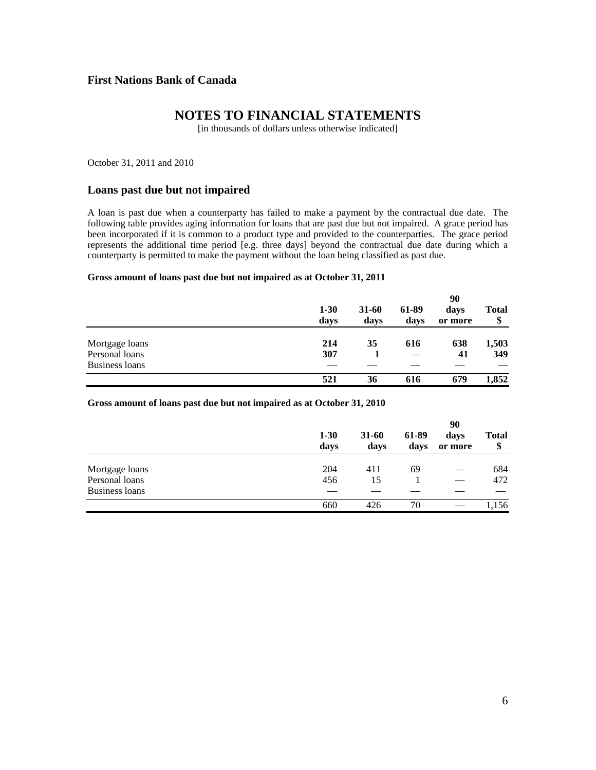### **NOTES TO FINANCIAL STATEMENTS**

[in thousands of dollars unless otherwise indicated]

October 31, 2011 and 2010

#### **Loans past due but not impaired**

A loan is past due when a counterparty has failed to make a payment by the contractual due date. The following table provides aging information for loans that are past due but not impaired. A grace period has been incorporated if it is common to a product type and provided to the counterparties. The grace period represents the additional time period [e.g. three days] beyond the contractual due date during which a counterparty is permitted to make the payment without the loan being classified as past due.

#### **Gross amount of loans past due but not impaired as at October 31, 2011**

|                |                  |               |               | 90              |             |
|----------------|------------------|---------------|---------------|-----------------|-------------|
|                | $1 - 30$<br>days | 31-60<br>days | 61-89<br>days | days<br>or more | Total<br>\$ |
| Mortgage loans | 214              | 35            | 616           | 638             | 1,503       |
| Personal loans | 307              |               |               | 41              | 349         |
| Business loans |                  |               |               |                 |             |
|                | 521              | 36            | 616           | 679             | 1,852       |

#### **Gross amount of loans past due but not impaired as at October 31, 2010**

|                | $1 - 30$<br>days | 31-60<br>days | 61-89<br>days | 90<br>days<br>or more | Total<br>\$ |
|----------------|------------------|---------------|---------------|-----------------------|-------------|
| Mortgage loans | 204              | 411           | 69            |                       | 684         |
| Personal loans | 456              | 15            |               |                       | 472         |
| Business loans |                  |               |               |                       |             |
|                | 660              | 426           | 70            |                       | 1,156       |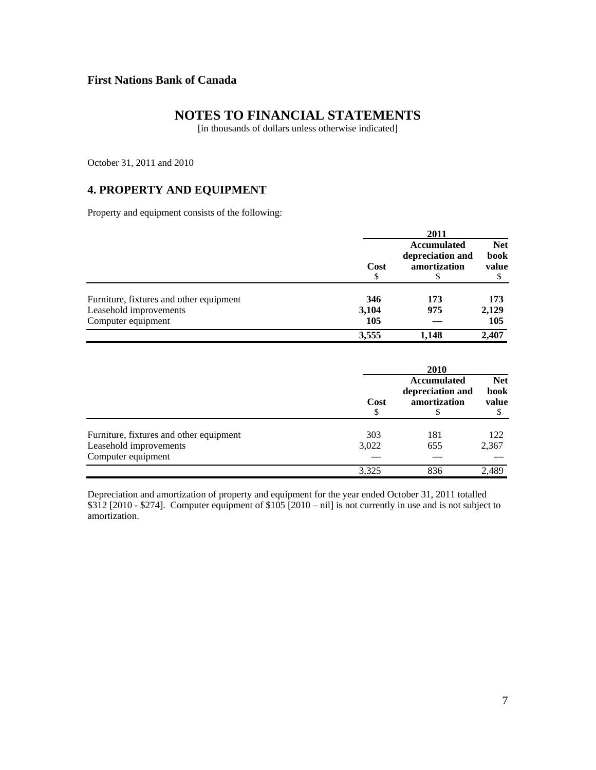# **NOTES TO FINANCIAL STATEMENTS**

[in thousands of dollars unless otherwise indicated]

October 31, 2011 and 2010

# **4. PROPERTY AND EQUIPMENT**

Property and equipment consists of the following:

|                                         | 2011  |                                                        |                                    |  |
|-----------------------------------------|-------|--------------------------------------------------------|------------------------------------|--|
|                                         | Cost  | <b>Accumulated</b><br>depreciation and<br>amortization | <b>Net</b><br><b>book</b><br>value |  |
| Furniture, fixtures and other equipment | 346   | 173                                                    | 173                                |  |
| Leasehold improvements                  | 3,104 | 975                                                    | 2,129                              |  |
| Computer equipment                      | 105   |                                                        | 105                                |  |
|                                         | 3,555 | 1,148                                                  | 2,407                              |  |

|                                         | 2010  |                                                 |                                    |  |
|-----------------------------------------|-------|-------------------------------------------------|------------------------------------|--|
|                                         | Cost  | Accumulated<br>depreciation and<br>amortization | <b>Net</b><br><b>book</b><br>value |  |
| Furniture, fixtures and other equipment | 303   | 181                                             | 122                                |  |
| Leasehold improvements                  | 3,022 | 655                                             | 2,367                              |  |
| Computer equipment                      |       |                                                 |                                    |  |
|                                         | 3,325 | 836                                             | 2.489                              |  |

Depreciation and amortization of property and equipment for the year ended October 31, 2011 totalled \$312 [2010 - \$274]. Computer equipment of \$105 [2010 – nil] is not currently in use and is not subject to amortization.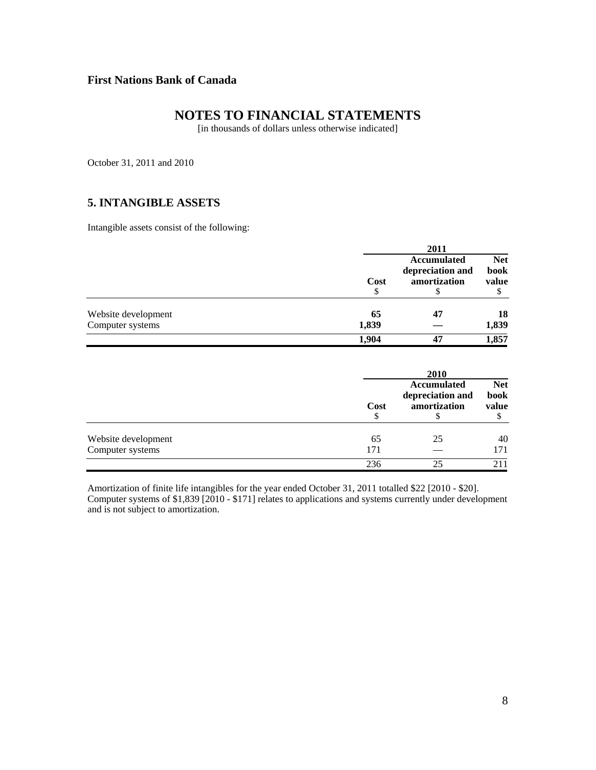# **NOTES TO FINANCIAL STATEMENTS**

[in thousands of dollars unless otherwise indicated]

October 31, 2011 and 2010

### **5. INTANGIBLE ASSETS**

Intangible assets consist of the following:

|                     |            | 2011                                                 |                                  |
|---------------------|------------|------------------------------------------------------|----------------------------------|
|                     | Cost<br>\$ | Accumulated<br>depreciation and<br>amortization<br>Φ | <b>Net</b><br>book<br>value<br>Φ |
| Website development | 65         | 47                                                   | 18                               |
| Computer systems    | 1,839      |                                                      | 1,839                            |
|                     | 1.904      | 47                                                   | 1,857                            |

|                     |      | 2010                                                   |                                    |  |  |
|---------------------|------|--------------------------------------------------------|------------------------------------|--|--|
|                     | Cost | <b>Accumulated</b><br>depreciation and<br>amortization | <b>Net</b><br><b>book</b><br>value |  |  |
| Website development | 65   | 25                                                     | 40                                 |  |  |
| Computer systems    | 171  |                                                        | 171                                |  |  |
|                     | 236  | 25                                                     | 211                                |  |  |

Amortization of finite life intangibles for the year ended October 31, 2011 totalled \$22 [2010 - \$20]. Computer systems of \$1,839 [2010 - \$171] relates to applications and systems currently under development and is not subject to amortization.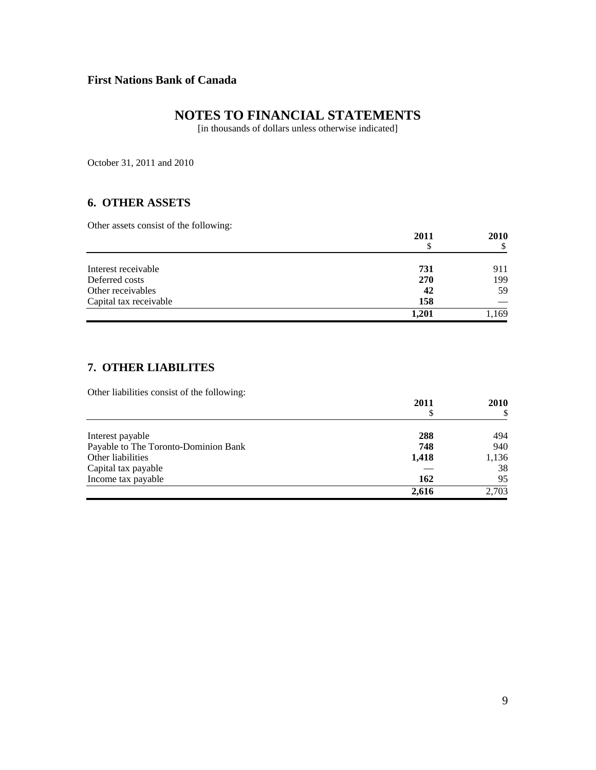# **NOTES TO FINANCIAL STATEMENTS**

[in thousands of dollars unless otherwise indicated]

October 31, 2011 and 2010

### **6. OTHER ASSETS**

Other assets consist of the following:

| ັ                      | 2011<br>S | <b>2010</b> |
|------------------------|-----------|-------------|
| Interest receivable    | 731       | 911         |
| Deferred costs         | 270       | 199         |
| Other receivables      | 42        | 59          |
| Capital tax receivable | 158       |             |
|                        | 1,201     | 1,169       |

### **7. OTHER LIABILITES**

Other liabilities consist of the following:

|                                      | 2011<br>S | <b>2010</b> |
|--------------------------------------|-----------|-------------|
|                                      |           | S           |
| Interest payable                     | 288       | 494         |
| Payable to The Toronto-Dominion Bank | 748       | 940         |
| Other liabilities                    | 1,418     | 1,136       |
| Capital tax payable                  |           | 38          |
| Income tax payable                   | 162       | 95          |
|                                      | 2,616     | 2.703       |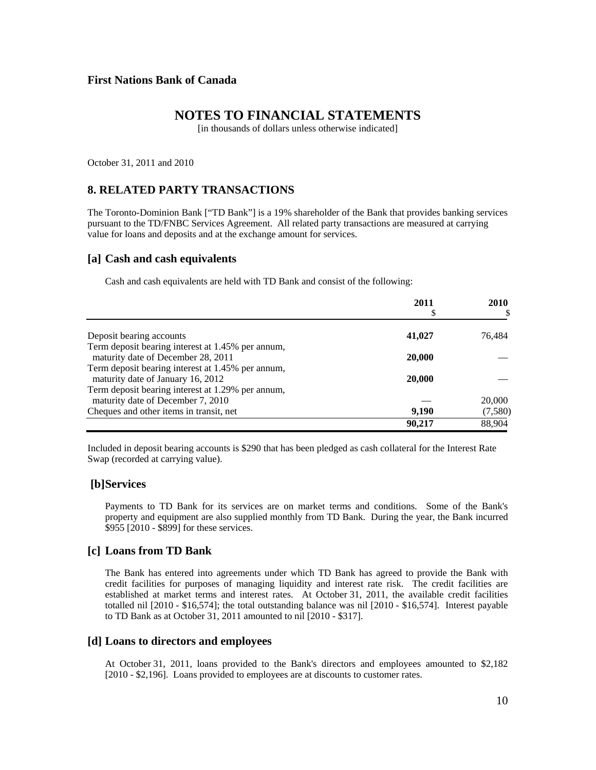### **NOTES TO FINANCIAL STATEMENTS**

[in thousands of dollars unless otherwise indicated]

October 31, 2011 and 2010

#### **8. RELATED PARTY TRANSACTIONS**

The Toronto-Dominion Bank ["TD Bank"] is a 19% shareholder of the Bank that provides banking services pursuant to the TD/FNBC Services Agreement. All related party transactions are measured at carrying value for loans and deposits and at the exchange amount for services.

#### **[a] Cash and cash equivalents**

Cash and cash equivalents are held with TD Bank and consist of the following:

|                                                   | 2011<br>\$ | 2010    |
|---------------------------------------------------|------------|---------|
| Deposit bearing accounts                          | 41,027     | 76,484  |
| Term deposit bearing interest at 1.45% per annum, |            |         |
| maturity date of December 28, 2011                | 20,000     |         |
| Term deposit bearing interest at 1.45% per annum, |            |         |
| maturity date of January 16, 2012                 | 20,000     |         |
| Term deposit bearing interest at 1.29% per annum, |            |         |
| maturity date of December 7, 2010                 |            | 20,000  |
| Cheques and other items in transit, net           | 9.190      | (7,580) |
|                                                   | 90.217     | 88.904  |

 Included in deposit bearing accounts is \$290 that has been pledged as cash collateral for the Interest Rate Swap (recorded at carrying value).

#### **[b] Services**

Payments to TD Bank for its services are on market terms and conditions. Some of the Bank's property and equipment are also supplied monthly from TD Bank. During the year, the Bank incurred \$955 [2010 - \$899] for these services.

#### **[c] Loans from TD Bank**

The Bank has entered into agreements under which TD Bank has agreed to provide the Bank with credit facilities for purposes of managing liquidity and interest rate risk. The credit facilities are established at market terms and interest rates. At October 31, 2011, the available credit facilities totalled nil [2010 - \$16,574]; the total outstanding balance was nil [2010 - \$16,574]. Interest payable to TD Bank as at October 31, 2011 amounted to nil [2010 - \$317].

#### **[d] Loans to directors and employees**

At October 31, 2011, loans provided to the Bank's directors and employees amounted to \$2,182 [2010 - \$2,196]. Loans provided to employees are at discounts to customer rates.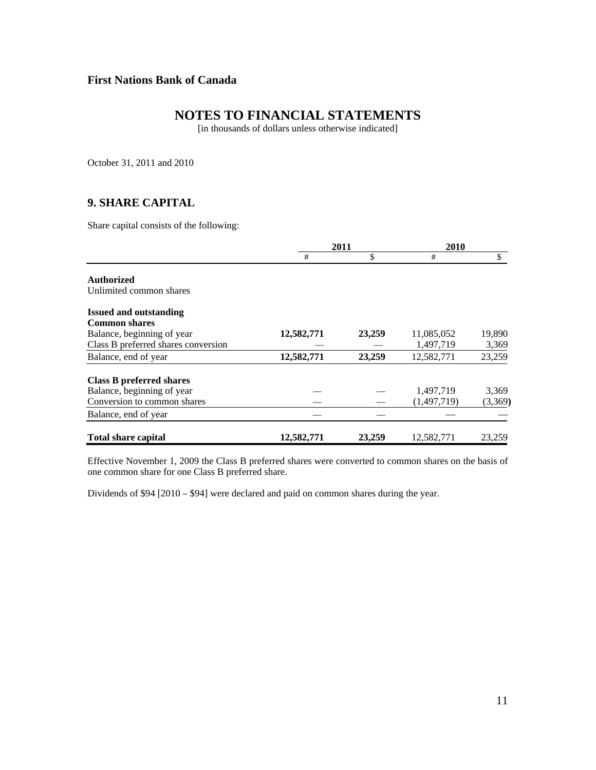# **NOTES TO FINANCIAL STATEMENTS**

[in thousands of dollars unless otherwise indicated]

October 31, 2011 and 2010

### **9. SHARE CAPITAL**

Share capital consists of the following:

|                                     | 2011       |        | 2010        |         |
|-------------------------------------|------------|--------|-------------|---------|
|                                     | #          | \$     | #           | \$      |
| <b>Authorized</b>                   |            |        |             |         |
| Unlimited common shares             |            |        |             |         |
| <b>Issued and outstanding</b>       |            |        |             |         |
| <b>Common shares</b>                |            |        |             |         |
| Balance, beginning of year          | 12,582,771 | 23,259 | 11,085,052  | 19,890  |
| Class B preferred shares conversion |            |        | 1,497,719   | 3,369   |
| Balance, end of year                | 12,582,771 | 23,259 | 12,582,771  | 23,259  |
| Class B preferred shares            |            |        |             |         |
| Balance, beginning of year          |            |        | 1,497,719   | 3,369   |
| Conversion to common shares         |            |        | (1,497,719) | (3,369) |
| Balance, end of year                |            |        |             |         |
| <b>Total share capital</b>          | 12,582,771 | 23,259 | 12,582,771  | 23,259  |

Effective November 1, 2009 the Class B preferred shares were converted to common shares on the basis of one common share for one Class B preferred share.

Dividends of \$94 [2010 – \$94] were declared and paid on common shares during the year.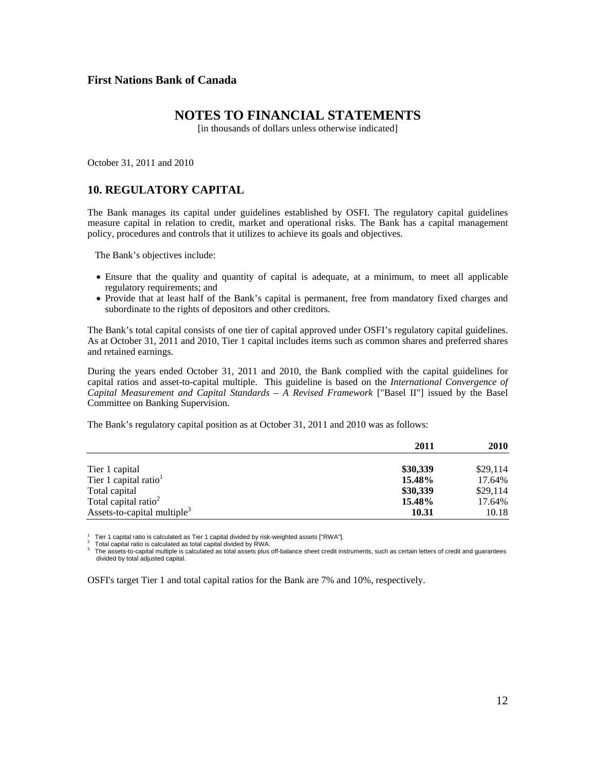#### **NOTES TO FINANCIAL STATEMENTS**

[in thousands of dollars unless otherwise indicated]

October 31, 2011 and 2010

### **10. REGULATORY CAPITAL**

The Bank manages its capital under guidelines established by OSFI. The regulatory capital guidelines measure capital in relation to credit, market and operational risks. The Bank has a capital management policy, procedures and controls that it utilizes to achieve its goals and objectives.

The Bank's objectives include:

- Ensure that the quality and quantity of capital is adequate, at a minimum, to meet all applicable regulatory requirements; and
- Provide that at least half of the Bank's capital is permanent, free from mandatory fixed charges and subordinate to the rights of depositors and other creditors.

The Bank's total capital consists of one tier of capital approved under OSFI's regulatory capital guidelines. As at October 31, 2011 and 2010, Tier 1 capital includes items such as common shares and preferred shares and retained earnings.

During the years ended October 31, 2011 and 2010, the Bank complied with the capital guidelines for capital ratios and asset-to-capital multiple. This guideline is based on the *International Convergence of Capital Measurement and Capital Standards – A Revised Framework* ["Basel II"] issued by the Basel Committee on Banking Supervision.

The Bank's regulatory capital position as at October 31, 2011 and 2010 was as follows:

|                                         | 2011     | <b>2010</b> |
|-----------------------------------------|----------|-------------|
|                                         |          |             |
| Tier 1 capital                          | \$30,339 | \$29,114    |
| Tier 1 capital ratio <sup>1</sup>       | 15.48%   | 17.64%      |
| Total capital                           | \$30,339 | \$29,114    |
| Total capital ratio <sup>2</sup>        | 15.48%   | 17.64%      |
| Assets-to-capital multiple <sup>3</sup> | 10.31    | 10.18       |

 $1$  Tier 1 capital ratio is calculated as Tier 1 capital divided by risk-weighted assets ["RWA"].

2 Total capital ratio is calculated as total capital divided by RWA.

3 The assets-to-capital multiple is calculated as total assets plus off-balance sheet credit instruments, such as certain letters of credit and guarantees divided by total adjusted capital.

OSFI's target Tier 1 and total capital ratios for the Bank are 7% and 10%, respectively.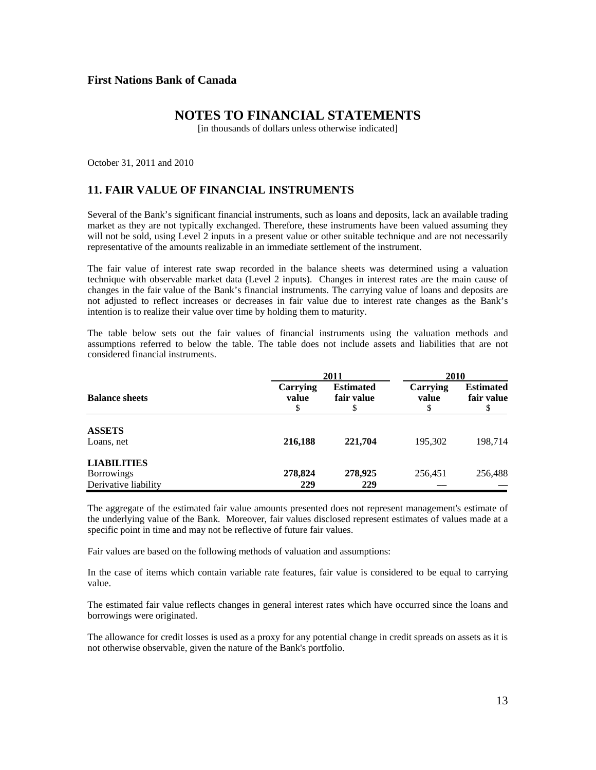### **NOTES TO FINANCIAL STATEMENTS**

[in thousands of dollars unless otherwise indicated]

October 31, 2011 and 2010

# **11. FAIR VALUE OF FINANCIAL INSTRUMENTS**

Several of the Bank's significant financial instruments, such as loans and deposits, lack an available trading market as they are not typically exchanged. Therefore, these instruments have been valued assuming they will not be sold, using Level 2 inputs in a present value or other suitable technique and are not necessarily representative of the amounts realizable in an immediate settlement of the instrument.

The fair value of interest rate swap recorded in the balance sheets was determined using a valuation technique with observable market data (Level 2 inputs). Changes in interest rates are the main cause of changes in the fair value of the Bank's financial instruments. The carrying value of loans and deposits are not adjusted to reflect increases or decreases in fair value due to interest rate changes as the Bank's intention is to realize their value over time by holding them to maturity.

The table below sets out the fair values of financial instruments using the valuation methods and assumptions referred to below the table. The table does not include assets and liabilities that are not considered financial instruments.

|                                                                 | 2011                    | 2010                                 |                         |                                |  |
|-----------------------------------------------------------------|-------------------------|--------------------------------------|-------------------------|--------------------------------|--|
| <b>Balance sheets</b>                                           | Carrying<br>value<br>\$ | <b>Estimated</b><br>fair value<br>\$ | Carrying<br>value<br>\$ | <b>Estimated</b><br>fair value |  |
| <b>ASSETS</b><br>Loans, net                                     | 216,188                 | 221,704                              | 195,302                 | 198.714                        |  |
| <b>LIABILITIES</b><br><b>Borrowings</b><br>Derivative liability | 278,824<br>229          | 278,925<br>229                       | 256,451                 | 256,488                        |  |

The aggregate of the estimated fair value amounts presented does not represent management's estimate of the underlying value of the Bank. Moreover, fair values disclosed represent estimates of values made at a specific point in time and may not be reflective of future fair values.

Fair values are based on the following methods of valuation and assumptions:

In the case of items which contain variable rate features, fair value is considered to be equal to carrying value.

The estimated fair value reflects changes in general interest rates which have occurred since the loans and borrowings were originated.

The allowance for credit losses is used as a proxy for any potential change in credit spreads on assets as it is not otherwise observable, given the nature of the Bank's portfolio.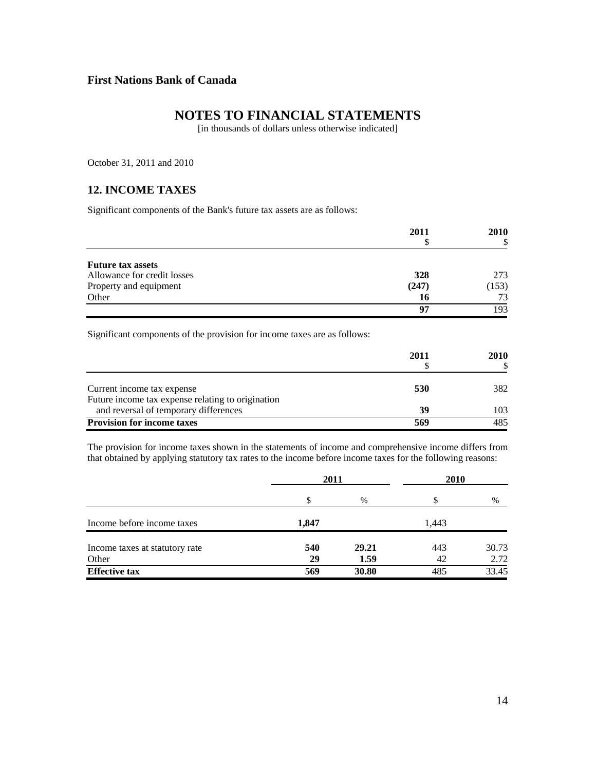# **NOTES TO FINANCIAL STATEMENTS**

[in thousands of dollars unless otherwise indicated]

October 31, 2011 and 2010

### **12. INCOME TAXES**

Significant components of the Bank's future tax assets are as follows:

|                             | 2011  | <b>2010</b> |  |
|-----------------------------|-------|-------------|--|
|                             |       | S           |  |
| <b>Future tax assets</b>    |       |             |  |
| Allowance for credit losses | 328   | 273         |  |
| Property and equipment      | (247) | (153)       |  |
| Other                       | 16    | 73          |  |
|                             | 97    | 193         |  |

Significant components of the provision for income taxes are as follows:

|                                                                                            | 2011 | <b>2010</b> |
|--------------------------------------------------------------------------------------------|------|-------------|
| Current income tax expense                                                                 | 530  | 382         |
| Future income tax expense relating to origination<br>and reversal of temporary differences | 39   | 103         |
| <b>Provision for income taxes</b>                                                          | 569  | 485         |

The provision for income taxes shown in the statements of income and comprehensive income differs from that obtained by applying statutory tax rates to the income before income taxes for the following reasons:

|                                | 2011  |       | 2010  |       |
|--------------------------------|-------|-------|-------|-------|
|                                | S     | $\%$  |       | %     |
| Income before income taxes     | 1,847 |       | 1,443 |       |
| Income taxes at statutory rate | 540   | 29.21 | 443   | 30.73 |
| Other                          | 29    | 1.59  | 42    | 2.72  |
| <b>Effective tax</b>           | 569   | 30.80 | 485   | 33.45 |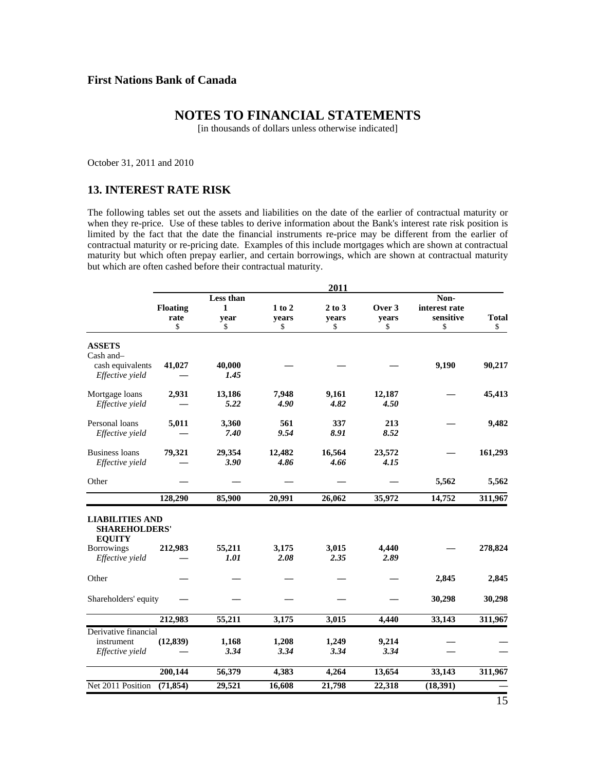# **NOTES TO FINANCIAL STATEMENTS**

[in thousands of dollars unless otherwise indicated]

October 31, 2011 and 2010

### **13. INTEREST RATE RISK**

The following tables set out the assets and liabilities on the date of the earlier of contractual maturity or when they re-price. Use of these tables to derive information about the Bank's interest rate risk position is limited by the fact that the date the financial instruments re-price may be different from the earlier of contractual maturity or re-pricing date. Examples of this include mortgages which are shown at contractual maturity but which often prepay earlier, and certain borrowings, which are shown at contractual maturity but which are often cashed before their contractual maturity.

|                                                                 |                               |                              |                           | 2011                      |                       |                                          |                    |
|-----------------------------------------------------------------|-------------------------------|------------------------------|---------------------------|---------------------------|-----------------------|------------------------------------------|--------------------|
|                                                                 | <b>Floating</b><br>rate<br>\$ | Less than<br>1<br>year<br>\$ | $1$ to $2$<br>years<br>\$ | $2$ to $3$<br>years<br>\$ | Over 3<br>years<br>\$ | Non-<br>interest rate<br>sensitive<br>\$ | <b>Total</b><br>\$ |
| <b>ASSETS</b>                                                   |                               |                              |                           |                           |                       |                                          |                    |
| Cash and-                                                       |                               |                              |                           |                           |                       |                                          |                    |
| cash equivalents<br>Effective yield                             | 41,027                        | 40,000<br>1.45               |                           |                           |                       | 9,190                                    | 90,217             |
| Mortgage loans                                                  | 2,931                         | 13,186                       | 7,948                     | 9,161                     | 12,187                |                                          | 45,413             |
| Effective yield                                                 |                               | 5.22                         | 4.90                      | 4.82                      | 4.50                  |                                          |                    |
| Personal loans                                                  | 5,011                         | 3,360                        | 561                       | 337                       | 213                   |                                          | 9,482              |
| Effective yield                                                 |                               | 7.40                         | 9.54                      | 8.91                      | 8.52                  |                                          |                    |
| <b>Business loans</b>                                           | 79,321                        | 29,354                       | 12,482                    | 16,564                    | 23,572                |                                          | 161,293            |
| Effective yield                                                 |                               | 3.90                         | 4.86                      | 4.66                      | 4.15                  |                                          |                    |
| Other                                                           |                               |                              |                           |                           |                       | 5,562                                    | 5,562              |
|                                                                 | 128,290                       | 85,900                       | 20,991                    | 26,062                    | 35,972                | 14,752                                   | 311,967            |
| <b>LIABILITIES AND</b><br><b>SHAREHOLDERS'</b><br><b>EQUITY</b> |                               |                              |                           |                           |                       |                                          |                    |
| <b>Borrowings</b><br>Effective yield                            | 212,983                       | 55,211<br>1.01               | 3,175<br>2.08             | 3,015<br>2.35             | 4,440<br>2.89         |                                          | 278,824            |
| Other                                                           |                               |                              |                           |                           |                       | 2,845                                    | 2,845              |
| Shareholders' equity                                            |                               |                              |                           |                           |                       | 30,298                                   | 30,298             |
|                                                                 | 212,983                       | 55,211                       | 3,175                     | 3,015                     | 4,440                 | 33,143                                   | 311,967            |
| Derivative financial                                            |                               |                              |                           |                           |                       |                                          |                    |
| instrument                                                      | (12, 839)                     | 1,168                        | 1,208                     | 1,249                     | 9,214                 |                                          |                    |
| Effective yield                                                 |                               | 3.34                         | 3.34                      | 3.34                      | 3.34                  |                                          |                    |
|                                                                 | 200,144                       | 56,379                       | 4,383                     | 4,264                     | 13,654                | 33,143                                   | 311,967            |
| Net 2011 Position                                               | (71, 854)                     | 29,521                       | 16,608                    | 21,798                    | 22,318                | (18,391)                                 |                    |
|                                                                 |                               |                              |                           |                           |                       |                                          | 15                 |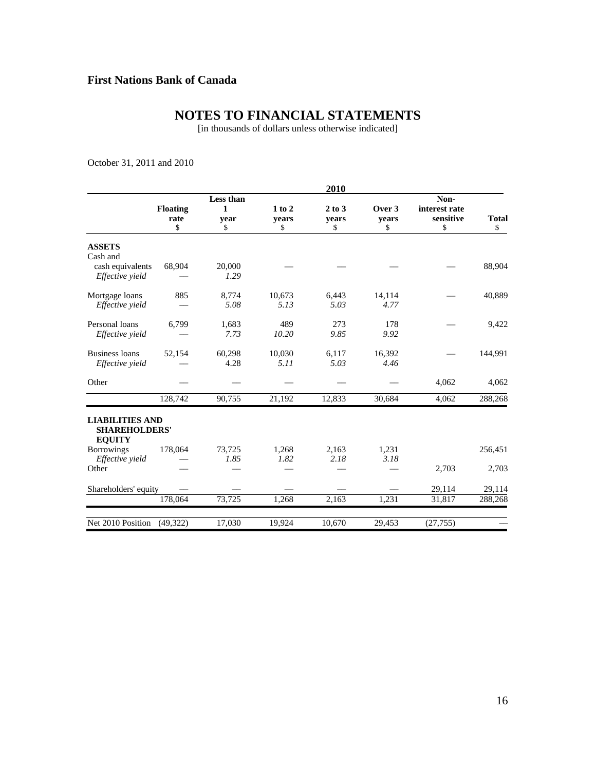# **NOTES TO FINANCIAL STATEMENTS**

[in thousands of dollars unless otherwise indicated]

October 31, 2011 and 2010

|                                                                 |                         |              |             | 2010        |             |                            |              |
|-----------------------------------------------------------------|-------------------------|--------------|-------------|-------------|-------------|----------------------------|--------------|
|                                                                 |                         | Less than    |             |             |             | Non-                       |              |
|                                                                 | <b>Floating</b><br>rate | $\mathbf{1}$ | 1 to 2      | $2$ to $3$  | Over 3      | interest rate<br>sensitive | <b>Total</b> |
|                                                                 | \$                      | year<br>\$   | years<br>\$ | years<br>\$ | years<br>\$ | \$                         | \$           |
| <b>ASSETS</b><br>Cash and                                       |                         |              |             |             |             |                            |              |
| cash equivalents                                                | 68,904                  | 20,000       |             |             |             |                            | 88,904       |
| Effective yield                                                 |                         | 1.29         |             |             |             |                            |              |
| Mortgage loans                                                  | 885                     | 8,774        | 10,673      | 6,443       | 14,114      |                            | 40,889       |
| Effective vield                                                 |                         | 5.08         | 5.13        | 5.03        | 4.77        |                            |              |
| Personal loans                                                  | 6,799                   | 1,683        | 489         | 273         | 178         |                            | 9,422        |
| Effective yield                                                 |                         | 7.73         | 10.20       | 9.85        | 9.92        |                            |              |
| <b>Business loans</b>                                           | 52,154                  | 60,298       | 10,030      | 6,117       | 16,392      |                            | 144,991      |
| Effective yield                                                 |                         | 4.28         | 5.11        | 5.03        | 4.46        |                            |              |
| Other                                                           |                         |              |             |             |             | 4,062                      | 4,062        |
|                                                                 | 128.742                 | 90,755       | 21.192      | 12.833      | 30.684      | 4,062                      | 288,268      |
| <b>LIABILITIES AND</b><br><b>SHAREHOLDERS'</b><br><b>EQUITY</b> |                         |              |             |             |             |                            |              |
| <b>Borrowings</b>                                               | 178,064                 | 73,725       | 1,268       | 2,163       | 1,231       |                            | 256,451      |
| Effective yield                                                 |                         | 1.85         | 1.82        | 2.18        | 3.18        |                            |              |
| Other                                                           |                         |              |             |             |             | 2,703                      | 2,703        |
| Shareholders' equity                                            |                         |              |             |             |             | 29,114                     | 29,114       |
|                                                                 | 178,064                 | 73,725       | 1,268       | 2,163       | 1,231       | 31,817                     | 288,268      |
| Net 2010 Position                                               | (49, 322)               | 17,030       | 19,924      | 10,670      | 29,453      | (27, 755)                  |              |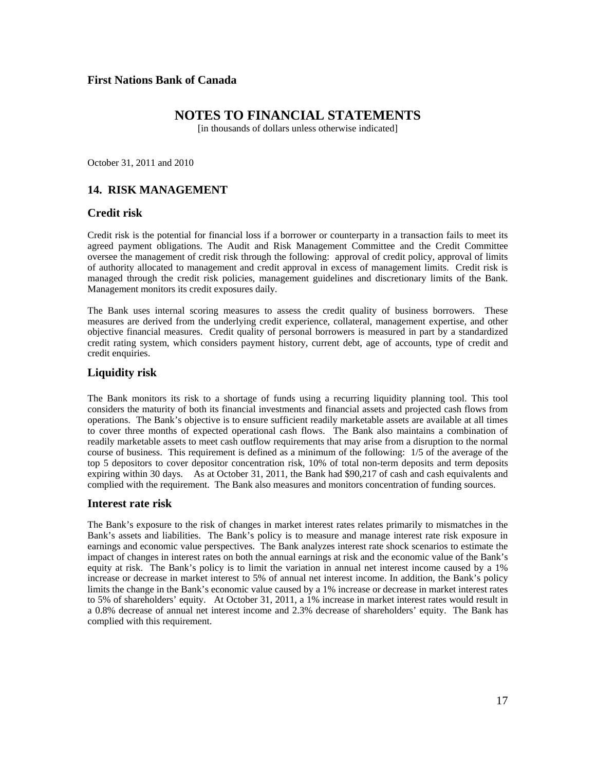# **NOTES TO FINANCIAL STATEMENTS**

[in thousands of dollars unless otherwise indicated]

October 31, 2011 and 2010

# **14. RISK MANAGEMENT**

### **Credit risk**

Credit risk is the potential for financial loss if a borrower or counterparty in a transaction fails to meet its agreed payment obligations. The Audit and Risk Management Committee and the Credit Committee oversee the management of credit risk through the following: approval of credit policy, approval of limits of authority allocated to management and credit approval in excess of management limits. Credit risk is managed through the credit risk policies, management guidelines and discretionary limits of the Bank. Management monitors its credit exposures daily.

The Bank uses internal scoring measures to assess the credit quality of business borrowers. These measures are derived from the underlying credit experience, collateral, management expertise, and other objective financial measures. Credit quality of personal borrowers is measured in part by a standardized credit rating system, which considers payment history, current debt, age of accounts, type of credit and credit enquiries.

## **Liquidity risk**

The Bank monitors its risk to a shortage of funds using a recurring liquidity planning tool. This tool considers the maturity of both its financial investments and financial assets and projected cash flows from operations. The Bank's objective is to ensure sufficient readily marketable assets are available at all times to cover three months of expected operational cash flows. The Bank also maintains a combination of readily marketable assets to meet cash outflow requirements that may arise from a disruption to the normal course of business. This requirement is defined as a minimum of the following: 1/5 of the average of the top 5 depositors to cover depositor concentration risk, 10% of total non-term deposits and term deposits expiring within 30 days. As at October 31, 2011, the Bank had \$90,217 of cash and cash equivalents and complied with the requirement. The Bank also measures and monitors concentration of funding sources.

#### **Interest rate risk**

The Bank's exposure to the risk of changes in market interest rates relates primarily to mismatches in the Bank's assets and liabilities. The Bank's policy is to measure and manage interest rate risk exposure in earnings and economic value perspectives. The Bank analyzes interest rate shock scenarios to estimate the impact of changes in interest rates on both the annual earnings at risk and the economic value of the Bank's equity at risk. The Bank's policy is to limit the variation in annual net interest income caused by a 1% increase or decrease in market interest to 5% of annual net interest income. In addition, the Bank's policy limits the change in the Bank's economic value caused by a 1% increase or decrease in market interest rates to 5% of shareholders' equity. At October 31, 2011, a 1% increase in market interest rates would result in a 0.8% decrease of annual net interest income and 2.3% decrease of shareholders' equity. The Bank has complied with this requirement.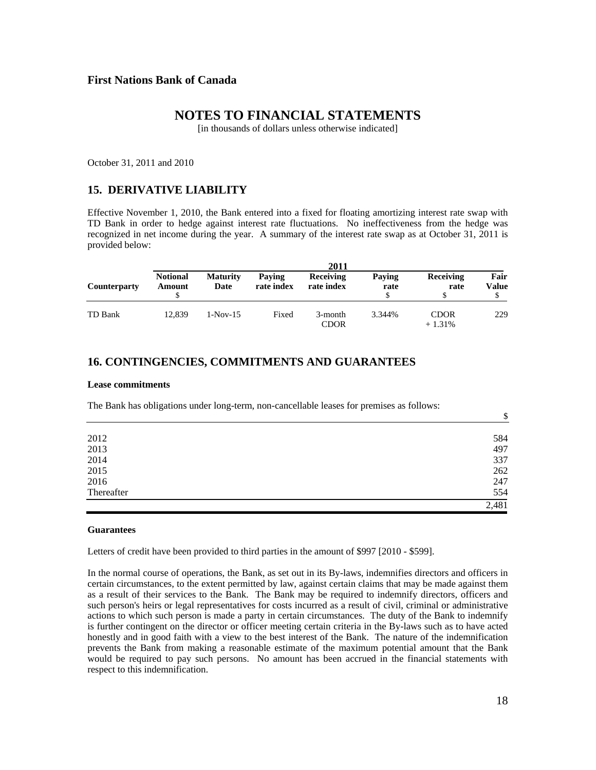## **NOTES TO FINANCIAL STATEMENTS**

[in thousands of dollars unless otherwise indicated]

October 31, 2011 and 2010

#### **15. DERIVATIVE LIABILITY**

Effective November 1, 2010, the Bank entered into a fixed for floating amortizing interest rate swap with TD Bank in order to hedge against interest rate fluctuations. No ineffectiveness from the hedge was recognized in net income during the year. A summary of the interest rate swap as at October 31, 2011 is provided below:

| <b>Counterparty</b> | <b>2011</b>               |                         |                      |                                |                |                          |               |
|---------------------|---------------------------|-------------------------|----------------------|--------------------------------|----------------|--------------------------|---------------|
|                     | <b>Notional</b><br>Amount | <b>Maturity</b><br>Date | Paving<br>rate index | <b>Receiving</b><br>rate index | Paving<br>rate | <b>Receiving</b><br>rate | Fair<br>Value |
| TD Bank             | 12.839                    | $1-Nov-15$              | Fixed                | 3-month<br><b>CDOR</b>         | 3.344%         | <b>CDOR</b><br>$+1.31%$  | 229           |

### **16. CONTINGENCIES, COMMITMENTS AND GUARANTEES**

#### **Lease commitments**

The Bank has obligations under long-term, non-cancellable leases for premises as follows:

|            | $\downarrow$ |
|------------|--------------|
|            |              |
| 2012       | 584          |
| 2013       | 497          |
| 2014       | 337          |
| 2015       | 262          |
| 2016       | 247          |
| Thereafter | 554          |
|            | 2,481        |

#### **Guarantees**

Letters of credit have been provided to third parties in the amount of \$997 [2010 - \$599].

In the normal course of operations, the Bank, as set out in its By-laws, indemnifies directors and officers in certain circumstances, to the extent permitted by law, against certain claims that may be made against them as a result of their services to the Bank. The Bank may be required to indemnify directors, officers and such person's heirs or legal representatives for costs incurred as a result of civil, criminal or administrative actions to which such person is made a party in certain circumstances. The duty of the Bank to indemnify is further contingent on the director or officer meeting certain criteria in the By-laws such as to have acted honestly and in good faith with a view to the best interest of the Bank. The nature of the indemnification prevents the Bank from making a reasonable estimate of the maximum potential amount that the Bank would be required to pay such persons. No amount has been accrued in the financial statements with respect to this indemnification.

 $\ddot{\textbf{C}}$